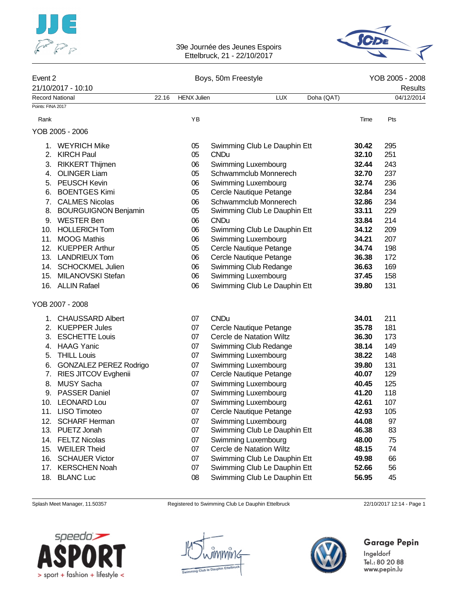



## Event 2 Contract 2 Contract 2 Boys, 50m Freestyle Contract 2 Contract 2 Contract 2 Contract 2 Contract 2 Contract 2 Contract 2 Contract 2 Contract 2 Contract 2 Contract 2 Contract 2 Contract 2 Contract 2 Contract 2 Contrac 21/10/2017 - 10:10 Results Record National 22.16 HENX Julien LUX Doha (QAT) 04/12/2014 Points: FINA 2017 Rank YB Time Pts YOB 2005 - 2006 1. WEYRICH Mike 05 Swimming Club Le Dauphin Ett **30.42** 295 2. KIRCH Paul 05 CNDu **32.10** 251 3. RIKKERT Thijmen 06 Swimming Luxembourg **32.44** 243 4. OLINGER Liam 05 Schwammclub Monnerech **32.70** 237 5. PEUSCH Kevin 06 Swimming Luxembourg **32.74** 236 6. BOENTGES Kimi 05 Cercle Nautique Petange **32.84** 234 7. CALMES Nicolas 06 Schwammclub Monnerech **32.86** 234 8. BOURGUIGNON Benjamin 05 Swimming Club Le Dauphin Ett **33.11** 229 9. WESTER Ben 06 CNDu **33.84** 214 10. HOLLERICH Tom 06 Swimming Club Le Dauphin Ett **34.12** 209 11. MOOG Mathis 06 Swimming Luxembourg **34.21** 207 12. KUEPPER Arthur 05 Cercle Nautique Petange **34.74** 198 13. LANDRIEUX Tom 06 Cercle Nautique Petange **36.38** 172 14. SCHOCKMEL Julien 06 Swimming Club Redange **36.63** 169 15. MILANOVSKI Stefan 06 Swimming Luxembourg **37.45** 158 16. ALLIN Rafael 06 Swimming Club Le Dauphin Ett **39.80** 131 YOB 2007 - 2008 1. CHAUSSARD Albert 07 CNDu **34.01** 211 2. KUEPPER Jules 07 Cercle Nautique Petange **35.78** 181 3. ESCHETTE Louis 07 Cercle de Natation Wiltz **36.30** 173 4. HAAG Yanic 07 Swimming Club Redange **38.14** 149 5. THILL Louis 07 Swimming Luxembourg **38.22** 148 6. GONZALEZ PEREZ Rodrigo 07 Swimming Luxembourg **39.80** 131 7. RIES JITCOV Evghenii 07 Cercle Nautique Petange **40.07** 129 8. MUSY Sacha 07 Swimming Luxembourg **40.45** 125 9. PASSER Daniel 07 Swimming Luxembourg **41.20** 118 10. LEONARD Lou 07 Swimming Luxembourg **42.61** 107 11. LISO Timoteo 07 Cercle Nautique Petange **42.93** 105 12. SCHARF Herman 07 Swimming Luxembourg **44.08** 97 13. PUETZ Jonah 07 Swimming Club Le Dauphin Ett **46.38** 83 14. FELTZ Nicolas 07 Swimming Luxembourg **48.00** 75 15. WEILER Theid 07 Cercle de Natation Wiltz **48.15** 74 16. SCHAUER Victor 07 Swimming Club Le Dauphin Ett **49.98** 66 17. KERSCHEN Noah 07 Swimming Club Le Dauphin Ett **52.66** 56 18. BLANC Luc 08 Swimming Club Le Dauphin Ett **56.95** 45

Splash Meet Manager, 11.50357 Registered to Swimming Club Le Dauphin Ettelbruck 22/10/2017 12:14 - Page 1

speedo'**—** > sport + fashion + lifestyle <



Garage Pepin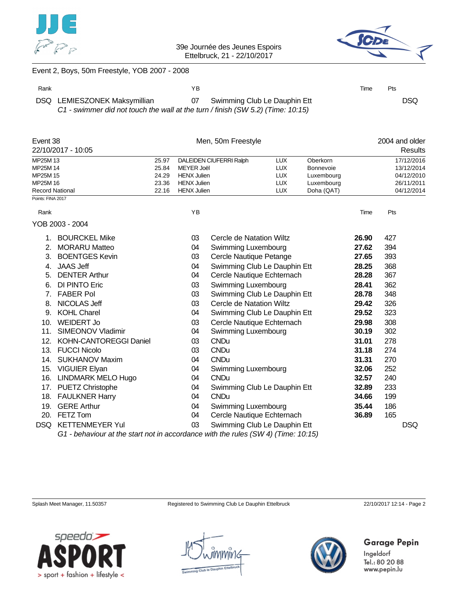



### Event 2, Boys, 50m Freestyle, YOB 2007 - 2008

| Rank |                                                                                                                 | YB. |                                 | Time | <b>Pts</b> |      |
|------|-----------------------------------------------------------------------------------------------------------------|-----|---------------------------------|------|------------|------|
|      | DSQ LEMIESZONEK Maksymillian<br>C1 - swimmer did not touch the wall at the turn / finish (SW 5.2) (Time: 10:15) |     | 07 Swimming Club Le Dauphin Ett |      |            | DSQ. |

| Event 38                                              |                       |       | Men, 50m Freestyle               |                              | 2004 and older |            |       |            |
|-------------------------------------------------------|-----------------------|-------|----------------------------------|------------------------------|----------------|------------|-------|------------|
| 22/10/2017 - 10:05                                    |                       |       |                                  |                              |                |            |       | Results    |
| MP25M 13                                              |                       | 25.97 | DALEIDEN CIUFERRI Ralph          |                              | <b>LUX</b>     | Oberkorn   |       | 17/12/2016 |
| MP25M 14                                              |                       | 25.84 | <b>MEYER Joël</b>                |                              | <b>LUX</b>     | Bonnevoie  |       | 13/12/2014 |
| MP25M 15                                              |                       | 24.29 | <b>HENX Julien</b><br><b>LUX</b> |                              |                | Luxembourg |       | 04/12/2010 |
| MP25M 16                                              |                       | 23.36 | <b>HENX Julien</b>               |                              | <b>LUX</b>     | Luxembourg |       | 26/11/2011 |
| <b>Record National</b>                                |                       | 22.16 | <b>HENX Julien</b>               |                              | <b>LUX</b>     | Doha (QAT) |       | 04/12/2014 |
| Points: FINA 2017                                     |                       |       |                                  |                              |                |            |       |            |
| Rank                                                  |                       |       | ΥB                               |                              |                |            | Time  | Pts        |
| YOB 2003 - 2004                                       |                       |       |                                  |                              |                |            |       |            |
|                                                       | <b>BOURCKEL Mike</b>  |       | 03                               | Cercle de Natation Wiltz     |                |            | 26.90 | 427        |
| 2.                                                    | <b>MORARU Matteo</b>  |       | 04                               | Swimming Luxembourg          |                |            | 27.62 | 394        |
| 3.                                                    | <b>BOENTGES Kevin</b> |       | 03                               | Cercle Nautique Petange      |                |            | 27.65 | 393        |
| <b>JAAS Jeff</b><br>4.                                |                       |       | 04                               | Swimming Club Le Dauphin Ett |                |            | 28.25 | 368        |
| 5.                                                    | <b>DENTER Arthur</b>  |       | 04                               | Cercle Nautique Echternach   |                |            | 28.28 | 367        |
| 6.                                                    | DI PINTO Eric         |       | 03                               | Swimming Luxembourg          |                |            | 28.41 | 362        |
| 7.                                                    | <b>FABER Pol</b>      |       | 03                               | Swimming Club Le Dauphin Ett |                |            | 28.78 | 348        |
| 8.                                                    | NICOLAS Jeff          |       | 03                               | Cercle de Natation Wiltz     |                |            | 29.42 | 326        |
| 9.                                                    | <b>KOHL Charel</b>    |       | 04                               | Swimming Club Le Dauphin Ett |                |            | 29.52 | 323        |
| 10.                                                   | <b>WEIDERT Jo</b>     |       | 03                               | Cercle Nautique Echternach   |                |            | 29.98 | 308        |
| SIMEONOV Vladimir<br>Swimming Luxembourg<br>11.<br>04 |                       |       |                                  |                              | 30.19          | 302        |       |            |

| 14. SUKHANOV Maxim                                                                | 04 | CNDu                         | 31.31 | 270 |     |  |  |  |
|-----------------------------------------------------------------------------------|----|------------------------------|-------|-----|-----|--|--|--|
| 15. VIGUIER Elyan                                                                 | 04 | Swimming Luxembourg          | 32.06 | 252 |     |  |  |  |
| 16. LINDMARK MELO Hugo                                                            | 04 | CND <sub>u</sub>             | 32.57 | 240 |     |  |  |  |
| 17. PUETZ Christophe                                                              | 04 | Swimming Club Le Dauphin Ett | 32.89 | 233 |     |  |  |  |
| 18. FAULKNER Harry                                                                | 04 | CND <sub>u</sub>             | 34.66 | 199 |     |  |  |  |
| 19. GERE Arthur                                                                   | 04 | Swimming Luxembourg          | 35.44 | 186 |     |  |  |  |
| 20. FETZ Tom                                                                      | 04 | Cercle Nautique Echternach   | 36.89 | 165 |     |  |  |  |
| DSQ KETTENMEYER Yul                                                               | 03 | Swimming Club Le Dauphin Ett |       |     | DSQ |  |  |  |
| G1 - behaviour at the start not in accordance with the rules (SW 4) (Time: 10:15) |    |                              |       |     |     |  |  |  |
|                                                                                   |    |                              |       |     |     |  |  |  |

12. KOHN-CANTOREGGI Daniel 03 CNDu **31.01** 278 13. FUCCI Nicolo 03 CNDu **31.18** 274

Splash Meet Manager, 11.50357 Registered to Swimming Club Le Dauphin Ettelbruck 22/10/2017 12:14 - Page 2





## **Garage Pepin**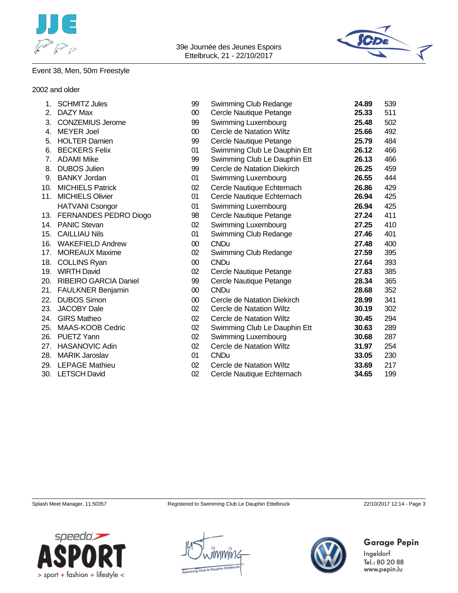



## Event 38, Men, 50m Freestyle

#### 2002 and older

| 1.          | <b>SCHMITZ Jules</b>         | 99     | Swimming Club Redange        | 24.89 | 539 |
|-------------|------------------------------|--------|------------------------------|-------|-----|
| 2.          | DAZY Max                     | $00\,$ | Cercle Nautique Petange      | 25.33 | 511 |
| 3.          | <b>CONZEMIUS Jerome</b>      | 99     | Swimming Luxembourg          | 25.48 | 502 |
| 4.          | <b>MEYER Joel</b>            | $00\,$ | Cercle de Natation Wiltz     | 25.66 | 492 |
| 5.          | <b>HOLTER Damien</b>         | 99     | Cercle Nautique Petange      | 25.79 | 484 |
| 6.          | <b>BECKERS Felix</b>         | 01     | Swimming Club Le Dauphin Ett | 26.12 | 466 |
| $7_{\cdot}$ | <b>ADAMI Mike</b>            | 99     | Swimming Club Le Dauphin Ett | 26.13 | 466 |
| 8.          | <b>DUBOS Julien</b>          | 99     | Cercle de Natation Diekirch  | 26.25 | 459 |
| 9.          | <b>BANKY Jordan</b>          | 01     | Swimming Luxembourg          | 26.55 | 444 |
| 10.         | <b>MICHIELS Patrick</b>      | 02     | Cercle Nautique Echternach   | 26.86 | 429 |
| 11.         | <b>MICHIELS Olivier</b>      | 01     | Cercle Nautique Echternach   | 26.94 | 425 |
|             | <b>HATVANI Csongor</b>       | 01     | Swimming Luxembourg          | 26.94 | 425 |
| 13.         | FERNANDES PEDRO Diogo        | 98     | Cercle Nautique Petange      | 27.24 | 411 |
| 14.         | <b>PANIC Stevan</b>          | 02     | Swimming Luxembourg          | 27.25 | 410 |
| 15.         | <b>CAILLIAU Nils</b>         | 01     | Swimming Club Redange        | 27.46 | 401 |
| 16.         | <b>WAKEFIELD Andrew</b>      | $00\,$ | <b>CNDu</b>                  | 27.48 | 400 |
| 17.         | <b>MOREAUX Maxime</b>        | 02     | Swimming Club Redange        | 27.59 | 395 |
| 18.         | <b>COLLINS Ryan</b>          | $00\,$ | <b>CNDu</b>                  | 27.64 | 393 |
| 19.         | <b>WIRTH David</b>           | 02     | Cercle Nautique Petange      | 27.83 | 385 |
| <b>20.</b>  | <b>RIBEIRO GARCIA Daniel</b> | 99     | Cercle Nautique Petange      | 28.34 | 365 |
| 21.         | <b>FAULKNER Benjamin</b>     | $00\,$ | <b>CNDu</b>                  | 28.68 | 352 |
| 22.         | <b>DUBOS Simon</b>           | $00\,$ | Cercle de Natation Diekirch  | 28.99 | 341 |
| 23.         | <b>JACOBY Dale</b>           | 02     | Cercle de Natation Wiltz     | 30.19 | 302 |
| 24.         | <b>GIRS Matheo</b>           | 02     | Cercle de Natation Wiltz     | 30.45 | 294 |
| 25.         | MAAS-KOOB Cedric             | 02     | Swimming Club Le Dauphin Ett | 30.63 | 289 |
| 26.         | PUETZ Yann                   | 02     | Swimming Luxembourg          | 30.68 | 287 |
| 27.         | <b>HASANOVIC Adin</b>        | 02     | Cercle de Natation Wiltz     | 31.97 | 254 |
| 28.         | <b>MARIK Jaroslav</b>        | 01     | <b>CNDu</b>                  | 33.05 | 230 |
|             | 29. LEPAGE Mathieu           | 02     | Cercle de Natation Wiltz     | 33.69 | 217 |
|             | 30. LETSCH David             | 02     | Cercle Nautique Echternach   | 34.65 | 199 |

Splash Meet Manager, 11.50357 Registered to Swimming Club Le Dauphin Ettelbruck 22/10/2017 12:14 - Page 3

**Garage Pepin** 



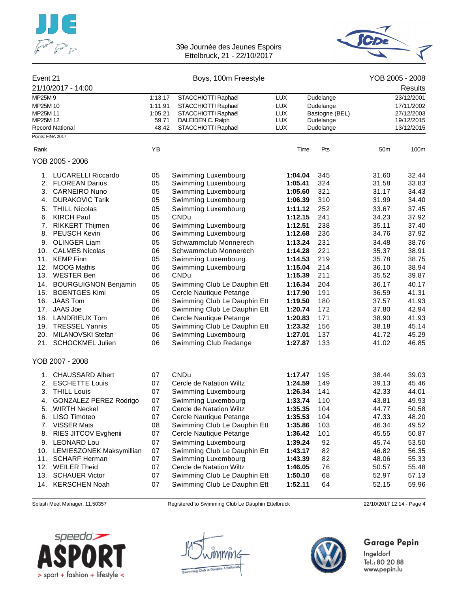



| Event 21          |                               |         | Boys, 100m Freestyle         |            |                | YOB 2005 - 2008 |            |
|-------------------|-------------------------------|---------|------------------------------|------------|----------------|-----------------|------------|
|                   | 21/10/2017 - 14:00            |         |                              |            |                |                 | Results    |
| MP25M9            |                               | 1:13.17 | STACCHIOTTI Raphaël          | <b>LUX</b> | Dudelange      |                 | 23/12/2001 |
| MP25M 10          |                               | 1:11.91 | STACCHIOTTI Raphaël          | <b>LUX</b> | Dudelange      |                 | 17/11/2002 |
| MP25M 11          |                               | 1:05.21 | STACCHIOTTI Raphaël          | <b>LUX</b> | Bastogne (BEL) |                 | 27/12/2003 |
| MP25M 12          |                               | 59.71   | DALEIDEN C. Ralph            | <b>LUX</b> | Dudelange      |                 | 19/12/2015 |
|                   | <b>Record National</b>        | 48.42   | STACCHIOTTI Raphaël          | <b>LUX</b> | Dudelange      |                 | 13/12/2015 |
| Points: FINA 2017 |                               |         |                              |            |                |                 |            |
| Rank              |                               | ΥB      |                              | Time       | Pts            | 50m             | 100m       |
|                   | YOB 2005 - 2006               |         |                              |            |                |                 |            |
|                   | 1. LUCARELLI Riccardo         | 05      | Swimming Luxembourg          | 1:04.04    | 345            | 31.60           | 32.44      |
|                   | 2. FLOREAN Darius             | 05      | Swimming Luxembourg          | 1:05.41    | 324            | 31.58           | 33.83      |
| 3.                | <b>CARNEIRO Nuno</b>          | 05      | Swimming Luxembourg          | 1:05.60    | 321            | 31.17           | 34.43      |
| 4.                | <b>DURAKOVIC Tarik</b>        | 05      | Swimming Luxembourg          | 1:06.39    | 310            | 31.99           | 34.40      |
| 5.                | <b>THILL Nicolas</b>          | 05      | Swimming Luxembourg          | 1:11.12    | 252            | 33.67           | 37.45      |
| 6.                | <b>KIRCH Paul</b>             | 05      | CNDu                         | 1:12.15    | 241            | 34.23           | 37.92      |
|                   | 7. RIKKERT Thijmen            | 06      | Swimming Luxembourg          | 1:12.51    | 238            | 35.11           | 37.40      |
| 8.                | PEUSCH Kevin                  | 06      | Swimming Luxembourg          | 1:12.68    | 236            | 34.76           | 37.92      |
| 9.                | <b>OLINGER Liam</b>           | 05      | Schwammclub Monnerech        | 1:13.24    | 231            | 34.48           | 38.76      |
| 10.               | <b>CALMES Nicolas</b>         | 06      | Schwammclub Monnerech        | 1:14.28    | 221            | 35.37           | 38.91      |
| 11.               | <b>KEMP Finn</b>              | 05      | Swimming Luxembourg          | 1:14.53    | 219            | 35.78           | 38.75      |
| 12.               | <b>MOOG Mathis</b>            | 06      | Swimming Luxembourg          | 1:15.04    | 214            | 36.10           | 38.94      |
| 13.               | <b>WESTER Ben</b>             | 06      | CNDu                         | 1:15.39    | 211            | 35.52           | 39.87      |
| 14.               | <b>BOURGUIGNON Benjamin</b>   | 05      | Swimming Club Le Dauphin Ett | 1:16.34    | 204            | 36.17           | 40.17      |
| 15.               | <b>BOENTGES Kimi</b>          | 05      | Cercle Nautique Petange      | 1:17.90    | 191            | 36.59           | 41.31      |
| 16.               | <b>JAAS Tom</b>               | 06      | Swimming Club Le Dauphin Ett | 1:19.50    | 180            | 37.57           | 41.93      |
| 17.               | <b>JAAS Joe</b>               | 06      | Swimming Club Le Dauphin Ett | 1:20.74    | 172            | 37.80           | 42.94      |
| 18.               | <b>LANDRIEUX Tom</b>          | 06      | Cercle Nautique Petange      | 1:20.83    | 171            | 38.90           | 41.93      |
| 19.               | <b>TRESSEL Yannis</b>         | 05      | Swimming Club Le Dauphin Ett | 1:23.32    | 156            | 38.18           | 45.14      |
| 20.               | MILANOVSKI Stefan             | 06      | Swimming Luxembourg          | 1:27.01    | 137            | 41.72           | 45.29      |
|                   | 21. SCHOCKMEL Julien          | 06      | Swimming Club Redange        | 1:27.87    | 133            | 41.02           | 46.85      |
|                   | YOB 2007 - 2008               |         |                              |            |                |                 |            |
| 1.                | <b>CHAUSSARD Albert</b>       | 07      | CNDu                         | 1:17.47    | 195            | 38.44           | 39.03      |
|                   | 2. ESCHETTE Louis             | 07      | Cercle de Natation Wiltz     | 1:24.59    | 149            | 39.13           | 45.46      |
| 3.                | <b>THILL Louis</b>            | 07      | Swimming Luxembourg          | 1:26.34    | 141            | 42.33           | 44.01      |
| 4.                | <b>GONZALEZ PEREZ Rodrigo</b> | 07      | Swimming Luxembourg          | 1:33.74    | 110            | 43.81           | 49.93      |
| 5.                | <b>WIRTH Neckel</b>           | 07      | Cercle de Natation Wiltz     | 1:35.35    | 104            | 44.77           | 50.58      |
| 6.                | LISO Timoteo                  | 07      | Cercle Nautique Petange      | 1:35.53    | 104            | 47.33           | 48.20      |
| 7.                | <b>VISSER Mats</b>            | 08      | Swimming Club Le Dauphin Ett | 1:35.86    | 103            | 46.34           | 49.52      |
| 8.                | RIES JITCOV Evghenii          | 07      | Cercle Nautique Petange      | 1:36.42    | 101            | 45.55           | 50.87      |
| 9.                | <b>LEONARD Lou</b>            | 07      | Swimming Luxembourg          | 1:39.24    | 92             | 45.74           | 53.50      |
| 10.               | LEMIESZONEK Maksymillian      | 07      | Swimming Club Le Dauphin Ett | 1:43.17    | 82             | 46.82           | 56.35      |
| 11.               | <b>SCHARF Herman</b>          | 07      | Swimming Luxembourg          | 1:43.39    | 82             | 48.06           | 55.33      |
| 12.               | <b>WEILER Theid</b>           | 07      | Cercle de Natation Wiltz     | 1:46.05    | 76             | 50.57           | 55.48      |
| 13.               | <b>SCHAUER Victor</b>         | 07      | Swimming Club Le Dauphin Ett | 1:50.10    | 68             | 52.97           | 57.13      |
| 14.               | <b>KERSCHEN Noah</b>          | 07      | Swimming Club Le Dauphin Ett | 1:52.11    | 64             | 52.15           | 59.96      |

Splash Meet Manager, 11.50357 Registered to Swimming Club Le Dauphin Ettelbruck 22/10/2017 12:14 - Page 4





## **Garage Pepin**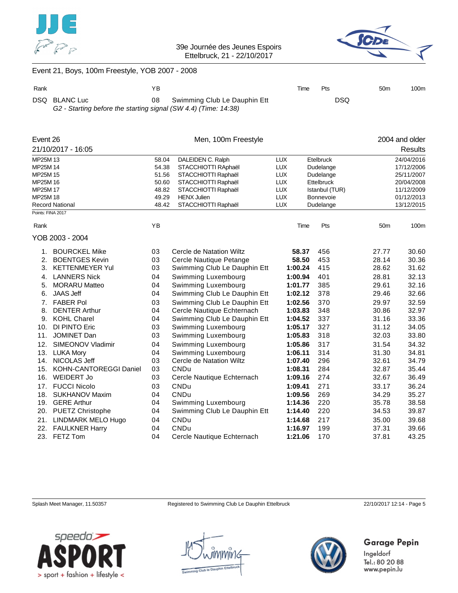



## Event 21, Boys, 100m Freestyle, YOB 2007 - 2008

| Rank |                                                                                  | ΥB |                                 | Time | Pts        | 50 <sub>m</sub> | 100m |
|------|----------------------------------------------------------------------------------|----|---------------------------------|------|------------|-----------------|------|
|      | DSQ BLANC Luc<br>G2 - Starting before the starting signal (SW 4.4) (Time: 14:38) |    | 08 Swimming Club Le Dauphin Ett |      | <b>DSQ</b> |                 |      |

| Event 26                     |                        |                              | Men, 100m Freestyle          |            |                |                 | 2004 and older |
|------------------------------|------------------------|------------------------------|------------------------------|------------|----------------|-----------------|----------------|
|                              | 21/10/2017 - 16:05     |                              |                              |            |                |                 | <b>Results</b> |
| MP25M 13                     |                        | 58.04                        | DALEIDEN C. Ralph            | <b>LUX</b> | Etelbruck      |                 | 24/04/2016     |
| MP25M 14                     |                        | 54.38                        | STACCHIOTTI RAphaël          | <b>LUX</b> | Dudelange      |                 | 17/12/2006     |
| MP25M 15                     |                        | 51.56                        | STACCHIOTTI Raphaël          | <b>LUX</b> | Dudelange      |                 | 25/11/2007     |
| MP25M 16                     |                        | 50.60<br>STACCHIOTTI Raphaël |                              | <b>LUX</b> | Ettelbruck     |                 | 20/04/2008     |
| MP25M 17                     |                        | 48.82                        | STACCHIOTTI Raphaël          | <b>LUX</b> | Istanbul (TUR) |                 | 11/12/2009     |
| MP25M 18                     |                        | 49.29                        | <b>HENX Julien</b>           | <b>LUX</b> | Bonnevoie      |                 | 01/12/2013     |
| Points: FINA 2017            | <b>Record National</b> | 48.42                        | STACCHIOTTI Raphaël          | <b>LUX</b> | Dudelange      |                 | 13/12/2015     |
|                              |                        |                              |                              |            |                |                 |                |
| Rank                         |                        | YB                           |                              | Time       | Pts            | 50 <sub>m</sub> | 100m           |
|                              | YOB 2003 - 2004        |                              |                              |            |                |                 |                |
| 1.                           | <b>BOURCKEL Mike</b>   | 03                           | Cercle de Natation Wiltz     | 58.37      | 456            | 27.77           | 30.60          |
| 2.                           | <b>BOENTGES Kevin</b>  | 03                           | Cercle Nautique Petange      | 58.50      | 453            | 28.14           | 30.36          |
| 3.                           | <b>KETTENMEYER Yul</b> | 03                           | Swimming Club Le Dauphin Ett | 1:00.24    | 415            | 28.62           | 31.62          |
| 4.                           | <b>LANNERS Nick</b>    | 04                           | Swimming Luxembourg          | 1:00.94    | 401            | 28.81           | 32.13          |
| 5.                           | <b>MORARU Matteo</b>   | 04                           | Swimming Luxembourg          | 1:01.77    | 385            | 29.61           | 32.16          |
| 6.                           | <b>JAAS Jeff</b>       | 04                           | Swimming Club Le Dauphin Ett | 1:02.12    | 378            | 29.46           | 32.66          |
| 7.                           | <b>FABER Pol</b>       | 03                           | Swimming Club Le Dauphin Ett | 1:02.56    | 370            | 29.97           | 32.59          |
| 8.                           | <b>DENTER Arthur</b>   | 04                           | Cercle Nautique Echternach   | 1:03.83    | 348            | 30.86           | 32.97          |
| 9.                           | <b>KOHL Charel</b>     | 04                           | Swimming Club Le Dauphin Ett | 1:04.52    | 337            | 31.16           | 33.36          |
| 10.                          | DI PINTO Eric          | 03                           | Swimming Luxembourg          | 1:05.17    | 327            | 31.12           | 34.05          |
| 11.                          | <b>JOMINET Dan</b>     | 03                           | Swimming Luxembourg          | 1:05.83    | 318            | 32.03           | 33.80          |
| 12.                          | SIMEONOV Vladimir      | 04                           | Swimming Luxembourg          | 1:05.86    | 317            | 31.54           | 34.32          |
| 13.                          | <b>LUKA Mory</b>       | 04                           | Swimming Luxembourg          | 1:06.11    | 314            | 31.30           | 34.81          |
| 14.                          | NICOLAS Jeff           | 03                           | Cercle de Natation Wiltz     | 1:07.40    | 296            | 32.61           | 34.79          |
| 15.                          | KOHN-CANTOREGGI Daniel | 03                           | <b>CNDu</b>                  | 1:08.31    | 284            | 32.87           | 35.44          |
| 16.                          | <b>WEIDERT Jo</b>      | 03                           | Cercle Nautique Echternach   | 1:09.16    | 274            | 32.67           | 36.49          |
| 17.                          | <b>FUCCI Nicolo</b>    | 03                           | <b>CNDu</b>                  | 1:09.41    | 271            | 33.17           | 36.24          |
| 18.                          | <b>SUKHANOV Maxim</b>  | 04                           | CNDu                         | 1:09.56    | 269            | 34.29           | 35.27          |
| 19.                          | <b>GERE Arthur</b>     | 04                           | Swimming Luxembourg          | 1:14.36    | 220            | 35.78           | 38.58          |
| 20.                          | PUETZ Christophe       | 04                           | Swimming Club Le Dauphin Ett | 1:14.40    | 220            | 34.53           | 39.87          |
| 21.                          | LINDMARK MELO Hugo     | 04                           | <b>CNDu</b>                  | 1:14.68    | 217            | 35.00           | 39.68          |
| <b>FAULKNER Harry</b><br>22. |                        | 04                           | <b>CNDu</b>                  | 1:16.97    | 199            | 37.31           | 39.66          |
| 23.                          | FETZ Tom               | 04                           | Cercle Nautique Echternach   | 1:21.06    | 170            | 37.81           | 43.25          |

Splash Meet Manager, 11.50357 Registered to Swimming Club Le Dauphin Ettelbruck 22/10/2017 12:14 - Page 5

**Garage Pepin** 



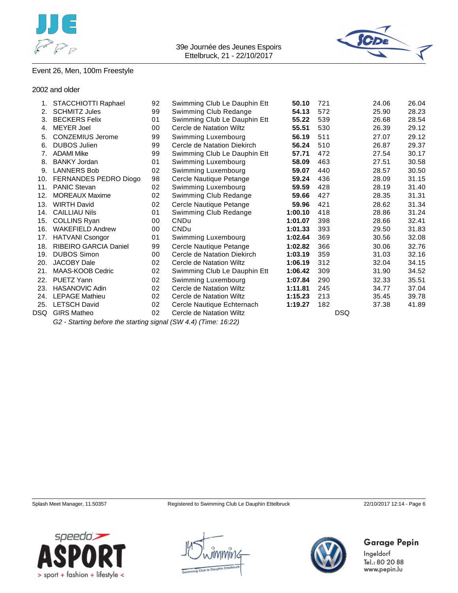



## Event 26, Men, 100m Freestyle

2002 and older

|     | STACCHIOTTI Raphael          | 92 | Swimming Club Le Dauphin Ett | 50.10   | 721        | 24.06 | 26.04 |
|-----|------------------------------|----|------------------------------|---------|------------|-------|-------|
| 2.  | <b>SCHMITZ Jules</b>         | 99 | Swimming Club Redange        | 54.13   | 572        | 25.90 | 28.23 |
| 3.  | <b>BECKERS Felix</b>         | 01 | Swimming Club Le Dauphin Ett | 55.22   | 539        | 26.68 | 28.54 |
| 4.  | <b>MEYER Joel</b>            | 00 | Cercle de Natation Wiltz     | 55.51   | 530        | 26.39 | 29.12 |
| 5.  | <b>CONZEMIUS Jerome</b>      | 99 | Swimming Luxembourg          | 56.19   | 511        | 27.07 | 29.12 |
| 6.  | <b>DUBOS Julien</b>          | 99 | Cercle de Natation Diekirch  | 56.24   | 510        | 26.87 | 29.37 |
| 7.  | <b>ADAMI Mike</b>            | 99 | Swimming Club Le Dauphin Ett | 57.71   | 472        | 27.54 | 30.17 |
| 8.  | <b>BANKY Jordan</b>          | 01 | Swimming Luxembourg          | 58.09   | 463        | 27.51 | 30.58 |
| 9.  | <b>LANNERS Bob</b>           | 02 | Swimming Luxembourg          | 59.07   | 440        | 28.57 | 30.50 |
| 10. | FERNANDES PEDRO Diogo        | 98 | Cercle Nautique Petange      | 59.24   | 436        | 28.09 | 31.15 |
| 11. | <b>PANIC Stevan</b>          | 02 | Swimming Luxembourg          | 59.59   | 428        | 28.19 | 31.40 |
| 12. | <b>MOREAUX Maxime</b>        | 02 | Swimming Club Redange        | 59.66   | 427        | 28.35 | 31.31 |
| 13. | <b>WIRTH David</b>           | 02 | Cercle Nautique Petange      | 59.96   | 421        | 28.62 | 31.34 |
| 14. | <b>CAILLIAU Nils</b>         | 01 | Swimming Club Redange        | 1:00.10 | 418        | 28.86 | 31.24 |
| 15. | <b>COLLINS Ryan</b>          | 00 | <b>CNDu</b>                  | 1:01.07 | 398        | 28.66 | 32.41 |
| 16. | <b>WAKEFIELD Andrew</b>      | 00 | <b>CNDu</b>                  | 1:01.33 | 393        | 29.50 | 31.83 |
| 17. | <b>HATVANI Csongor</b>       | 01 | Swimming Luxembourg          | 1:02.64 | 369        | 30.56 | 32.08 |
| 18. | <b>RIBEIRO GARCIA Daniel</b> | 99 | Cercle Nautique Petange      | 1:02.82 | 366        | 30.06 | 32.76 |
| 19. | <b>DUBOS Simon</b>           | 00 | Cercle de Natation Diekirch  | 1:03.19 | 359        | 31.03 | 32.16 |
| 20. | <b>JACOBY Dale</b>           | 02 | Cercle de Natation Wiltz     | 1:06.19 | 312        | 32.04 | 34.15 |
| 21. | MAAS-KOOB Cedric             | 02 | Swimming Club Le Dauphin Ett | 1:06.42 | 309        | 31.90 | 34.52 |
| 22. | PUETZ Yann                   | 02 | Swimming Luxembourg          | 1:07.84 | 290        | 32.33 | 35.51 |
| 23. | <b>HASANOVIC Adin</b>        | 02 | Cercle de Natation Wiltz     | 1:11.81 | 245        | 34.77 | 37.04 |
| 24. | <b>LEPAGE Mathieu</b>        | 02 | Cercle de Natation Wiltz     | 1:15.23 | 213        | 35.45 | 39.78 |
| 25. | <b>LETSCH David</b>          | 02 | Cercle Nautique Echternach   | 1:19.27 | 182        | 37.38 | 41.89 |
| DSQ | <b>GIRS Matheo</b>           | 02 | Cercle de Natation Wiltz     |         | <b>DSQ</b> |       |       |
|     |                              |    | $1/0.111$ $1/1/1$            |         |            |       |       |

*G2 - Starting before the starting signal (SW 4.4) (Time: 16:22)*



**Garage Pepin** 



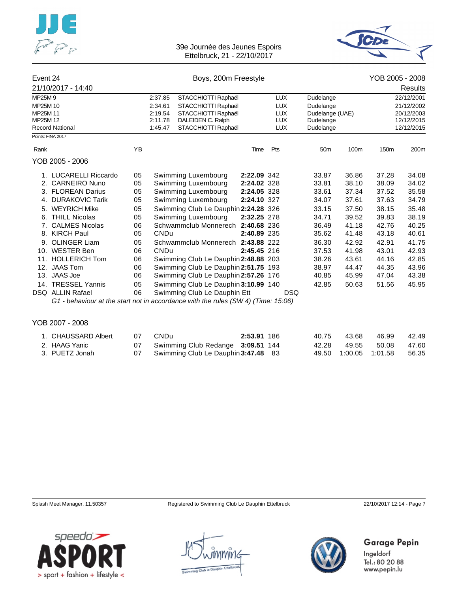



| Event 24 |                                                                                   |           | Boys, 200m Freestyle                 | YOB 2005 - 2008 |            |                 |       |         |            |
|----------|-----------------------------------------------------------------------------------|-----------|--------------------------------------|-----------------|------------|-----------------|-------|---------|------------|
|          | 21/10/2017 - 14:40                                                                |           |                                      |                 |            |                 |       |         | Results    |
| MP25M9   |                                                                                   |           | 2:37.85<br>STACCHIOTTI Raphaël       |                 | <b>LUX</b> | Dudelange       |       |         | 22/12/2001 |
| MP25M 10 |                                                                                   |           | STACCHIOTTI Raphaël<br>2:34.61       |                 | <b>LUX</b> | Dudelange       |       |         | 21/12/2002 |
| MP25M 11 |                                                                                   |           | 2:19.54<br>STACCHIOTTI Raphaël       |                 | <b>LUX</b> | Dudelange (UAE) |       |         | 20/12/2003 |
| MP25M 12 |                                                                                   |           | 2:11.78<br>DALEIDEN C. Ralph         |                 | <b>LUX</b> | Dudelange       |       |         | 12/12/2015 |
|          | <b>Record National</b>                                                            |           | STACCHIOTTI Raphaël<br>1:45.47       |                 | <b>LUX</b> | Dudelange       |       |         | 12/12/2015 |
|          | Points: FINA 2017                                                                 |           |                                      |                 |            |                 |       |         |            |
| Rank     |                                                                                   | YB        |                                      | Time            | Pts        | 50 <sub>m</sub> | 100m  | 150m    | 200m       |
|          | YOB 2005 - 2006                                                                   |           |                                      |                 |            |                 |       |         |            |
|          | 1. LUCARELLI Riccardo                                                             | 05        | Swimming Luxembourg                  | 2:22.09 342     |            | 33.87           | 36.86 | 37.28   | 34.08      |
|          | 2. CARNEIRO Nuno                                                                  | 05        | Swimming Luxembourg                  | 2:24.02 328     |            | 33.81           | 38.10 | 38.09   | 34.02      |
|          | 3. FLOREAN Darius                                                                 | 05        | Swimming Luxembourg                  | 2:24.05 328     |            | 33.61           | 37.34 | 37.52   | 35.58      |
| 4.       | <b>DURAKOVIC Tarik</b>                                                            | 05        | Swimming Luxembourg                  | 2:24.10 327     |            | 34.07           | 37.61 | 37.63   | 34.79      |
|          | 5. WEYRICH Mike                                                                   | 05        | Swimming Club Le Dauphin 2:24.28 326 |                 |            | 33.15           | 37.50 | 38.15   | 35.48      |
|          | 6. THILL Nicolas                                                                  | 05        | Swimming Luxembourg                  | 2:32.25 278     |            | 34.71           | 39.52 | 39.83   | 38.19      |
|          | 7. CALMES Nicolas                                                                 | 06        | Schwammclub Monnerech 2:40.68 236    |                 |            | 36.49           | 41.18 | 42.76   | 40.25      |
|          | 8. KIRCH Paul                                                                     | 05        | CNDu                                 | 2:40.89 235     |            | 35.62           | 41.48 | 43.18   | 40.61      |
|          | 9. OLINGER Liam                                                                   | 05        | Schwammclub Monnerech 2:43.88 222    |                 |            | 36.30           | 42.92 | 42.91   | 41.75      |
|          | 10. WESTER Ben                                                                    | 06        | <b>CNDu</b>                          | 2:45.45 216     |            | 37.53           | 41.98 | 43.01   | 42.93      |
|          | 11. HOLLERICH Tom                                                                 | 06        | Swimming Club Le Dauphin 2:48.88 203 |                 |            | 38.26           | 43.61 | 44.16   | 42.85      |
|          | 12. JAAS Tom                                                                      | 06        | Swimming Club Le Dauphin 2:51.75 193 |                 |            | 38.97           | 44.47 | 44.35   | 43.96      |
|          | 13. JAAS Joe                                                                      | 06        | Swimming Club Le Dauphin 2:57.26 176 |                 |            | 40.85           | 45.99 | 47.04   | 43.38      |
|          | 14. TRESSEL Yannis                                                                | 05        | Swimming Club Le Dauphin 3:10.99 140 |                 |            | 42.85           | 50.63 | 51.56   | 45.95      |
|          | <b>DSQ ALLIN Rafael</b>                                                           | 06        | Swimming Club Le Dauphin Ett         |                 | <b>DSQ</b> |                 |       |         |            |
|          | G1 - behaviour at the start not in accordance with the rules (SW 4) (Time: 15:06) |           |                                      |                 |            |                 |       |         |            |
|          | YOB 2007 - 2008                                                                   |           |                                      |                 |            |                 |       |         |            |
|          | 4 CUALICOADD Albort                                                               | <b>07</b> | $\sim$ NID                           | 2.5204.400      |            | AOZE            | 120   | $AC$ 00 | 10M        |

| 1. CHAUSSARD Albert | 07 - | -CNDu                                  | 2:53.91 186 | 40.75 | 43.68 | 46.99   | 42.49  |
|---------------------|------|----------------------------------------|-------------|-------|-------|---------|--------|
| 2. HAAG Yanic       |      | 07 Swimming Club Redange 3:09.51 144   |             | 42.28 | 49.55 | - 50.08 | 47.60  |
| 3. PUETZ Jonah      |      | 07 Swimming Club Le Dauphin 3:47.48 83 |             |       |       |         | -56.35 |

Splash Meet Manager, 11.50357 Registered to Swimming Club Le Dauphin Ettelbruck 22/10/2017 12:14 - Page 7







## **Garage Pepin**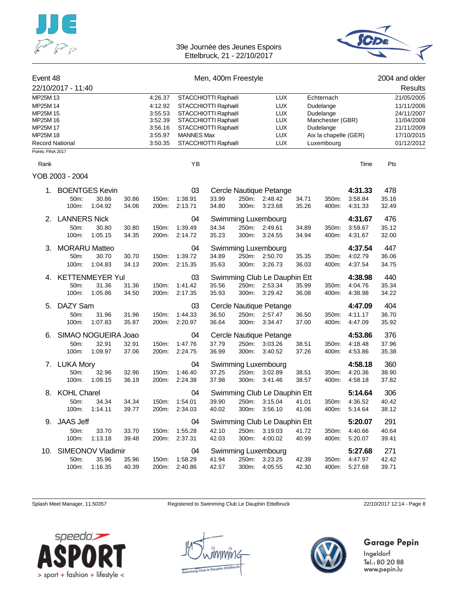



| Event 48             |                      |                        |       |                    |                                            | Men, 400m Freestyle |            |                                    |           |                  |            | 2004 and older           |  |
|----------------------|----------------------|------------------------|-------|--------------------|--------------------------------------------|---------------------|------------|------------------------------------|-----------|------------------|------------|--------------------------|--|
|                      | 22/10/2017 - 11:40   |                        |       |                    |                                            |                     |            |                                    |           |                  |            | Results                  |  |
| MP25M 13             |                      |                        |       | 4:26.37            |                                            | STACCHIOTTI Raphaël |            | <b>LUX</b>                         |           | Echternach       |            | 21/05/2005               |  |
| MP25M 14             |                      |                        |       | 4:12.92            | STACCHIOTTI Raphaël                        |                     |            | <b>LUX</b>                         |           | Dudelange        |            | 11/11/2006               |  |
| MP25M 15             |                      |                        |       | 3:55.53            | STACCHIOTTI Raphaël<br>STACCHIOTTI Raphaël |                     | <b>LUX</b> |                                    | Dudelange |                  | 24/11/2007 |                          |  |
| MP25M 16<br>MP25M 17 |                      |                        |       | 3:52.39<br>3:56.16 |                                            |                     |            | <b>LUX</b><br><b>LUX</b>           |           | Manchester (GBR) |            | 11/04/2008<br>21/11/2009 |  |
| MP25M 18             |                      |                        |       | 3:55.97            | STACCHIOTTI Raphaël<br><b>MANNES Max</b>   |                     | <b>LUX</b> | Dudelange<br>Aix la chapelle (GER) |           |                  | 17/10/2015 |                          |  |
| Record National      |                      |                        |       | 3:50.35            |                                            | STACCHIOTTI Raphaël |            | <b>LUX</b>                         |           | Luxembourg       |            | 01/12/2012               |  |
| Points: FINA 2017    |                      |                        |       |                    |                                            |                     |            |                                    |           |                  |            |                          |  |
| Rank                 |                      |                        |       |                    | YB                                         |                     |            |                                    |           |                  | Time       | Pts                      |  |
|                      | YOB 2003 - 2004      |                        |       |                    |                                            |                     |            |                                    |           |                  |            |                          |  |
| 1.                   |                      | <b>BOENTGES Kevin</b>  |       |                    | 03                                         |                     |            | Cercle Nautique Petange            |           |                  | 4:31.33    | 478                      |  |
|                      | 50m:                 | 30.86                  | 30.86 | 150m:              | 1:38.91                                    | 33.99               | 250m:      | 2:48.42                            | 34.71     | 350m:            | 3:58.84    | 35.16                    |  |
|                      | 100m:                | 1:04.92                | 34.06 | 200m:              | 2:13.71                                    | 34.80               | 300m:      | 3:23.68                            | 35.26     | 400m:            | 4:31.33    | 32.49                    |  |
| 2.                   | <b>LANNERS Nick</b>  |                        |       |                    | 04                                         |                     |            | Swimming Luxembourg                |           |                  | 4:31.67    | 476                      |  |
|                      | 50m:                 | 30.80                  | 30.80 | 150m:              | 1:39.49                                    | 34.34               |            | 250m: 2:49.61                      | 34.89     | 350m:            | 3:59.67    | 35.12                    |  |
|                      | 100m:                | 1:05.15                | 34.35 | 200m:              | 2:14.72                                    | 35.23               | 300m:      | 3:24.55                            | 34.94     | 400m:            | 4:31.67    | 32.00                    |  |
| З.                   | <b>MORARU Matteo</b> |                        |       |                    | 04                                         |                     |            | Swimming Luxembourg                |           |                  | 4:37.54    | 447                      |  |
|                      | 50m:                 | 30.70                  | 30.70 | 150m:              | 1:39.72                                    | 34.89               | 250m:      | 2:50.70                            | 35.35     | 350m:            | 4:02.79    | 36.06                    |  |
|                      | 100m:                | 1:04.83                | 34.13 | 200m:              | 2:15.35                                    | 35.63               | 300m:      | 3:26.73                            | 36.03     | 400m:            | 4:37.54    | 34.75                    |  |
| 4.                   |                      | <b>KETTENMEYER Yul</b> |       |                    | 03                                         |                     |            | Swimming Club Le Dauphin Ett       |           |                  | 4:38.98    | 440                      |  |
|                      | 50m:                 | 31.36                  | 31.36 | 150m:              | 1:41.42                                    | 35.56               | 250m:      | 2:53.34                            | 35.99     | 350m:            | 4:04.76    | 35.34                    |  |
|                      | 100m:                | 1:05.86                | 34.50 | 200m:              | 2:17.35                                    | 35.93               | 300m:      | 3.29.42                            | 36.08     | 400m:            | 4:38.98    | 34.22                    |  |
| 5.                   | DAZY Sam             |                        |       |                    | 03                                         |                     |            | Cercle Nautique Petange            |           |                  | 4:47.09    | 404                      |  |
|                      | 50m:                 | 31.96                  | 31.96 | 150m:              | 1:44.33                                    | 36.50               | 250m:      | 2:57.47                            | 36.50     | 350m:            | 4:11.17    | 36.70                    |  |
|                      | 100m:                | 1:07.83                | 35.87 | 200m:              | 2:20.97                                    | 36.64               | 300m:      | 3:34.47                            | 37.00     | 400m:            | 4:47.09    | 35.92                    |  |
| 6.                   |                      | SIMAO NOGUEIRA Joao    |       |                    | 04                                         |                     |            | Cercle Nautique Petange            |           |                  | 4:53.86    | 376                      |  |
|                      | 50m:                 | 32.91                  | 32.91 | 150m:              | 1:47.76                                    | 37.79               | 250m:      | 3:03.26                            | 38.51     | 350m:            | 4:18.48    | 37.96                    |  |
|                      | 100m:                | 1:09.97                | 37.06 | 200m:              | 2:24.75                                    | 36.99               | 300m:      | 3:40.52                            | 37.26     | 400m:            | 4:53.86    | 35.38                    |  |
|                      | 7. LUKA Mory         |                        |       |                    | 04                                         |                     |            | Swimming Luxembourg                |           |                  | 4:58.18    | 360                      |  |
|                      | 50m:                 | 32.96                  | 32.96 | 150m:              | 1:46.40                                    | 37.25               | 250m:      | 3:02.89                            | 38.51     | 350m:            | 4:20.36    | 38.90                    |  |
|                      | 100m:                | 1:09.15                | 36.19 | 200m:              | 2:24.38                                    | 37.98               | 300m:      | 3:41.46                            | 38.57     | 400m:            | 4:58.18    | 37.82                    |  |
| 8.                   | <b>KOHL Charel</b>   |                        |       |                    | 04                                         |                     |            | Swimming Club Le Dauphin Ett       |           |                  | 5:14.64    | 306                      |  |
|                      | 50m:                 | 34.34                  | 34.34 | 150m:              | 1:54.01                                    | 39.90               |            | 250m: 3:15.04                      | 41.01     | 350m:            | 4:36.52    | 40.42                    |  |
|                      | 100m:                | 1:14.11                | 39.77 |                    | 200m: 2:34.03                              | 40.02               |            | 300m: 3:56.10                      | 41.06     | 400m:            | 5:14.64    | 38.12                    |  |
| 9.                   | <b>JAAS Jeff</b>     |                        |       |                    | 04                                         |                     |            | Swimming Club Le Dauphin Ett       |           |                  | 5:20.07    | 291                      |  |
|                      | 50m:                 | 33.70                  | 33.70 | 150m:              | 1:55.28                                    | 42.10               |            | 250m: 3:19.03                      | 41.72     | 350m:            | 4:40.66    | 40.64                    |  |
|                      | 100m:                | 1:13.18                | 39.48 | 200m:              | 2:37.31                                    | 42.03               | 300m:      | 4:00.02                            | 40.99     | 400m:            | 5:20.07    | 39.41                    |  |
| 10.                  |                      | SIMEONOV Vladimir      |       |                    | 04                                         |                     |            | Swimming Luxembourg                |           |                  | 5:27.68    | 271                      |  |
|                      | 50m:                 | 35.96                  | 35.96 | 150m:              | 1:58.29                                    | 41.94               | 250m:      | 3:23.25                            | 42.39     | 350m:            | 4:47.97    | 42.42                    |  |
|                      | 100m:                | 1:16.35                | 40.39 | 200m:              | 2:40.86                                    | 42.57               | 300m:      | 4:05.55                            | 42.30     | 400m:            | 5:27.68    | 39.71                    |  |

Splash Meet Manager, 11.50357 Registered to Swimming Club Le Dauphin Ettelbruck 22/10/2017 12:14 - Page 8







## **Garage Pepin**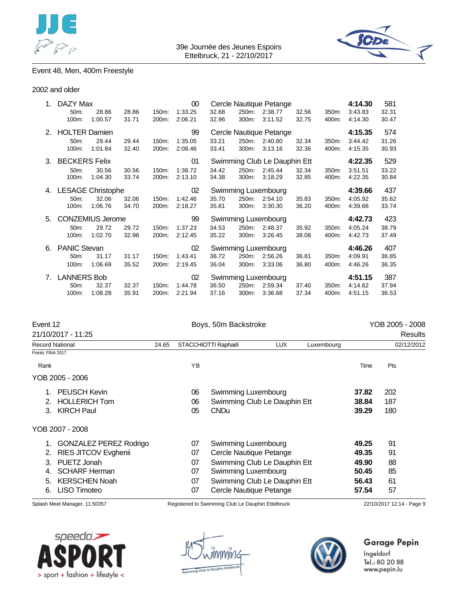



## Event 48, Men, 400m Freestyle

#### 2002 and older

| 1. | DAZY Max                 |         |       |       | 00                  |       | Cercle Nautique Petange      |                     |       |       |         | 581   |
|----|--------------------------|---------|-------|-------|---------------------|-------|------------------------------|---------------------|-------|-------|---------|-------|
|    | 50m:                     | 28.86   | 28.86 | 150m: | 1:33.25             | 32.68 | 250m:                        | 2:38.77             | 32.56 | 350m: | 3:43.83 | 32.31 |
|    | 100m:                    | 1:00.57 | 31.71 | 200m: | 2:06.21             | 32.96 | 300m:                        | 3:11.52             | 32.75 | 400m: | 4:14.30 | 30.47 |
| 2. | <b>HOLTER Damien</b>     |         |       |       | 99                  |       | Cercle Nautique Petange      |                     |       |       |         | 574   |
|    | 50m:                     | 29.44   | 29.44 | 150m: | 1:35.05             | 33.21 | 250m:                        | 2:40.80             | 32.34 | 350m: | 3:44.42 | 31.26 |
|    | 100m:                    | 1:01.84 | 32.40 | 200m: | 2:08.46             | 33.41 | 300m:                        | 3:13.16             | 32.36 | 400m: | 4:15.35 | 30.93 |
| 3. | <b>BECKERS Felix</b>     |         |       |       | 01                  |       | Swimming Club Le Dauphin Ett |                     |       |       |         | 529   |
|    | 50m:                     | 30.56   | 30.56 | 150m: | 1:38.72             | 34.42 | 250m:                        | 2:45.44             | 32.34 | 350m: | 3:51.51 | 33.22 |
|    | 100m:                    | 1:04.30 | 33.74 | 200m: | 2:13.10             | 34.38 | 300m:                        | 3:18.29             | 32.85 | 400m: | 4:22.35 | 30.84 |
| 4. | <b>LESAGE Christophe</b> | 02      |       |       | Swimming Luxembourg |       |                              | 4:39.66             | 437   |       |         |       |
|    | 50m:                     | 32.06   | 32.06 | 150m: | 1:42.46             | 35.70 | 250m:                        | 2:54.10             | 35.83 | 350m: | 4:05.92 | 35.62 |
|    | 100m:                    | 1:06.76 | 34.70 | 200m: | 2:18.27             | 35.81 | 300m:                        | 3:30.30             | 36.20 | 400m: | 4:39.66 | 33.74 |
| 5. | <b>CONZEMIUS Jerome</b>  |         |       |       | 99                  |       |                              | Swimming Luxembourg |       |       | 4:42.73 | 423   |
|    | 50m:                     | 29.72   | 29.72 | 150m: | 1:37.23             | 34.53 | 250m:                        | 2:48.37             | 35.92 | 350m: | 4:05.24 | 38.79 |
|    | 100m:                    | 1:02.70 | 32.98 | 200m: | 2:12.45             | 35.22 | 300m:                        | 3:26.45             | 38.08 | 400m: | 4:42.73 | 37.49 |
| 6. | <b>PANIC Stevan</b>      |         |       |       | 02                  |       |                              | Swimming Luxembourg |       |       | 4:46.26 | 407   |
|    | $50m$ :                  | 31.17   | 31.17 | 150m: | 1:43.41             | 36.72 | 250m:                        | 2:56.26             | 36.81 | 350m: | 4:09.91 | 36.85 |
|    | 100m:                    | 1:06.69 | 35.52 | 200m: | 2:19.45             | 36.04 | 300m:                        | 3:33.06             | 36.80 | 400m: | 4:46.26 | 36.35 |
| 7. | <b>LANNERS Bob</b><br>02 |         |       |       |                     |       |                              | Swimming Luxembourg |       |       | 4:51.15 | 387   |
|    | 50m:                     | 32.37   | 32.37 | 150m: | 1:44.78             | 36.50 | 250m:                        | 2:59.34             | 37.40 | 350m: | 4:14.62 | 37.94 |
|    | 100m:                    | 1:08.28 | 35.91 | 200m: | 2:21.94             | 37.16 | 300m:                        | 3:36.68             | 37.34 | 400m: | 4:51.15 | 36.53 |

| Event 12<br>21/10/2017 - 11:25 |    |             | YOB 2005 - 2008     |                                                                                                                      |                                                                                              |     |            |
|--------------------------------|----|-------------|---------------------|----------------------------------------------------------------------------------------------------------------------|----------------------------------------------------------------------------------------------|-----|------------|
|                                |    |             |                     |                                                                                                                      |                                                                                              |     | Results    |
| 24.65                          |    |             | <b>LUX</b>          | Luxembourg                                                                                                           |                                                                                              |     | 02/12/2012 |
|                                |    |             |                     |                                                                                                                      |                                                                                              |     |            |
|                                | YB |             |                     |                                                                                                                      | Time                                                                                         | Pts |            |
|                                |    |             |                     |                                                                                                                      |                                                                                              |     |            |
|                                | 06 |             |                     |                                                                                                                      | 37.82                                                                                        | 202 |            |
|                                | 06 |             |                     |                                                                                                                      | 38.84                                                                                        | 187 |            |
|                                | 05 | <b>CNDu</b> |                     |                                                                                                                      | 39.29                                                                                        | 180 |            |
|                                |    |             |                     |                                                                                                                      |                                                                                              |     |            |
| <b>GONZALEZ PEREZ Rodrigo</b>  | 07 |             |                     |                                                                                                                      | 49.25                                                                                        | 91  |            |
|                                | 07 |             |                     |                                                                                                                      | 49.35                                                                                        | 91  |            |
|                                | 07 |             |                     |                                                                                                                      | 49.90                                                                                        | 88  |            |
|                                | 07 |             |                     |                                                                                                                      | 50.45                                                                                        | 85  |            |
|                                | 07 |             |                     |                                                                                                                      | 56.43                                                                                        | 61  |            |
|                                |    |             | STACCHIOTTI Raphaël | Boys, 50m Backstroke<br>Swimming Luxembourg<br>Swimming Luxembourg<br>Cercle Nautique Petange<br>Swimming Luxembourg | Swimming Club Le Dauphin Ett<br>Swimming Club Le Dauphin Ett<br>Swimming Club Le Dauphin Ett |     |            |

- 6. LISO Timoteo 07 Cercle Nautique Petange **57.54** 57
- 

Splash Meet Manager, 11.50357 Registered to Swimming Club Le Dauphin Ettelbruck 22/10/2017 12:14 - Page 9





## **Garage Pepin**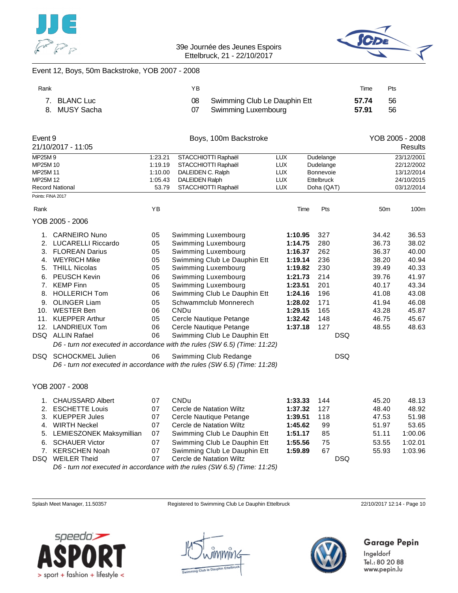



#### Event 12, Boys, 50m Backstroke, YOB 2007 - 2008

| Rank |               | ΥB |                                 | Time  | Pts |
|------|---------------|----|---------------------------------|-------|-----|
|      | 7. BLANC Luc  |    | 08 Swimming Club Le Dauphin Ett | 57.74 | 56  |
|      | 8. MUSY Sacha |    | Swimming Luxembourg             | 57.91 | 56  |

| Event 9           |                          |         | Boys, 100m Backstroke                                                      |            |            |            |                 | YOB 2005 - 2008 |
|-------------------|--------------------------|---------|----------------------------------------------------------------------------|------------|------------|------------|-----------------|-----------------|
|                   | 21/10/2017 - 11:05       |         |                                                                            |            |            |            |                 | Results         |
| MP25M9            |                          | 1:23.21 | STACCHIOTTI Raphaël                                                        | <b>LUX</b> | Dudelange  |            |                 | 23/12/2001      |
| MP25M 10          |                          | 1:19.19 | STACCHIOTTI Raphaël                                                        | LUX        | Dudelange  |            |                 | 22/12/2002      |
| MP25M 11          |                          | 1:10.00 | DALEIDEN C. Ralph                                                          | <b>LUX</b> | Bonnevoie  |            |                 | 13/12/2014      |
| MP25M 12          |                          | 1:05.43 | <b>DALEIDEN Ralph</b>                                                      | <b>LUX</b> | Ettelbruck |            |                 | 24/10/2015      |
|                   | <b>Record National</b>   | 53.79   | STACCHIOTTI Raphaël                                                        | <b>LUX</b> | Doha (QAT) |            |                 | 03/12/2014      |
| Points: FINA 2017 |                          |         |                                                                            |            |            |            |                 |                 |
| Rank              |                          | YB      |                                                                            | Time       | Pts        |            | 50 <sub>m</sub> | 100m            |
|                   | YOB 2005 - 2006          |         |                                                                            |            |            |            |                 |                 |
| 1.                | <b>CARNEIRO Nuno</b>     | 05      | Swimming Luxembourg                                                        | 1:10.95    | 327        |            | 34.42           | 36.53           |
|                   | 2. LUCARELLI Riccardo    | 05      | Swimming Luxembourg                                                        | 1:14.75    | 280        |            | 36.73           | 38.02           |
| 3.                | <b>FLOREAN Darius</b>    | 05      | Swimming Luxembourg                                                        | 1:16.37    | 262        |            | 36.37           | 40.00           |
| 4.                | <b>WEYRICH Mike</b>      | 05      | Swimming Club Le Dauphin Ett                                               | 1:19.14    | 236        |            | 38.20           | 40.94           |
| 5.                | <b>THILL Nicolas</b>     | 05      | Swimming Luxembourg                                                        | 1:19.82    | 230        |            | 39.49           | 40.33           |
| 6.                | PEUSCH Kevin             | 06      | Swimming Luxembourg                                                        | 1:21.73    | 214        |            | 39.76           | 41.97           |
| 7.                | <b>KEMP Finn</b>         | 05      | Swimming Luxembourg                                                        | 1:23.51    | 201        |            | 40.17           | 43.34           |
| 8.                | <b>HOLLERICH Tom</b>     | 06      | Swimming Club Le Dauphin Ett                                               | 1:24.16    | 196        |            | 41.08           | 43.08           |
| 9.                | <b>OLINGER Liam</b>      | 05      | Schwammclub Monnerech                                                      | 1:28.02    | 171        |            | 41.94           | 46.08           |
| 10.               | <b>WESTER Ben</b>        | 06      | <b>CNDu</b>                                                                | 1:29.15    | 165        |            | 43.28           | 45.87           |
| 11.               | <b>KUEPPER Arthur</b>    | 05      | Cercle Nautique Petange                                                    | 1:32.42    | 148        |            | 46.75           | 45.67           |
| 12.               | <b>LANDRIEUX Tom</b>     | 06      | Cercle Nautique Petange                                                    | 1:37.18    | 127        |            | 48.55           | 48.63           |
|                   | DSQ ALLIN Rafael         | 06      | Swimming Club Le Dauphin Ett                                               |            |            | <b>DSQ</b> |                 |                 |
|                   |                          |         | D6 - turn not executed in accordance with the rules (SW 6.5) (Time: 11:22) |            |            |            |                 |                 |
| DSQ               | <b>SCHOCKMEL Julien</b>  | 06      | Swimming Club Redange                                                      |            |            | <b>DSQ</b> |                 |                 |
|                   |                          |         | D6 - turn not executed in accordance with the rules (SW 6.5) (Time: 11:28) |            |            |            |                 |                 |
|                   | YOB 2007 - 2008          |         |                                                                            |            |            |            |                 |                 |
| 1.                | <b>CHAUSSARD Albert</b>  | 07      | CNDu                                                                       | 1:33.33    | 144        |            | 45.20           | 48.13           |
| 2.                | <b>ESCHETTE Louis</b>    | 07      | Cercle de Natation Wiltz                                                   | 1:37.32    | 127        |            | 48.40           | 48.92           |
| 3.                | <b>KUEPPER Jules</b>     | 07      | Cercle Nautique Petange                                                    | 1:39.51    | 118        |            | 47.53           | 51.98           |
| 4.                | <b>WIRTH Neckel</b>      | 07      | Cercle de Natation Wiltz                                                   | 1:45.62    | 99         |            | 51.97           | 53.65           |
| 5.                | LEMIESZONEK Maksymillian | 07      | Swimming Club Le Dauphin Ett                                               | 1:51.17    | 85         |            | 51.11           | 1:00.06         |
| 6.                | <b>SCHAUER Victor</b>    | 07      | Swimming Club Le Dauphin Ett                                               | 1:55.56    | 75         |            | 53.55           | 1:02.01         |
| 7.                | <b>KERSCHEN Noah</b>     | 07      | Swimming Club Le Dauphin Ett                                               | 1:59.89    | 67         |            | 55.93           | 1:03.96         |
| DSQ               | <b>WEILER Theid</b>      | 07      | Cercle de Natation Wiltz                                                   |            |            | <b>DSQ</b> |                 |                 |

*D6 - turn not executed in accordance with the rules (SW 6.5) (Time: 11:25)*

Splash Meet Manager, 11.50357 Registered to Swimming Club Le Dauphin Ettelbruck 22/10/2017 12:14 - Page 10





## **Garage Pepin**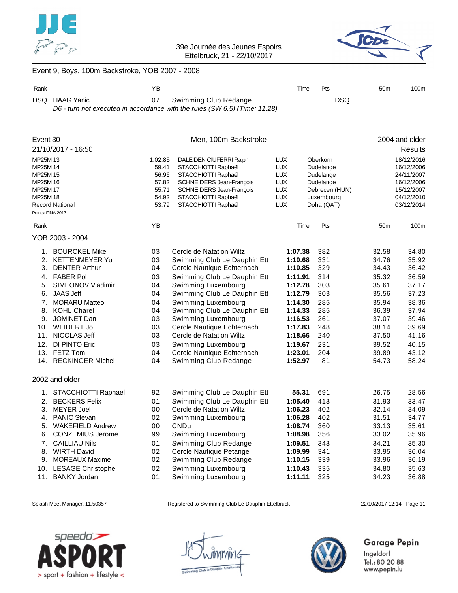



## Event 9, Boys, 100m Backstroke, YOB 2007 - 2008

| Rank |                | ΥB |                                                                                                        | Time | Pts        | 50 <sub>m</sub> | 100m |
|------|----------------|----|--------------------------------------------------------------------------------------------------------|------|------------|-----------------|------|
|      | DSQ HAAG Yanic |    | Swimming Club Redange<br>D6 - turn not executed in accordance with the rules (SW 6.5) (Time: $11:28$ ) |      | <b>DSQ</b> |                 |      |
|      |                |    |                                                                                                        |      |            |                 |      |

| Event 30 |                          |         | Men, 100m Backstroke            |            |                |       | 2004 and older |
|----------|--------------------------|---------|---------------------------------|------------|----------------|-------|----------------|
|          | 21/10/2017 - 16:50       |         |                                 |            |                |       | <b>Results</b> |
| MP25M 13 |                          | 1:02.85 | DALEIDEN CIUFERRI Ralph         | <b>LUX</b> | Oberkorn       |       | 18/12/2016     |
| MP25M 14 |                          | 59.41   | STACCHIOTTI Raphaël             | <b>LUX</b> | Dudelange      |       | 16/12/2006     |
| MP25M 15 |                          | 56.96   | STACCHIOTTI Raphaël             | <b>LUX</b> | Dudelange      |       | 24/11/2007     |
| MP25M 16 |                          | 57.82   | <b>SCHNEIDERS Jean-François</b> | <b>LUX</b> | Dudelange      |       | 16/12/2006     |
| MP25M 17 |                          | 55.71   | <b>SCHNEIDERS Jean-François</b> | <b>LUX</b> | Debrecen (HUN) |       | 15/12/2007     |
| MP25M 18 |                          | 54.92   | STACCHIOTTI Raphaël             | <b>LUX</b> | Luxembourg     |       | 04/12/2010     |
|          | <b>Record National</b>   | 53.79   | STACCHIOTTI Raphaël             | <b>LUX</b> | Doha (QAT)     |       | 03/12/2014     |
|          | Points: FINA 2017        |         |                                 |            |                |       |                |
| Rank     |                          | ΥB      |                                 |            | Pts<br>Time    | 50m   | 100m           |
|          | YOB 2003 - 2004          |         |                                 |            |                |       |                |
| 1.       | <b>BOURCKEL Mike</b>     | 03      | Cercle de Natation Wiltz        | 1:07.38    | 382            | 32.58 | 34.80          |
| 2.       | <b>KETTENMEYER Yul</b>   | 03      | Swimming Club Le Dauphin Ett    | 1:10.68    | 331            | 34.76 | 35.92          |
| 3.       | <b>DENTER Arthur</b>     | 04      | Cercle Nautique Echternach      | 1:10.85    | 329            | 34.43 | 36.42          |
| 4.       | <b>FABER Pol</b>         | 03      | Swimming Club Le Dauphin Ett    | 1:11.91    | 314            | 35.32 | 36.59          |
| 5.       | SIMEONOV Vladimir        | 04      | Swimming Luxembourg             | 1:12.78    | 303            | 35.61 | 37.17          |
| 6.       | <b>JAAS Jeff</b>         | 04      | Swimming Club Le Dauphin Ett    | 1:12.79    | 303            | 35.56 | 37.23          |
| 7.       | <b>MORARU Matteo</b>     | 04      | Swimming Luxembourg             | 1:14.30    | 285            | 35.94 | 38.36          |
| 8.       | <b>KOHL Charel</b>       | 04      | Swimming Club Le Dauphin Ett    | 1:14.33    | 285            | 36.39 | 37.94          |
| 9.       | JOMINET Dan              | 03      | Swimming Luxembourg             | 1:16.53    | 261            | 37.07 | 39.46          |
| 10.      | <b>WEIDERT Jo</b>        | 03      | Cercle Nautique Echternach      | 1:17.83    | 248            | 38.14 | 39.69          |
| 11.      | NICOLAS Jeff             | 03      | Cercle de Natation Wiltz        | 1:18.66    | 240            | 37.50 | 41.16          |
| 12.      | DI PINTO Eric            | 03      | Swimming Luxembourg             | 1:19.67    | 231            | 39.52 | 40.15          |
| 13.      | FETZ Tom                 | 04      | Cercle Nautique Echternach      | 1:23.01    | 204            | 39.89 | 43.12          |
| 14.      | <b>RECKINGER Michel</b>  | 04      | Swimming Club Redange           | 1:52.97    | 81             | 54.73 | 58.24          |
|          | 2002 and older           |         |                                 |            |                |       |                |
| 1.       | STACCHIOTTI Raphael      | 92      | Swimming Club Le Dauphin Ett    | 55.31      | 691            | 26.75 | 28.56          |
| 2.       | <b>BECKERS Felix</b>     | 01      | Swimming Club Le Dauphin Ett    | 1:05.40    | 418            | 31.93 | 33.47          |
| 3.       | <b>MEYER Joel</b>        | 00      | Cercle de Natation Wiltz        | 1:06.23    | 402            | 32.14 | 34.09          |
| 4.       | <b>PANIC Stevan</b>      | 02      | Swimming Luxembourg             | 1:06.28    | 402            | 31.51 | 34.77          |
|          | <b>WAKEFIELD Andrew</b>  | 00      | <b>CNDu</b>                     |            |                |       | 35.61          |
| 5.       |                          |         |                                 | 1:08.74    | 360            | 33.13 |                |
| 6.       | <b>CONZEMIUS Jerome</b>  | 99      | Swimming Luxembourg             | 1:08.98    | 356            | 33.02 | 35.96          |
| 7.       | <b>CAILLIAU Nils</b>     | 01      | Swimming Club Redange           | 1:09.51    | 348            | 34.21 | 35.30          |
| 8.       | <b>WIRTH David</b>       | 02      | Cercle Nautique Petange         | 1:09.99    | 341            | 33.95 | 36.04          |
| 9.       | <b>MOREAUX Maxime</b>    | 02      | Swimming Club Redange           | 1:10.15    | 339            | 33.96 | 36.19          |
| 10.      | <b>LESAGE Christophe</b> | 02      | Swimming Luxembourg             | 1:10.43    | 335            | 34.80 | 35.63          |
| 11.      | <b>BANKY Jordan</b>      | 01      | Swimming Luxembourg             | 1:11.11    | 325            | 34.23 | 36.88          |

Splash Meet Manager, 11.50357 Registered to Swimming Club Le Dauphin Ettelbruck 22/10/2017 12:14 - Page 11





## **Garage Pepin**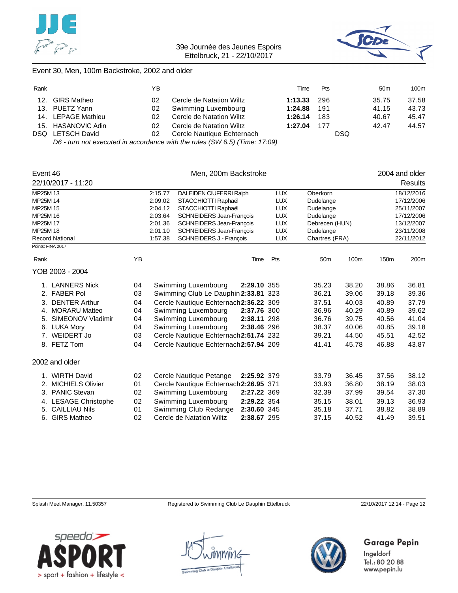



#### Event 30, Men, 100m Backstroke, 2002 and older

| Rank |                                                                            | YΒ |                            | Time    | <b>Pts</b> | 50 <sub>m</sub> | 100m  |
|------|----------------------------------------------------------------------------|----|----------------------------|---------|------------|-----------------|-------|
| 12.  | GIRS Matheo                                                                | 02 | Cercle de Natation Wiltz   | 1:13.33 | -296       | 35.75           | 37.58 |
|      | 13. PUETZ Yann                                                             | 02 | Swimming Luxembourg        | 1:24.88 | 191        | 41.15           | 43.73 |
|      | 14. LEPAGE Mathieu                                                         | 02 | Cercle de Natation Wiltz   | 1:26.14 | 183        | 40.67           | 45.47 |
|      | 15. HASANOVIC Adin                                                         | 02 | Cercle de Natation Wiltz   | 1:27.04 | 177        | 42.47           | 44.57 |
|      | DSQ LETSCH David                                                           | 02 | Cercle Nautique Echternach |         |            | <b>DSQ</b>      |       |
|      | D6 - turn not executed in accordance with the rules (SW 6.5) (Time: 17:09) |    |                            |         |            |                 |       |

|          | Event 46                 |                                    |                                | Men, 200m Backstroke                   |                | 2004 and older |                 |            |                  |                  |
|----------|--------------------------|------------------------------------|--------------------------------|----------------------------------------|----------------|----------------|-----------------|------------|------------------|------------------|
|          | 22/10/2017 - 11:20       |                                    |                                |                                        |                |                |                 |            |                  | Results          |
| MP25M 13 |                          |                                    | 2:15.77                        | DALEIDEN CIUFERRI Ralph                |                | <b>LUX</b>     | Oberkorn        |            |                  | 18/12/2016       |
| MP25M 14 |                          |                                    | 2:09.02                        | STACCHIOTTI Raphaël                    |                | <b>LUX</b>     | Dudelange       |            |                  | 17/12/2006       |
| MP25M 15 |                          |                                    | 2:04.12<br>STACCHIOTTI Raphaël |                                        |                | <b>LUX</b>     | Dudelange       |            |                  | 25/11/2007       |
| MP25M 16 |                          |                                    | 2:03.64                        | <b>SCHNEIDERS Jean-Francois</b>        |                | <b>LUX</b>     | Dudelange       |            |                  | 17/12/2006       |
| MP25M 17 |                          |                                    | 2:01.36                        | <b>SCHNEIDERS Jean-François</b>        |                | <b>LUX</b>     | Debrecen (HUN)  |            |                  | 13/12/2007       |
| MP25M 18 |                          |                                    | 2:01.10                        | <b>SCHNEIDERS Jean-François</b>        |                | <b>LUX</b>     | Dudelange       |            |                  | 23/11/2008       |
|          | <b>Record National</b>   | 1:57.38<br>SCHNEIDERS J.- François |                                | <b>LUX</b>                             | Chartres (FRA) |                |                 | 22/11/2012 |                  |                  |
|          | Points: FINA 2017        |                                    |                                |                                        |                |                |                 |            |                  |                  |
| Rank     |                          | YB                                 |                                |                                        | Time           | Pts            | 50 <sub>m</sub> | 100m       | 150 <sub>m</sub> | 200 <sub>m</sub> |
|          | YOB 2003 - 2004          |                                    |                                |                                        |                |                |                 |            |                  |                  |
|          | 1. LANNERS Nick          | 04                                 |                                | Swimming Luxembourg                    | 2:29.10 355    |                | 35.23           | 38.20      | 38.86            | 36.81            |
|          | 2. FABER Pol             | 03                                 |                                | Swimming Club Le Dauphin 2:33.81 323   |                |                | 36.21           | 39.06      | 39.18            | 39.36            |
| 3.       | <b>DENTER Arthur</b>     | 04                                 |                                | Cercle Nautique Echternach 2:36.22 309 |                |                | 37.51           | 40.03      | 40.89            | 37.79            |
| 4.       | <b>MORARU Matteo</b>     | 04                                 |                                | Swimming Luxembourg                    | 2:37.76 300    |                | 36.96           | 40.29      | 40.89            | 39.62            |
| 5.       | SIMEONOV Vladimir        | 04                                 |                                | Swimming Luxembourg                    | 2:38.11 298    |                | 36.76           | 39.75      | 40.56            | 41.04            |
| 6.       | <b>LUKA Mory</b>         | 04                                 |                                | Swimming Luxembourg                    | 2:38.46 296    |                | 38.37           | 40.06      | 40.85            | 39.18            |
|          | 7. WEIDERT Jo            | 03                                 |                                | Cercle Nautique Echternach 2:51.74 232 |                |                | 39.21           | 44.50      | 45.51            | 42.52            |
|          | 8. FETZ Tom              | 04                                 |                                | Cercle Nautique Echternach 2:57.94 209 |                |                | 41.41           | 45.78      | 46.88            | 43.87            |
|          | 2002 and older           |                                    |                                |                                        |                |                |                 |            |                  |                  |
|          | 1. WIRTH David           | 02                                 |                                | Cercle Nautique Petange                | 2:25.92 379    |                | 33.79           | 36.45      | 37.56            | 38.12            |
| 2.       | <b>MICHIELS Olivier</b>  | 01                                 |                                | Cercle Nautique Echternach 2:26.95 371 |                |                | 33.93           | 36.80      | 38.19            | 38.03            |
| 3.       | <b>PANIC Stevan</b>      | 02                                 |                                | Swimming Luxembourg                    | 2:27.22 369    |                | 32.39           | 37.99      | 39.54            | 37.30            |
| 4.       | <b>LESAGE Christophe</b> | 02                                 |                                | Swimming Luxembourg                    | 2:29.22 354    |                | 35.15           | 38.01      | 39.13            | 36.93            |
| 5.       | <b>CAILLIAU Nils</b>     | 01                                 |                                | Swimming Club Redange                  | 2:30.60 345    |                | 35.18           | 37.71      | 38.82            | 38.89            |
| 6.       | <b>GIRS Matheo</b>       | 02                                 |                                | Cercle de Natation Wiltz               | 2:38.67 295    |                | 37.15           | 40.52      | 41.49            | 39.51            |

Splash Meet Manager, 11.50357 Registered to Swimming Club Le Dauphin Ettelbruck 22/10/2017 12:14 - Page 12

**Garage Pepin** 



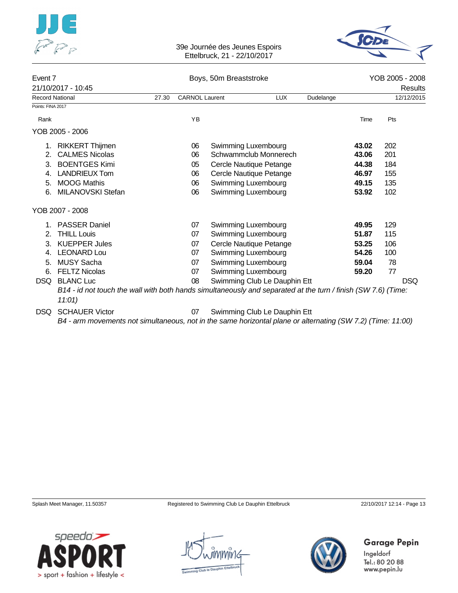



| Event 7                |                                                                                                                                          |       |                       | Boys, 50m Breaststroke |                              |           |         |     | YOB 2005 - 2008 |  |
|------------------------|------------------------------------------------------------------------------------------------------------------------------------------|-------|-----------------------|------------------------|------------------------------|-----------|---------|-----|-----------------|--|
|                        | 21/10/2017 - 10:45                                                                                                                       |       |                       |                        |                              |           | Results |     |                 |  |
| <b>Record National</b> |                                                                                                                                          | 27.30 | <b>CARNOL Laurent</b> |                        | <b>LUX</b>                   | Dudelange |         |     | 12/12/2015      |  |
| Points: FINA 2017      |                                                                                                                                          |       |                       |                        |                              |           |         |     |                 |  |
| Rank                   |                                                                                                                                          |       | YB                    |                        |                              |           | Time    | Pts |                 |  |
|                        | YOB 2005 - 2006                                                                                                                          |       |                       |                        |                              |           |         |     |                 |  |
|                        | 1. RIKKERT Thijmen                                                                                                                       |       | 06                    |                        | Swimming Luxembourg          |           | 43.02   | 202 |                 |  |
| 2.                     | <b>CALMES Nicolas</b>                                                                                                                    |       | 06                    |                        | Schwammclub Monnerech        |           | 43.06   | 201 |                 |  |
| 3.                     | <b>BOENTGES Kimi</b>                                                                                                                     |       | 05                    |                        | Cercle Nautique Petange      |           | 44.38   | 184 |                 |  |
| 4.                     | <b>LANDRIEUX Tom</b>                                                                                                                     |       | 06                    |                        | Cercle Nautique Petange      |           | 46.97   | 155 |                 |  |
| 5.                     | <b>MOOG Mathis</b>                                                                                                                       |       | 06                    |                        | Swimming Luxembourg          |           | 49.15   | 135 |                 |  |
| 6.                     | MILANOVSKI Stefan                                                                                                                        |       | 06                    |                        | Swimming Luxembourg          |           | 53.92   | 102 |                 |  |
|                        | YOB 2007 - 2008                                                                                                                          |       |                       |                        |                              |           |         |     |                 |  |
|                        | <b>PASSER Daniel</b>                                                                                                                     |       | 07                    |                        | Swimming Luxembourg          |           | 49.95   | 129 |                 |  |
| 2.                     | <b>THILL Louis</b>                                                                                                                       |       | 07                    |                        | Swimming Luxembourg          |           | 51.87   | 115 |                 |  |
| 3.                     | <b>KUEPPER Jules</b>                                                                                                                     |       | 07                    |                        | Cercle Nautique Petange      |           | 53.25   | 106 |                 |  |
| 4.                     | <b>LEONARD Lou</b>                                                                                                                       |       | 07                    |                        | Swimming Luxembourg          |           | 54.26   | 100 |                 |  |
| 5.                     | <b>MUSY Sacha</b>                                                                                                                        |       | 07                    |                        | Swimming Luxembourg          |           | 59.04   | 78  |                 |  |
| 6.                     | <b>FELTZ Nicolas</b>                                                                                                                     |       | 07                    |                        | Swimming Luxembourg          |           | 59.20   | 77  |                 |  |
|                        | DSQ BLANC Luc                                                                                                                            |       | 08                    |                        | Swimming Club Le Dauphin Ett |           |         |     | <b>DSQ</b>      |  |
|                        | B14 - id not touch the wall with both hands simultaneously and separated at the turn / finish (SW 7.6) (Time:<br>11:01)                  |       |                       |                        |                              |           |         |     |                 |  |
| DSQ.                   | <b>SCHAUER Victor</b><br>$D\ell$ arm movements not simultaneous, not in the same berizontal plane ar elternation (CIM 7.2) (Time: 11:00) |       | 07                    |                        | Swimming Club Le Dauphin Ett |           |         |     |                 |  |

*B4 - arm movements not simultaneous, not in the same horizontal plane or alternating (SW 7.2) (Time: 11:00)*

Splash Meet Manager, 11.50357 Registered to Swimming Club Le Dauphin Ettelbruck 22/10/2017 12:14 - Page 13





**Garage Pepin** Ingeldorf

Tel.: 80 20 88 www.pepin.lu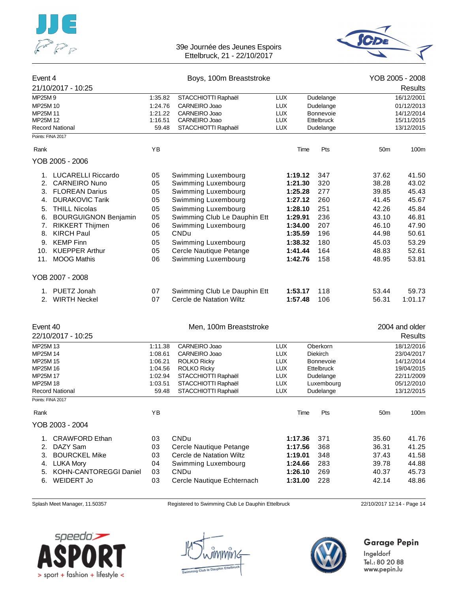



| Event 4           |                             |         | Boys, 100m Breaststroke      |            |      |                   |                 | YOB 2005 - 2008 |
|-------------------|-----------------------------|---------|------------------------------|------------|------|-------------------|-----------------|-----------------|
|                   | 21/10/2017 - 10:25          |         |                              |            |      |                   |                 | Results         |
| MP25M9            |                             | 1:35.82 | STACCHIOTTI Raphaël          | <b>LUX</b> |      | Dudelange         |                 | 16/12/2001      |
| MP25M 10          |                             | 1:24.76 | CARNEIRO Joao                | <b>LUX</b> |      | Dudelange         |                 | 01/12/2013      |
| MP25M 11          |                             | 1:21.22 | CARNEIRO Joao                | <b>LUX</b> |      | Bonnevoie         |                 | 14/12/2014      |
| MP25M 12          |                             | 1:16.51 | CARNEIRO Joao                | <b>LUX</b> |      | Ettelbruck        |                 | 15/11/2015      |
|                   | <b>Record National</b>      | 59.48   | STACCHIOTTI Raphaël          | <b>LUX</b> |      | Dudelange         |                 | 13/12/2015      |
| Points: FINA 2017 |                             |         |                              |            |      |                   |                 |                 |
| Rank              |                             | YB      |                              |            | Time | Pts               | 50 <sub>m</sub> | 100m            |
|                   | YOB 2005 - 2006             |         |                              |            |      |                   |                 |                 |
| 1.                | LUCARELLI Riccardo          | 05      | Swimming Luxembourg          | 1:19.12    |      | 347               | 37.62           | 41.50           |
| 2.                | <b>CARNEIRO Nuno</b>        | 05      | Swimming Luxembourg          | 1:21.30    |      | 320               | 38.28           | 43.02           |
|                   | 3. FLOREAN Darius           | 05      | Swimming Luxembourg          | 1:25.28    |      | 277               | 39.85           | 45.43           |
| 4.                | <b>DURAKOVIC Tarik</b>      | 05      | Swimming Luxembourg          | 1:27.12    |      | 260               | 41.45           | 45.67           |
| 5.                | <b>THILL Nicolas</b>        | 05      | Swimming Luxembourg          | 1:28.10    |      | 251               | 42.26           | 45.84           |
| 6.                | <b>BOURGUIGNON Benjamin</b> | 05      | Swimming Club Le Dauphin Ett | 1:29.91    |      | 236               | 43.10           | 46.81           |
| 7.                | <b>RIKKERT Thijmen</b>      | 06      | Swimming Luxembourg          | 1:34.00    |      | 207               | 46.10           | 47.90           |
| 8.                | <b>KIRCH Paul</b>           | 05      | <b>CNDu</b>                  | 1:35.59    |      | 196               | 44.98           | 50.61           |
| 9.                | <b>KEMP Finn</b>            | 05      | Swimming Luxembourg          | 1:38.32    |      | 180               | 45.03           | 53.29           |
| 10.               | <b>KUEPPER Arthur</b>       | 05      | Cercle Nautique Petange      | 1:41.44    |      | 164               | 48.83           | 52.61           |
| 11.               | <b>MOOG Mathis</b>          | 06      | Swimming Luxembourg          | 1:42.76    |      | 158               | 48.95           | 53.81           |
|                   |                             |         |                              |            |      |                   |                 |                 |
|                   | YOB 2007 - 2008             |         |                              |            |      |                   |                 |                 |
|                   | 1. PUETZ Jonah              | 07      | Swimming Club Le Dauphin Ett | 1:53.17    |      | 118               | 53.44           | 59.73           |
|                   | 2. WIRTH Neckel             | 07      | Cercle de Natation Wiltz     | 1:57.48    |      | 106               | 56.31           | 1:01.17         |
|                   |                             |         |                              |            |      |                   |                 |                 |
| Event 40          |                             |         | Men, 100m Breaststroke       |            |      |                   |                 | 2004 and older  |
|                   | 22/10/2017 - 10:25          |         |                              |            |      |                   |                 | <b>Results</b>  |
| MP25M 13          |                             | 1:11.38 | CARNEIRO Joao                | <b>LUX</b> |      | Oberkorn          |                 | 18/12/2016      |
| MP25M 14          |                             | 1:08.61 | CARNEIRO Joao                | <b>LUX</b> |      | <b>Diekirch</b>   |                 | 23/04/2017      |
| MP25M 15          |                             | 1:06.21 | <b>ROLKO Ricky</b>           | <b>LUX</b> |      | <b>Bonnevoie</b>  |                 | 14/12/2014      |
| MP25M 16          |                             | 1:04.56 | <b>ROLKO Ricky</b>           | <b>LUX</b> |      | <b>Ettelbruck</b> |                 | 19/04/2015      |
| MP25M 17          |                             | 1:02.94 | STACCHIOTTI Raphaël          | <b>LUX</b> |      | Dudelange         |                 | 22/11/2009      |
| MP25M 18          |                             | 1:03.51 | STACCHIOTTI Raphaël          | <b>LUX</b> |      | Luxembourg        |                 | 05/12/2010      |
| Points: FINA 2017 | <b>Record National</b>      | 59.48   | STACCHIOTTI Raphaël          | <b>LUX</b> |      | Dudelange         |                 | 13/12/2015      |
| Rank              |                             | YB      |                              |            | Time | Pts               | 50 <sub>m</sub> | 100m            |
|                   | YOB 2003 - 2004             |         |                              |            |      |                   |                 |                 |
| 1.                | <b>CRAWFORD Ethan</b>       | 03      | CNDu                         | 1:17.36    |      | 371               | 35.60           | 41.76           |
| 2.                | DAZY Sam                    | 03      | Cercle Nautique Petange      | 1:17.56    |      | 368               | 36.31           | 41.25           |
| 3.                | <b>BOURCKEL Mike</b>        | 03      | Cercle de Natation Wiltz     | 1:19.01    |      | 348               | 37.43           | 41.58           |
| 4.                | <b>LUKA Mory</b>            | 04      | Swimming Luxembourg          | 1:24.66    |      | 283               | 39.78           | 44.88           |
| 5.                | KOHN-CANTOREGGI Daniel      | 03      | CNDu                         | 1:26.10    |      | 269               | 40.37           | 45.73           |
| 6.                | <b>WEIDERT Jo</b>           | 03      |                              |            |      |                   |                 | 48.86           |
|                   |                             |         | Cercle Nautique Echternach   | 1:31.00    |      | 228               | 42.14           |                 |

Splash Meet Manager, 11.50357 Registered to Swimming Club Le Dauphin Ettelbruck 22/10/2017 12:14 - Page 14



nmir1c



## **Garage Pepin**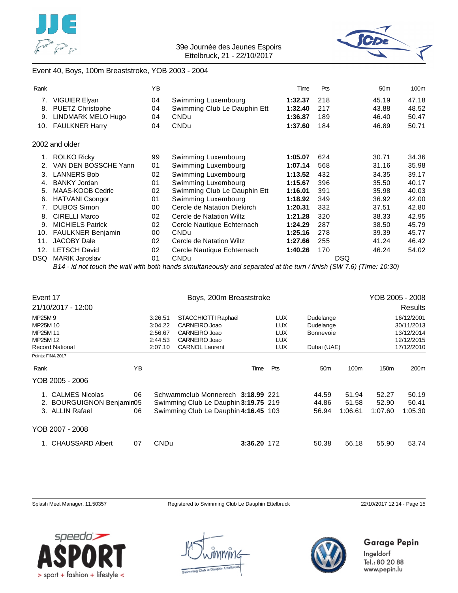



#### Event 40, Boys, 100m Breaststroke, YOB 2003 - 2004

| Rank |                         | YB |                              | Time    | Pts        | 50 <sub>m</sub> | 100m  |
|------|-------------------------|----|------------------------------|---------|------------|-----------------|-------|
| 7.   | VIGUIER Elyan           | 04 | Swimming Luxembourg          | 1:32.37 | 218        | 45.19           | 47.18 |
| 8.   | <b>PUETZ Christophe</b> | 04 | Swimming Club Le Dauphin Ett | 1:32.40 | 217        | 43.88           | 48.52 |
| 9.   | LINDMARK MELO Hugo      | 04 | <b>CNDu</b>                  | 1:36.87 | 189        | 46.40           | 50.47 |
| 10.  | <b>FAULKNER Harry</b>   | 04 | <b>CNDu</b>                  | 1:37.60 | 184        | 46.89           | 50.71 |
|      | 2002 and older          |    |                              |         |            |                 |       |
|      | <b>ROLKO Ricky</b>      | 99 | Swimming Luxembourg          | 1:05.07 | 624        | 30.71           | 34.36 |
| 2.   | VAN DEN BOSSCHE Yann    | 01 | Swimming Luxembourg          | 1:07.14 | 568        | 31.16           | 35.98 |
| 3.   | <b>LANNERS Bob</b>      | 02 | Swimming Luxembourg          | 1:13.52 | 432        | 34.35           | 39.17 |
| 4.   | <b>BANKY Jordan</b>     | 01 | Swimming Luxembourg          | 1:15.67 | 396        | 35.50           | 40.17 |
| 5.   | MAAS-KOOB Cedric        | 02 | Swimming Club Le Dauphin Ett | 1:16.01 | 391        | 35.98           | 40.03 |
| 6.   | <b>HATVANI Csongor</b>  | 01 | Swimming Luxembourg          | 1:18.92 | 349        | 36.92           | 42.00 |
| 7.   | <b>DUBOS Simon</b>      | 00 | Cercle de Natation Diekirch  | 1:20.31 | 332        | 37.51           | 42.80 |
| 8.   | <b>CIRELLI Marco</b>    | 02 | Cercle de Natation Wiltz     | 1:21.28 | 320        | 38.33           | 42.95 |
| 9.   | <b>MICHIELS Patrick</b> | 02 | Cercle Nautique Echternach   | 1:24.29 | 287        | 38.50           | 45.79 |
| 10.  | FAULKNER Benjamin       | 00 | <b>CNDu</b>                  | 1:25.16 | 278        | 39.39           | 45.77 |
| 11.  | <b>JACOBY Dale</b>      | 02 | Cercle de Natation Wiltz     | 1:27.66 | 255        | 41.24           | 46.42 |
| 12.  | <b>LETSCH David</b>     | 02 | Cercle Nautique Echternach   | 1:40.26 | 170        | 46.24           | 54.02 |
| DSQ  | MARIK Jaroslav          | 01 | <b>CNDu</b>                  |         | <b>DSQ</b> |                 |       |
|      |                         |    |                              |         |            |                 |       |

*B14 - id not touch the wall with both hands simultaneously and separated at the turn / finish (SW 7.6) (Time: 10:30)*

| Event 17 |                           |                                                        |             | Boys, 200m Breaststroke              |             | YOB 2005 - 2008 |                 |         |                  |            |
|----------|---------------------------|--------------------------------------------------------|-------------|--------------------------------------|-------------|-----------------|-----------------|---------|------------------|------------|
|          | 21/10/2017 - 12:00        |                                                        |             |                                      |             |                 |                 |         |                  | Results    |
| MP25M 9  |                           |                                                        | 3:26.51     | STACCHIOTTI Raphaël                  |             | <b>LUX</b>      | Dudelange       |         |                  | 16/12/2001 |
| MP25M 10 |                           |                                                        | 3:04.22     | CARNEIRO Joao                        |             | <b>LUX</b>      | Dudelange       |         |                  | 30/11/2013 |
| MP25M 11 |                           |                                                        | 2:56.67     | CARNEIRO Joao                        |             | <b>LUX</b>      | Bonnevoie       |         |                  | 13/12/2014 |
| MP25M 12 |                           |                                                        | 2:44.53     | CARNEIRO Joao                        |             | <b>LUX</b>      |                 |         |                  | 12/12/2015 |
|          | <b>Record National</b>    | <b>CARNOL Laurent</b><br>LUX<br>Dubai (UAE)<br>2:07.10 |             |                                      |             | 17/12/2010      |                 |         |                  |            |
|          | Points: FINA 2017         |                                                        |             |                                      |             |                 |                 |         |                  |            |
| Rank     |                           | ΥB                                                     |             |                                      | Time        | <b>Pts</b>      | 50 <sub>m</sub> | 100m    | 150 <sub>m</sub> | 200m       |
|          | YOB 2005 - 2006           |                                                        |             |                                      |             |                 |                 |         |                  |            |
| 1.       | <b>CALMES Nicolas</b>     | 06                                                     |             | Schwammclub Monnerech 3:18.99 221    |             |                 | 44.59           | 51.94   | 52.27            | 50.19      |
|          | 2. BOURGUIGNON Benjamin05 |                                                        |             | Swimming Club Le Dauphin 3:19.75 219 |             |                 | 44.86           | 51.58   | 52.90            | 50.41      |
| 3.       | <b>ALLIN Rafael</b>       | 06                                                     |             | Swimming Club Le Dauphin 4:16.45 103 |             |                 | 56.94           | 1:06.61 | 1:07.60          | 1:05.30    |
|          | YOB 2007 - 2008           |                                                        |             |                                      |             |                 |                 |         |                  |            |
| 1.       | <b>CHAUSSARD Albert</b>   | 07                                                     | <b>CNDu</b> |                                      | 3:36.20 172 |                 | 50.38           | 56.18   | 55.90            | 53.74      |

Splash Meet Manager, 11.50357 Registered to Swimming Club Le Dauphin Ettelbruck 22/10/2017 12:14 - Page 15





## **Garage Pepin**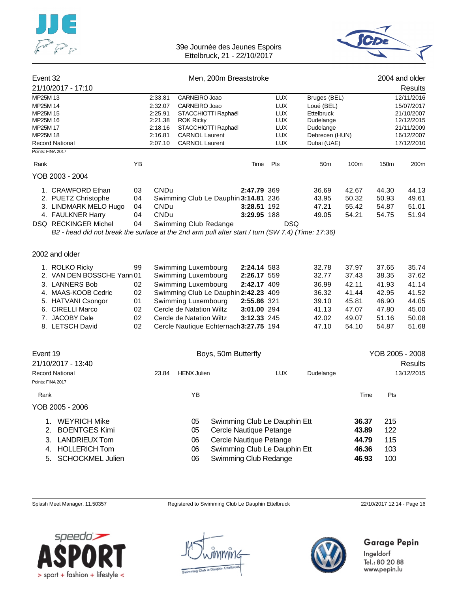



| Event 32 |                                                                                                   |    | Men, 200m Breaststroke |                                        |             |            |                 |       |                 | 2004 and older |
|----------|---------------------------------------------------------------------------------------------------|----|------------------------|----------------------------------------|-------------|------------|-----------------|-------|-----------------|----------------|
|          | 21/10/2017 - 17:10                                                                                |    |                        |                                        |             |            |                 |       |                 | <b>Results</b> |
| MP25M 13 |                                                                                                   |    | 2:33.81                | CARNEIRO Joao                          |             | <b>LUX</b> | Bruges (BEL)    |       | 12/11/2016      |                |
| MP25M 14 |                                                                                                   |    | 2:32.07                | CARNEIRO Joao                          |             | <b>LUX</b> | Loué (BEL)      |       |                 | 15/07/2017     |
| MP25M 15 |                                                                                                   |    | 2:25.91                | STACCHIOTTI Raphaël                    |             | <b>LUX</b> | Ettelbruck      |       |                 | 21/10/2007     |
| MP25M 16 |                                                                                                   |    | 2:21.38                | <b>ROK Ricky</b>                       |             | <b>LUX</b> | Dudelange       |       |                 | 12/12/2015     |
| MP25M 17 |                                                                                                   |    | 2:18.16                | STACCHIOTTI Raphaël                    |             | <b>LUX</b> | Dudelange       |       |                 | 21/11/2009     |
| MP25M 18 |                                                                                                   |    | 2:16.81                | <b>CARNOL Laurent</b>                  |             | <b>LUX</b> | Debrecen (HUN)  |       |                 | 16/12/2007     |
|          | <b>Record National</b>                                                                            |    | 2:07.10                | <b>CARNOL Laurent</b>                  |             | <b>LUX</b> | Dubai (UAE)     |       |                 | 17/12/2010     |
|          | Points: FINA 2017                                                                                 |    |                        |                                        |             |            |                 |       |                 |                |
| Rank     |                                                                                                   | YB |                        |                                        | Time        | Pts        | 50 <sub>m</sub> | 100m  | 150m            | 200m           |
|          | YOB 2003 - 2004                                                                                   |    |                        |                                        |             |            |                 |       |                 |                |
|          | 1. CRAWFORD Ethan                                                                                 | 03 | CNDu                   |                                        | 2:47.79 369 |            | 36.69           | 42.67 | 44.30           | 44.13          |
|          | 2. PUETZ Christophe                                                                               | 04 |                        | Swimming Club Le Dauphin 3:14.81 236   |             |            | 43.95           | 50.32 | 50.93           | 49.61          |
|          | 3. LINDMARK MELO Hugo                                                                             | 04 | CNDu                   |                                        | 3:28.51 192 |            | 47.21           | 55.42 | 54.87           | 51.01          |
|          | 4. FAULKNER Harry                                                                                 | 04 | CNDu                   |                                        | 3:29.95 188 |            | 49.05           | 54.21 | 54.75           | 51.94          |
|          | <b>DSQ RECKINGER Michel</b>                                                                       | 04 |                        | Swimming Club Redange                  |             | <b>DSQ</b> |                 |       |                 |                |
|          | B2 - head did not break the surface at the 2nd arm pull after start / turn (SW 7.4) (Time: 17:36) |    |                        |                                        |             |            |                 |       |                 |                |
|          | 2002 and older                                                                                    |    |                        |                                        |             |            |                 |       |                 |                |
|          | 1. ROLKO Ricky                                                                                    | 99 |                        | Swimming Luxembourg                    | 2:24.14 583 |            | 32.78           | 37.97 | 37.65           | 35.74          |
|          | 2. VAN DEN BOSSCHE Yann 01                                                                        |    |                        | Swimming Luxembourg                    | 2:26.17 559 |            | 32.77           | 37.43 | 38.35           | 37.62          |
|          | 3. LANNERS Bob                                                                                    | 02 |                        | Swimming Luxembourg                    | 2:42.17 409 |            | 36.99           | 42.11 | 41.93           | 41.14          |
|          | 4. MAAS-KOOB Cedric                                                                               | 02 |                        | Swimming Club Le Dauphin 2:42.23 409   |             |            | 36.32           | 41.44 | 42.95           | 41.52          |
|          | 5. HATVANI Csongor                                                                                | 01 |                        | Swimming Luxembourg                    | 2:55.86 321 |            | 39.10           | 45.81 | 46.90           | 44.05          |
|          | 6. CIRELLI Marco                                                                                  | 02 |                        | Cercle de Natation Wiltz               | 3:01.00 294 |            | 41.13           | 47.07 | 47.80           | 45.00          |
|          | 7. JACOBY Dale                                                                                    | 02 |                        | Cercle de Natation Wiltz               | 3:12.33 245 |            | 42.02           | 49.07 | 51.16           | 50.08          |
|          | 8. LETSCH David                                                                                   | 02 |                        |                                        |             |            | 47.10           | 54.10 | 54.87           | 51.68          |
|          |                                                                                                   |    |                        | Cercle Nautique Echternach 3:27.75 194 |             |            |                 |       |                 |                |
| Event 19 |                                                                                                   |    |                        | Boys, 50m Butterfly                    |             |            |                 |       | YOB 2005 - 2008 |                |
|          |                                                                                                   |    |                        |                                        |             |            |                 |       |                 |                |

|       |                         |                    | Results                                                      |
|-------|-------------------------|--------------------|--------------------------------------------------------------|
| 23.84 | <b>LUX</b>              | Dudelange          | 13/12/2015                                                   |
|       |                         |                    |                                                              |
| ΥB    |                         | Time               | Pts                                                          |
|       |                         |                    |                                                              |
| 05    |                         | 36.37              | 215                                                          |
| 05    | Cercle Nautique Petange | 43.89              | 122                                                          |
| 06    | Cercle Nautique Petange | 44.79              | 115                                                          |
| 06    |                         | 46.36              | 103                                                          |
| 06    | Swimming Club Redange   | 46.93              | 100                                                          |
|       |                         | <b>HENX Julien</b> | Swimming Club Le Dauphin Ett<br>Swimming Club Le Dauphin Ett |

Splash Meet Manager, 11.50357 Registered to Swimming Club Le Dauphin Ettelbruck 22/10/2017 12:14 - Page 16



nmir1c



## **Garage Pepin**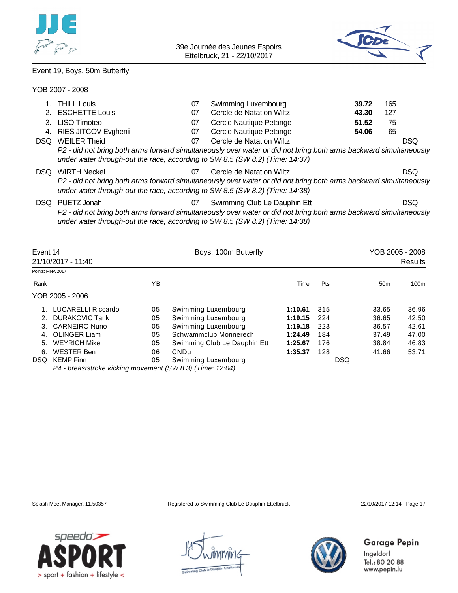



## Event 19, Boys, 50m Butterfly

#### YOB 2007 - 2008

|                    | <b>THILL Louis</b>                                                           | 07 | Swimming Luxembourg                                                                                               | 39.72 | 165 |                 |
|--------------------|------------------------------------------------------------------------------|----|-------------------------------------------------------------------------------------------------------------------|-------|-----|-----------------|
| 2.                 | <b>ESCHETTE Louis</b>                                                        | 07 | Cercle de Natation Wiltz                                                                                          | 43.30 | 127 |                 |
| 3.                 | LISO Timoteo                                                                 | 07 | Cercle Nautique Petange                                                                                           | 51.52 | 75  |                 |
| 4.                 | RIES JITCOV Evghenii                                                         | 07 | Cercle Nautique Petange                                                                                           | 54.06 | 65  |                 |
| DSQ.               | <b>WEILER Theid</b>                                                          | 07 | Cercle de Natation Wiltz                                                                                          |       |     | <b>DSQ</b>      |
|                    | under water through-out the race, according to SW 8.5 (SW 8.2) (Time: 14:37) |    | P2 - did not bring both arms forward simultaneously over water or did not bring both arms backward simultaneously |       |     |                 |
| DSQ.               | <b>WIRTH Neckel</b>                                                          | 07 | Cercle de Natation Wiltz                                                                                          |       |     | <b>DSQ</b>      |
|                    | under water through-out the race, according to SW 8.5 (SW 8.2) (Time: 14:38) |    | P2 - did not bring both arms forward simultaneously over water or did not bring both arms backward simultaneously |       |     |                 |
| DSQ.               | PUETZ Jonah                                                                  | 07 | Swimming Club Le Dauphin Ett                                                                                      |       |     | <b>DSQ</b>      |
|                    | under water through-out the race, according to SW 8.5 (SW 8.2) (Time: 14:38) |    | P2 - did not bring both arms forward simultaneously over water or did not bring both arms backward simultaneously |       |     |                 |
| Event 14           |                                                                              |    | Boys, 100m Butterfly                                                                                              |       |     | YOB 2005 - 2008 |
|                    | 21/10/2017 - 11:40                                                           |    |                                                                                                                   |       |     | Results         |
| Pointe: FINIA 2017 |                                                                              |    |                                                                                                                   |       |     |                 |

| Points: FINA 2017 |                                                           |    |                              |         |     |                 |       |
|-------------------|-----------------------------------------------------------|----|------------------------------|---------|-----|-----------------|-------|
| Rank              |                                                           | YΒ |                              | Time    | Pts | 50 <sub>m</sub> | 100m  |
|                   | YOB 2005 - 2006                                           |    |                              |         |     |                 |       |
|                   | <b>LUCARELLI Riccardo</b>                                 | 05 | Swimming Luxembourg          | 1:10.61 | 315 | 33.65           | 36.96 |
|                   | <b>DURAKOVIC Tarik</b>                                    | 05 | Swimming Luxembourg          | 1:19.15 | 224 | 36.65           | 42.50 |
| 3.                | CARNEIRO Nuno                                             | 05 | Swimming Luxembourg          | 1:19.18 | 223 | 36.57           | 42.61 |
| 4.                | OLINGER Liam                                              | 05 | Schwammclub Monnerech        | 1:24.49 | 184 | 37.49           | 47.00 |
| 5.                | WEYRICH Mike                                              | 05 | Swimming Club Le Dauphin Ett | 1:25.67 | 176 | 38.84           | 46.83 |
| 6.                | WESTER Ben                                                | 06 | CNDu                         | 1:35.37 | 128 | 41.66           | 53.71 |
| DSQ.              | KEMP Finn                                                 | 05 | Swimming Luxembourg          |         |     | <b>DSQ</b>      |       |
|                   | P4 - breaststroke kicking movement (SW 8.3) (Time: 12:04) |    |                              |         |     |                 |       |

Splash Meet Manager, 11.50357 Registered to Swimming Club Le Dauphin Ettelbruck 22/10/2017 12:14 - Page 17

Garage Pepin



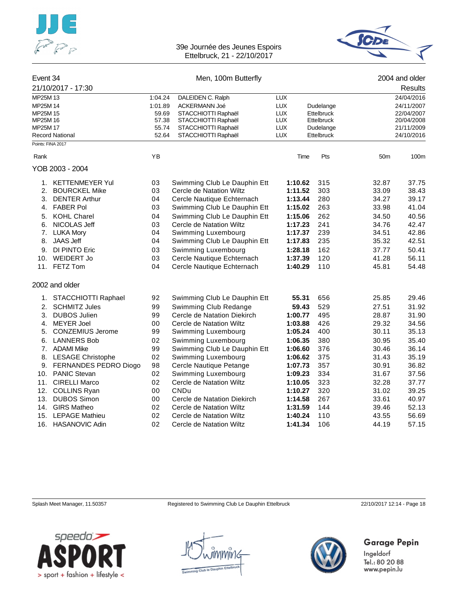



| Event 34 |                                             |         | Men, 100m Butterfly          |            |         |            |                 | 2004 and older |
|----------|---------------------------------------------|---------|------------------------------|------------|---------|------------|-----------------|----------------|
|          | 21/10/2017 - 17:30                          |         |                              |            |         |            |                 | Results        |
| MP25M 13 |                                             | 1:04.24 | DALEIDEN C. Ralph            | <b>LUX</b> |         |            |                 | 24/04/2016     |
| MP25M 14 |                                             | 1:01.89 | ACKERMANN Joé                | <b>LUX</b> |         | Dudelange  |                 | 24/11/2007     |
| MP25M 15 |                                             | 59.69   | STACCHIOTTI Raphaël          | <b>LUX</b> |         | Ettelbruck |                 | 22/04/2007     |
| MP25M 16 |                                             | 57.38   | STACCHIOTTI Raphaël          | LUX        |         | Ettelbruck |                 | 20/04/2008     |
| MP25M 17 |                                             | 55.74   | STACCHIOTTI Raphaël          | <b>LUX</b> |         | Dudelange  |                 | 21/11/2009     |
|          | <b>Record National</b><br>Points: FINA 2017 | 52.64   | STACCHIOTTI Raphaël          | <b>LUX</b> |         | Ettelbruck |                 | 24/10/2016     |
| Rank     |                                             | ΥB      |                              |            | Time    | Pts        | 50 <sub>m</sub> | 100m           |
|          |                                             |         |                              |            |         |            |                 |                |
|          | YOB 2003 - 2004                             |         |                              |            |         |            |                 |                |
|          | 1. KETTENMEYER Yul                          | 03      | Swimming Club Le Dauphin Ett | 1:10.62    |         | 315        | 32.87           | 37.75          |
| 2.       | <b>BOURCKEL Mike</b>                        | 03      | Cercle de Natation Wiltz     | 1:11.52    |         | 303        | 33.09           | 38.43          |
| 3.       | <b>DENTER Arthur</b>                        | 04      | Cercle Nautique Echternach   | 1:13.44    |         | 280        | 34.27           | 39.17          |
|          | 4. FABER Pol                                | 03      | Swimming Club Le Dauphin Ett | 1:15.02    |         | 263        | 33.98           | 41.04          |
| 5.       | <b>KOHL Charel</b>                          | 04      | Swimming Club Le Dauphin Ett | 1:15.06    |         | 262        | 34.50           | 40.56          |
| 6.       | NICOLAS Jeff                                | 03      | Cercle de Natation Wiltz     | 1:17.23    |         | 241        | 34.76           | 42.47          |
| 7.       | <b>LUKA Mory</b>                            | 04      | Swimming Luxembourg          |            | 1:17.37 | 239        | 34.51           | 42.86          |
| 8.       | <b>JAAS Jeff</b>                            | 04      | Swimming Club Le Dauphin Ett | 1:17.83    |         | 235        | 35.32           | 42.51          |
| 9.       | DI PINTO Eric                               | 03      | Swimming Luxembourg          | 1:28.18    |         | 162        | 37.77           | 50.41          |
| 10.      | WEIDERT Jo                                  | 03      | Cercle Nautique Echternach   | 1:37.39    |         | 120        | 41.28           | 56.11          |
|          | 11. FETZ Tom                                | 04      | Cercle Nautique Echternach   | 1:40.29    |         | 110        | 45.81           | 54.48          |
|          | 2002 and older                              |         |                              |            |         |            |                 |                |
| 1.       | STACCHIOTTI Raphael                         | 92      | Swimming Club Le Dauphin Ett | 55.31      |         | 656        | 25.85           | 29.46          |
| 2.       | <b>SCHMITZ Jules</b>                        | 99      | Swimming Club Redange        | 59.43      |         | 529        | 27.51           | 31.92          |
| 3.       | <b>DUBOS Julien</b>                         | 99      | Cercle de Natation Diekirch  | 1:00.77    |         | 495        | 28.87           | 31.90          |
| 4.       | <b>MEYER Joel</b>                           | 00      | Cercle de Natation Wiltz     | 1:03.88    |         | 426        | 29.32           | 34.56          |
| 5.       | <b>CONZEMIUS Jerome</b>                     | 99      | Swimming Luxembourg          | 1:05.24    |         | 400        | 30.11           | 35.13          |
| 6.       | <b>LANNERS Bob</b>                          | 02      | Swimming Luxembourg          | 1:06.35    |         | 380        | 30.95           | 35.40          |
|          | 7. ADAMI Mike                               | 99      | Swimming Club Le Dauphin Ett | 1:06.60    |         | 376        | 30.46           | 36.14          |
|          | 8. LESAGE Christophe                        | 02      | Swimming Luxembourg          | 1:06.62    |         | 375        | 31.43           | 35.19          |
| 9.       | FERNANDES PEDRO Diogo                       | 98      | Cercle Nautique Petange      | 1:07.73    |         | 357        | 30.91           | 36.82          |
|          | 10. PANIC Stevan                            | 02      | Swimming Luxembourg          | 1:09.23    |         | 334        | 31.67           | 37.56          |
| 11.      | <b>CIRELLI Marco</b>                        | 02      | Cercle de Natation Wiltz     | 1:10.05    |         | 323        | 32.28           | 37.77          |
|          | 12. COLLINS Ryan                            | 00      | <b>CNDu</b>                  | 1:10.27    |         | 320        | 31.02           | 39.25          |
| 13.      | <b>DUBOS Simon</b>                          | 00      | Cercle de Natation Diekirch  | 1:14.58    |         | 267        | 33.61           | 40.97          |
|          | 14. GIRS Matheo                             | 02      | Cercle de Natation Wiltz     | 1:31.59    |         | 144        | 39.46           | 52.13          |
| 15.      | <b>LEPAGE Mathieu</b>                       | 02      | Cercle de Natation Wiltz     | 1:40.24    |         | 110        | 43.55           | 56.69          |
| 16.      | <b>HASANOVIC Adin</b>                       | 02      | Cercle de Natation Wiltz     | 1:41.34    |         | 106        | 44.19           | 57.15          |

Splash Meet Manager, 11.50357 Registered to Swimming Club Le Dauphin Ettelbruck 22/10/2017 12:14 - Page 18



nmir1c



## Garage Pepin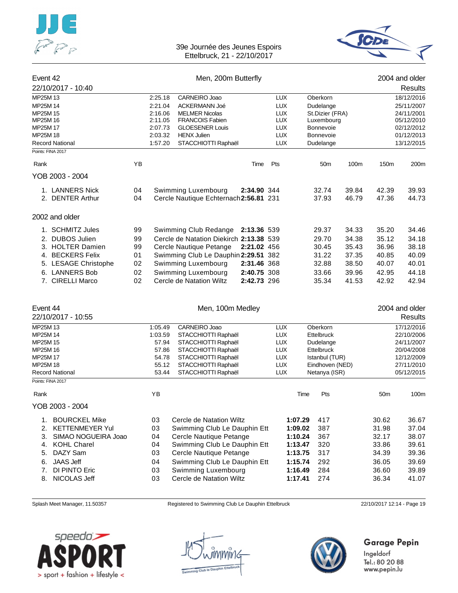



#### Event 42 **Event 42** 2004 and older

| 22/10/2017 - 10:40                          |    |         |                                         |             |            |                 |       |                 | Results        |
|---------------------------------------------|----|---------|-----------------------------------------|-------------|------------|-----------------|-------|-----------------|----------------|
| MP25M 13                                    |    | 2:25.18 | CARNEIRO Joao                           |             | <b>LUX</b> | Oberkorn        |       |                 | 18/12/2016     |
| MP25M 14                                    |    | 2:21.04 | <b>ACKERMANN Joé</b>                    |             | <b>LUX</b> | Dudelange       |       |                 | 25/11/2007     |
| MP25M 15                                    |    | 2:16.06 | <b>MELMER Nicolas</b>                   |             | <b>LUX</b> | St.Dizier (FRA) |       |                 | 24/11/2001     |
| MP25M 16                                    |    | 2:11.05 | <b>FRANCOIS Fabien</b>                  |             | <b>LUX</b> | Luxembourg      |       |                 | 05/12/2010     |
| MP25M 17                                    |    | 2:07.73 | <b>GLOESENER Louis</b>                  |             | <b>LUX</b> | Bonnevoie       |       |                 | 02/12/2012     |
| MP25M 18                                    |    | 2:03.32 | <b>HENX Julien</b>                      |             | <b>LUX</b> | Bonnevoie       |       |                 | 01/12/2013     |
| <b>Record National</b><br>Points: FINA 2017 |    | 1:57.20 | STACCHIOTTI Raphaël                     |             | <b>LUX</b> | Dudelange       |       |                 | 13/12/2015     |
|                                             |    |         |                                         |             |            |                 |       |                 |                |
| Rank                                        | YB |         |                                         | Time        | Pts        | 50 <sub>m</sub> | 100m  | 150m            | 200m           |
| YOB 2003 - 2004                             |    |         |                                         |             |            |                 |       |                 |                |
| 1. LANNERS Nick                             | 04 |         | Swimming Luxembourg                     | 2:34.90 344 |            | 32.74           | 39.84 | 42.39           | 39.93          |
| 2. DENTER Arthur                            | 04 |         | Cercle Nautique Echternach 2:56.81 231  |             |            | 37.93           | 46.79 | 47.36           | 44.73          |
| 2002 and older                              |    |         |                                         |             |            |                 |       |                 |                |
| 1. SCHMITZ Jules                            | 99 |         | Swimming Club Redange                   | 2:13.36 539 |            | 29.37           | 34.33 | 35.20           | 34.46          |
| 2. DUBOS Julien                             | 99 |         | Cercle de Natation Diekirch 2:13.38 539 |             |            | 29.70           | 34.38 | 35.12           | 34.18          |
| 3. HOLTER Damien                            | 99 |         | Cercle Nautique Petange                 | 2:21.02 456 |            | 30.45           | 35.43 | 36.96           | 38.18          |
| 4. BECKERS Felix                            | 01 |         | Swimming Club Le Dauphin 2:29.51 382    |             |            | 31.22           | 37.35 | 40.85           | 40.09          |
| 5. LESAGE Christophe                        | 02 |         | Swimming Luxembourg                     | 2:31.46 368 |            | 32.88           | 38.50 | 40.07           | 40.01          |
| 6. LANNERS Bob                              | 02 |         | Swimming Luxembourg                     | 2:40.75 308 |            | 33.66           | 39.96 | 42.95           | 44.18          |
| 7. CIRELLI Marco                            | 02 |         | Cercle de Natation Wiltz                | 2:42.73 296 |            | 35.34           | 41.53 | 42.92           | 42.94          |
|                                             |    |         |                                         |             |            |                 |       |                 |                |
| Event 44                                    |    |         | Men, 100m Medley                        |             |            |                 |       |                 | 2004 and older |
| 22/10/2017 - 10:55                          |    |         |                                         |             |            |                 |       |                 | <b>Results</b> |
| MP25M 13                                    |    | 1:05.49 | CARNEIRO Joao                           |             | <b>LUX</b> | Oberkorn        |       |                 | 17/12/2016     |
| MP25M 14                                    |    | 1:03.59 | STACCHIOTTI Raphaël                     |             | <b>LUX</b> | Ettelbruck      |       |                 | 22/10/2006     |
| MP25M 15                                    |    | 57.94   | STACCHIOTTI Raphaël                     |             | <b>LUX</b> | Dudelange       |       |                 | 24/11/2007     |
| MP25M 16                                    |    | 57.86   | STACCHIOTTI Raphaël                     |             | <b>LUX</b> | Ettelbruck      |       |                 | 20/04/2008     |
| MP25M 17                                    |    | 54.78   | STACCHIOTTI Raphaël                     |             | <b>LUX</b> | Istanbul (TUR)  |       |                 | 12/12/2009     |
| MP25M 18                                    |    | 55.12   | STACCHIOTTI Raphaël                     |             | <b>LUX</b> | Eindhoven (NED) |       |                 | 27/11/2010     |
| <b>Record National</b><br>Points: FINA 2017 |    | 53.44   | STACCHIOTTI Raphaël                     |             | <b>LUX</b> | Netanya (ISR)   |       |                 | 05/12/2015     |
| Rank                                        |    | YB      |                                         |             |            | Time<br>Pts     |       | 50 <sub>m</sub> | 100m           |
| YOB 2003 - 2004                             |    |         |                                         |             |            |                 |       |                 |                |
| <b>BOURCKEL Mike</b><br>1.                  |    | 03      | Cercle de Natation Wiltz                |             | 1:07.29    | 417             |       | 30.62           | 36.67          |
| 2. KETTENMEYER Yul                          |    | 03      | Swimming Club Le Dauphin Ett            |             | 1:09.02    | 387             |       | 31.98           | 37.04          |
| SIMAO NOGUEIRA Joao<br>3.                   |    | 04      | Cercle Nautique Petange                 |             | 1:10.24    | 367             |       | 32.17           | 38.07          |
| <b>KOHL Charel</b><br>4.                    |    | 04      | Swimming Club Le Dauphin Ett            |             | 1:13.47    | 320             |       | 33.86           | 39.61          |
| DAZY Sam<br>5.                              |    | 03      | Cercle Nautique Petange                 |             | 1:13.75    | 317             |       | 34.39           | 39.36          |
| <b>JAAS Jeff</b><br>6.                      |    | 04      | Swimming Club Le Dauphin Ett            |             | 1:15.74    | 292             |       | 36.05           | 39.69          |
| DI PINTO Eric<br>7.                         |    | 03      | Swimming Luxembourg                     |             | 1:16.49    | 284             |       | 36.60           | 39.89          |
| NICOLAS Jeff<br>8.                          |    | 03      | Cercle de Natation Wiltz                |             | 1:17.41    | 274             |       | 36.34           | 41.07          |

Splash Meet Manager, 11.50357 Registered to Swimming Club Le Dauphin Ettelbruck 22/10/2017 12:14 - Page 19





## Garage Pepin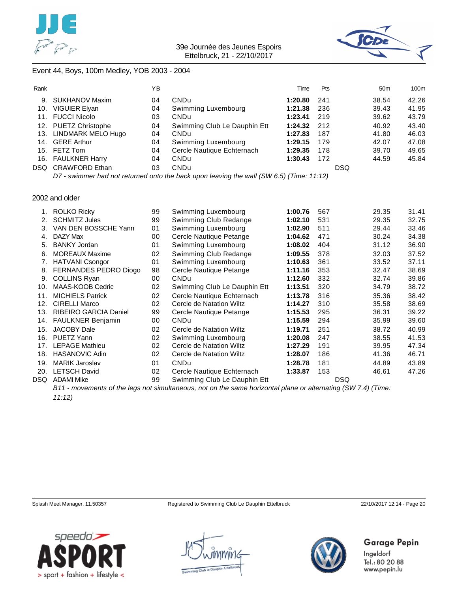



#### Event 44, Boys, 100m Medley, YOB 2003 - 2004

| Rank |                      | ΥB |                                                                                             | Time    | <b>Pts</b> | 50 <sub>m</sub> | 100m  |
|------|----------------------|----|---------------------------------------------------------------------------------------------|---------|------------|-----------------|-------|
| 9.   | SUKHANOV Maxim       | 04 | CNDu                                                                                        | 1:20.80 | 241        | 38.54           | 42.26 |
| 10.  | VIGUIER Elyan        | 04 | Swimming Luxembourg                                                                         | 1:21.38 | 236        | 39.43           | 41.95 |
|      | 11. FUCCI Nicolo     | 03 | <b>CNDu</b>                                                                                 | 1:23.41 | 219        | 39.62           | 43.79 |
|      | 12. PUETZ Christophe | 04 | Swimming Club Le Dauphin Ett                                                                | 1:24.32 | 212        | 40.92           | 43.40 |
| 13.  | LINDMARK MELO Hugo   | 04 | <b>CNDu</b>                                                                                 | 1:27.83 | 187        | 41.80           | 46.03 |
| 14.  | <b>GERE Arthur</b>   | 04 | Swimming Luxembourg                                                                         | 1:29.15 | 179        | 42.07           | 47.08 |
|      | 15. FETZ Tom         | 04 | Cercle Nautique Echternach                                                                  | 1:29.35 | 178        | 39.70           | 49.65 |
|      | 16. FAULKNER Harry   | 04 | <b>CNDu</b>                                                                                 | 1:30.43 | 172        | 44.59           | 45.84 |
|      | DSQ CRAWFORD Ethan   | 03 | <b>CNDu</b>                                                                                 |         | DSQ.       |                 |       |
|      |                      |    | $DZ$ surimmer had not returned onto the heak upon lequing the upli (CIII E E) (Time: 11:19) |         |            |                 |       |

*D7 - swimmer had not returned onto the back upon leaving the wall (SW 6.5) (Time: 11:12)*

#### 2002 and older

|      | <b>ROLKO Ricky</b>           | 99 | Swimming Luxembourg          | 1:00.76 | 567 | 29.35      | 31.41 |
|------|------------------------------|----|------------------------------|---------|-----|------------|-------|
| 2.   | <b>SCHMITZ Jules</b>         | 99 | Swimming Club Redange        | 1:02.10 | 531 | 29.35      | 32.75 |
| 3.   | VAN DEN BOSSCHE Yann         | 01 | Swimming Luxembourg          | 1:02.90 | 511 | 29.44      | 33.46 |
| 4.   | DAZY Max                     | 00 | Cercle Nautique Petange      | 1:04.62 | 471 | 30.24      | 34.38 |
| 5.   | <b>BANKY Jordan</b>          | 01 | Swimming Luxembourg          | 1:08.02 | 404 | 31.12      | 36.90 |
| 6.   | <b>MOREAUX Maxime</b>        | 02 | Swimming Club Redange        | 1:09.55 | 378 | 32.03      | 37.52 |
| 7.   | <b>HATVANI Csongor</b>       | 01 | Swimming Luxembourg          | 1:10.63 | 361 | 33.52      | 37.11 |
| 8.   | FERNANDES PEDRO Diogo        | 98 | Cercle Nautique Petange      | 1:11.16 | 353 | 32.47      | 38.69 |
| 9.   | <b>COLLINS Ryan</b>          | 00 | <b>CNDu</b>                  | 1:12.60 | 332 | 32.74      | 39.86 |
| 10.  | MAAS-KOOB Cedric             | 02 | Swimming Club Le Dauphin Ett | 1:13.51 | 320 | 34.79      | 38.72 |
| 11.  | <b>MICHIELS Patrick</b>      | 02 | Cercle Nautique Echternach   | 1:13.78 | 316 | 35.36      | 38.42 |
| 12.  | <b>CIRELLI Marco</b>         | 02 | Cercle de Natation Wiltz     | 1:14.27 | 310 | 35.58      | 38.69 |
| 13.  | <b>RIBEIRO GARCIA Daniel</b> | 99 | Cercle Nautique Petange      | 1:15.53 | 295 | 36.31      | 39.22 |
| 14.  | <b>FAULKNER Benjamin</b>     | 00 | <b>CNDu</b>                  | 1:15.59 | 294 | 35.99      | 39.60 |
| 15.  | <b>JACOBY Dale</b>           | 02 | Cercle de Natation Wiltz     | 1:19.71 | 251 | 38.72      | 40.99 |
| 16.  | PUETZ Yann                   | 02 | Swimming Luxembourg          | 1:20.08 | 247 | 38.55      | 41.53 |
| 17.  | <b>LEPAGE Mathieu</b>        | 02 | Cercle de Natation Wiltz     | 1:27.29 | 191 | 39.95      | 47.34 |
| 18.  | <b>HASANOVIC Adin</b>        | 02 | Cercle de Natation Wiltz     | 1:28.07 | 186 | 41.36      | 46.71 |
| 19.  | <b>MARIK Jaroslav</b>        | 01 | <b>CNDu</b>                  | 1:28.78 | 181 | 44.89      | 43.89 |
| 20.  | <b>LETSCH David</b>          | 02 | Cercle Nautique Echternach   | 1:33.87 | 153 | 46.61      | 47.26 |
| DSQ. | <b>ADAMI Mike</b>            | 99 | Swimming Club Le Dauphin Ett |         |     | <b>DSQ</b> |       |
|      |                              |    |                              |         |     |            |       |

*B11 - movements of the legs not simultaneous, not on the same horizontal plane or alternating (SW 7.4) (Time: 11:12)*

Splash Meet Manager, 11.50357 Registered to Swimming Club Le Dauphin Ettelbruck 22/10/2017 12:14 - Page 20





**Garage Pepin**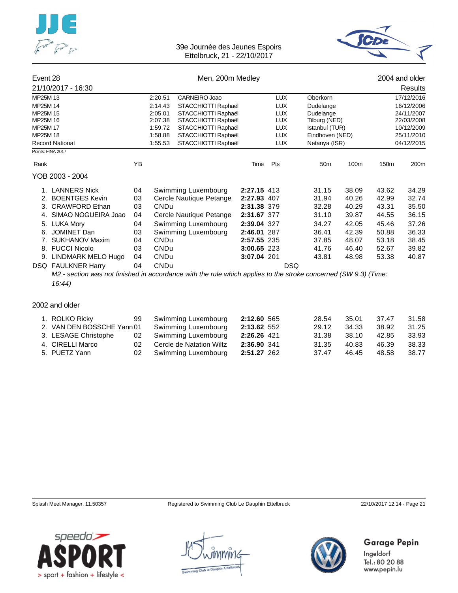



# Event 28 **Event 28** Men, 200m Medley **Connect 28** 2004 and older the 2004 and older 21/10/2017 - 16:30

|                                                                                                                                              | 21/10/2017 - 16:30     |    |             |                         |             |            |                 |       |            | Results          |  |
|----------------------------------------------------------------------------------------------------------------------------------------------|------------------------|----|-------------|-------------------------|-------------|------------|-----------------|-------|------------|------------------|--|
| MP25M 13                                                                                                                                     |                        |    | 2:20.51     | CARNEIRO Joao           |             | <b>LUX</b> | <b>Oberkorn</b> |       |            | 17/12/2016       |  |
| MP25M 14                                                                                                                                     |                        |    | 2:14.43     | STACCHIOTTI Raphaël     |             | <b>LUX</b> | Dudelange       |       | 16/12/2006 |                  |  |
| MP25M 15                                                                                                                                     |                        |    | 2:05.01     | STACCHIOTTI Raphaël     |             | <b>LUX</b> | Dudelange       |       |            | 24/11/2007       |  |
| MP25M 16                                                                                                                                     |                        |    | 2:07.38     | STACCHIOTTI Raphaël     |             | <b>LUX</b> | Tilburg (NED)   |       |            | 22/03/2008       |  |
| MP25M 17                                                                                                                                     |                        |    | 1:59.72     | STACCHIOTTI Raphaël     |             | <b>LUX</b> | Istanbul (TUR)  |       |            | 10/12/2009       |  |
| MP25M 18                                                                                                                                     |                        |    | 1:58.88     | STACCHIOTTI Raphaël     |             | LUX        | Eindhoven (NED) |       |            | 25/11/2010       |  |
|                                                                                                                                              | <b>Record National</b> |    | 1:55.53     | STACCHIOTTI Raphaël     |             | <b>LUX</b> | Netanya (ISR)   |       |            | 04/12/2015       |  |
| Points: FINA 2017                                                                                                                            |                        |    |             |                         |             |            |                 |       |            |                  |  |
| Rank                                                                                                                                         |                        | ΥB |             |                         | Time        | Pts        | 50 <sub>m</sub> | 100m  | 150m       | 200 <sub>m</sub> |  |
|                                                                                                                                              | YOB 2003 - 2004        |    |             |                         |             |            |                 |       |            |                  |  |
|                                                                                                                                              | 1. LANNERS Nick        | 04 |             | Swimming Luxembourg     | 2:27.15 413 |            | 31.15           | 38.09 | 43.62      | 34.29            |  |
|                                                                                                                                              | 2. BOENTGES Kevin      | 03 |             | Cercle Nautique Petange | 2:27.93 407 |            | 31.94           | 40.26 | 42.99      | 32.74            |  |
| 3.                                                                                                                                           | <b>CRAWFORD Ethan</b>  | 03 | <b>CNDu</b> |                         | 2:31.38 379 |            | 32.28           | 40.29 | 43.31      | 35.50            |  |
| 4.                                                                                                                                           | SIMAO NOGUEIRA Joao    | 04 |             | Cercle Nautique Petange | 2:31.67 377 |            | 31.10           | 39.87 | 44.55      | 36.15            |  |
|                                                                                                                                              | 5. LUKA Mory           | 04 |             | Swimming Luxembourg     | 2:39.04 327 |            | 34.27           | 42.05 | 45.46      | 37.26            |  |
| 6.                                                                                                                                           | <b>JOMINET Dan</b>     | 03 |             | Swimming Luxembourg     | 2:46.01     | 287        | 36.41           | 42.39 | 50.88      | 36.33            |  |
| 7.                                                                                                                                           | SUKHANOV Maxim         | 04 | <b>CNDu</b> |                         | 2:57.55 235 |            | 37.85           | 48.07 | 53.18      | 38.45            |  |
| 8.                                                                                                                                           | <b>FUCCI Nicolo</b>    | 03 | <b>CNDu</b> |                         | 3:00.65 223 |            | 41.76           | 46.40 | 52.67      | 39.82            |  |
| 9.                                                                                                                                           | LINDMARK MELO Hugo     | 04 | <b>CNDu</b> |                         | 3:07.04 201 |            | 43.81           | 48.98 | 53.38      | 40.87            |  |
|                                                                                                                                              |                        | 04 | <b>CNDu</b> |                         |             | <b>DSQ</b> |                 |       |            |                  |  |
| <b>DSQ FAULKNER Harry</b><br>M2 - section was not finished in accordance with the rule which applies to the stroke concerned (SW 9.3) (Time: |                        |    |             |                         |             |            |                 |       |            |                  |  |
|                                                                                                                                              |                        |    |             |                         |             |            |                 |       |            |                  |  |
|                                                                                                                                              | 16:44                  |    |             |                         |             |            |                 |       |            |                  |  |

### 2002 and older

| 1. ROLKO Ricky             |      | 99 Swimming Luxembourg   | 2:12.60 565 | 28.54 | 35.01 | 37.47 | 31.58 |
|----------------------------|------|--------------------------|-------------|-------|-------|-------|-------|
| 2. VAN DEN BOSSCHE Yann 01 |      | Swimming Luxembourg      | 2:13.62 552 | 29.12 | 34.33 | 38.92 | 31.25 |
| 3. LESAGE Christophe       | 02   | Swimming Luxembourg      | 2:26.26 421 | 31.38 | 38.10 | 42.85 | 33.93 |
| 4. CIRELLI Marco           | 02 - | Cercle de Natation Wiltz | 2:36.90 341 | 31.35 | 40.83 | 46.39 | 38.33 |
| 5. PUETZ Yann              |      | 02 Swimming Luxembourg   | 2:51.27 262 | 37.47 | 46.45 | 48.58 | 38.77 |

Splash Meet Manager, 11.50357 Registered to Swimming Club Le Dauphin Ettelbruck 22/10/2017 12:14 - Page 21

Garage Pepin



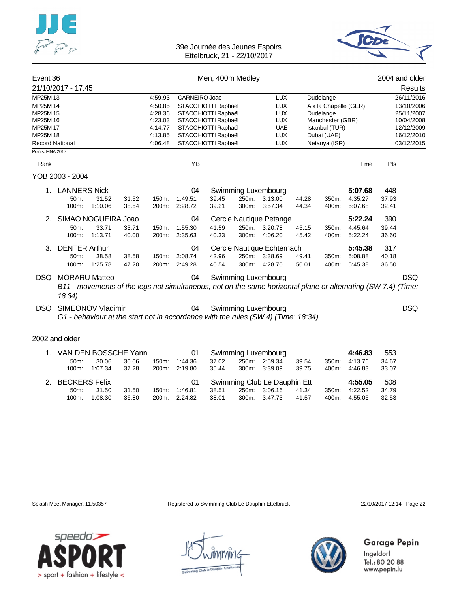



| Event 36               |                      |                          |       | Men, 400m Medley   |               |                                            |       |                                                                                                               |       |                              |         |       | 2004 and older           |
|------------------------|----------------------|--------------------------|-------|--------------------|---------------|--------------------------------------------|-------|---------------------------------------------------------------------------------------------------------------|-------|------------------------------|---------|-------|--------------------------|
|                        | 21/10/2017 - 17:45   |                          |       |                    |               |                                            |       |                                                                                                               |       |                              |         |       | <b>Results</b>           |
| MP25M 13               |                      |                          |       | 4:59.93            | CARNEIRO Joao |                                            |       | <b>LUX</b>                                                                                                    |       | Dudelange                    |         |       | 26/11/2016               |
| MP25M 14               |                      |                          |       | 4:50.85            |               | STACCHIOTTI Raphaël                        |       | <b>LUX</b>                                                                                                    |       | Aix la Chapelle (GER)        |         |       | 13/10/2006               |
| MP25M 15               |                      |                          |       | 4:28.36            |               | STACCHIOTTI Raphaël                        |       | <b>LUX</b>                                                                                                    |       | Dudelange                    |         |       | 25/11/2007               |
| MP25M 16               |                      |                          |       | 4:23.03            |               | STACCHIOTTI Raphaël                        |       | <b>LUX</b>                                                                                                    |       | Manchester (GBR)             |         |       | 10/04/2008               |
| MP25M 17<br>MP25M 18   |                      |                          |       | 4:14.77<br>4:13.85 |               | STACCHIOTTI Raphaël                        |       | <b>UAE</b><br><b>LUX</b>                                                                                      |       | Istanbul (TUR)               |         |       | 12/12/2009<br>16/12/2010 |
| <b>Record National</b> |                      |                          |       | 4:06.48            |               | STACCHIOTTI Raphaël<br>STACCHIOTTI Raphaël |       | <b>LUX</b>                                                                                                    |       | Dubai (UAE)<br>Netanya (ISR) |         |       | 03/12/2015               |
| Points: FINA 2017      |                      |                          |       |                    |               |                                            |       |                                                                                                               |       |                              |         |       |                          |
| Rank                   |                      |                          |       |                    | YB            |                                            |       |                                                                                                               |       |                              | Time    | Pts   |                          |
|                        | YOB 2003 - 2004      |                          |       |                    |               |                                            |       |                                                                                                               |       |                              |         |       |                          |
| 1.                     | <b>LANNERS Nick</b>  |                          |       |                    | 04            |                                            |       | Swimming Luxembourg                                                                                           |       |                              | 5:07.68 | 448   |                          |
|                        | 50m:                 | 31.52                    | 31.52 | 150m:              | 1:49.51       | 39.45                                      | 250m: | 3:13.00                                                                                                       | 44.28 | 350m:                        | 4:35.27 | 37.93 |                          |
|                        | 100m:                | 1:10.06                  | 38.54 | 200m:              | 2:28.72       | 39.21                                      | 300m: | 3:57.34                                                                                                       | 44.34 | 400m:                        | 5:07.68 | 32.41 |                          |
| 2.                     |                      | SIMAO NOGUEIRA Joao      |       |                    | 04            |                                            |       | Cercle Nautique Petange                                                                                       |       |                              | 5:22.24 | 390   |                          |
|                        | 50m:                 | 33.71                    | 33.71 | 150m:              | 1:55.30       | 41.59                                      | 250m: | 3:20.78                                                                                                       | 45.15 | 350m:                        | 4:45.64 | 39.44 |                          |
|                        | 100m:                | 1:13.71                  | 40.00 | 200m:              | 2:35.63       | 40.33                                      | 300m: | 4:06.20                                                                                                       | 45.42 | 400m:                        | 5:22.24 | 36.60 |                          |
| 3.                     | <b>DENTER Arthur</b> |                          |       |                    | 04            |                                            |       | Cercle Nautique Echternach                                                                                    |       |                              | 5:45.38 | 317   |                          |
|                        | 50m:                 | 38.58                    | 38.58 | 150m:              | 2:08.74       | 42.96                                      | 250m: | 3:38.69                                                                                                       | 49.41 | 350m:                        | 5:08.88 | 40.18 |                          |
|                        | 100m:                | 1:25.78                  | 47.20 | 200m:              | 2:49.28       | 40.54                                      | 300m: | 4:28.70                                                                                                       | 50.01 | 400m:                        | 5:45.38 | 36.50 |                          |
| DSQ.                   | <b>MORARU Matteo</b> |                          |       |                    | 04            |                                            |       | Swimming Luxembourg                                                                                           |       |                              |         |       | <b>DSQ</b>               |
|                        | 18:34)               |                          |       |                    |               |                                            |       | B11 - movements of the legs not simultaneous, not on the same horizontal plane or alternating (SW 7.4) (Time: |       |                              |         |       |                          |
| DSQ                    |                      | <b>SIMEONOV Vladimir</b> |       |                    | 04            |                                            |       | Swimming Luxembourg                                                                                           |       |                              |         |       | <b>DSQ</b>               |
|                        |                      |                          |       |                    |               |                                            |       | G1 - behaviour at the start not in accordance with the rules (SW 4) (Time: 18:34)                             |       |                              |         |       |                          |
|                        | 2002 and older       |                          |       |                    |               |                                            |       |                                                                                                               |       |                              |         |       |                          |
| $1_{-}$                | VAN DEN BOSSCHE Yann |                          |       |                    | 01            |                                            |       | Swimming Luxembourg                                                                                           |       |                              | 4:46.83 | 553   |                          |
|                        | 50 <sub>m</sub> :    | 30.06                    | 30.06 | 150m:              | 1:44.36       | 37.02                                      | 250m: | 2:59.34                                                                                                       | 39.54 | 350m:                        | 4:13.76 | 34.67 |                          |
|                        | 100m:                | 1:07.34                  | 37.28 | 200m:              | 2:19.80       | 35.44                                      | 300m: | 3:39.09                                                                                                       | 39.75 | 400m:                        | 4:46.83 | 33.07 |                          |
| 2.                     | <b>BECKERS Felix</b> |                          |       |                    | 01            |                                            |       | Swimming Club Le Dauphin Ett                                                                                  |       |                              | 4:55.05 | 508   |                          |
|                        | 50m:                 | 31.50                    | 31.50 | 150m:              | 1:46.81       | 38.51                                      |       | 250m: 3:06.16                                                                                                 | 41.34 | 350m:                        | 4:22.52 | 34.79 |                          |
|                        |                      | 100m: 1:08.30            | 36.80 | 200m:              | 2:24.82       | 38.01                                      |       | 300m: 3:47.73                                                                                                 | 41.57 | 400m:                        | 4:55.05 | 32.53 |                          |

Splash Meet Manager, 11.50357 Registered to Swimming Club Le Dauphin Ettelbruck 22/10/2017 12:14 - Page 22

Garage Pepin

Ingeldorf Tel.: 80 20 88 www.pepin.lu



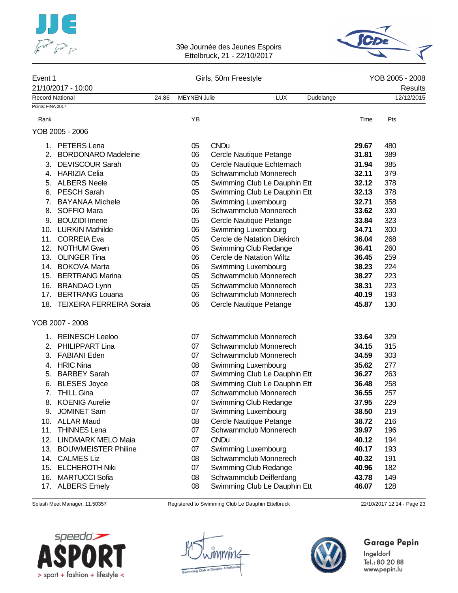



## Event 1 Girls, 50m Freestyle **Communication Communication** Communication Communication Communication Communication Communication Communication Communication Communication Communication Communication Communication Communica 21/10/2017 - 10:00 Results Record National 24.86 MEYNEN Julie LUX Dudelange 12/12/2015 Points: FINA 2017 Rank YB Time Pts YOB 2005 - 2006 1. PETERS Lena 05 CNDu **29.67** 480 2. BORDONARO Madeleine 06 Cercle Nautique Petange **31.81** 389 3. DEVISCOUR Sarah 05 Cercle Nautique Echternach **31.94** 385 4. HARIZIA Celia 05 Schwammclub Monnerech **32.11** 379 5. ALBERS Neele 05 Swimming Club Le Dauphin Ett **32.12** 378 6. PESCH Sarah 05 Swimming Club Le Dauphin Ett **32.13** 378 7. BAYANAA Michele 06 Swimming Luxembourg **32.71** 358 8. SOFFIO Mara 06 Schwammclub Monnerech **33.62** 330 9. BOUZIDI Imene 05 Cercle Nautique Petange **33.84** 323 10. LURKIN Mathilde 06 Swimming Luxembourg **34.71** 300 11. CORREIA Eva 05 Cercle de Natation Diekirch **36.04** 268 12. NOTHUM Gwen 06 Swimming Club Redange **36.41** 260 13. OLINGER Tina 06 Cercle de Natation Wiltz **36.45** 259 14. BOKOVA Marta 06 Swimming Luxembourg **38.23** 224 15. BERTRANG Marina 05 Schwammclub Monnerech **38.27** 223 16. BRANDAO Lynn 05 Schwammclub Monnerech **38.31** 223 17. BERTRANG Louana 06 Schwammclub Monnerech **40.19** 193 18. TEIXEIRA FERREIRA Soraia 06 Cercle Nautique Petange **45.87** 130 YOB 2007 - 2008 1. REINESCH Leeloo 07 Schwammclub Monnerech **33.64** 329 2. PHILIPPART Lina 07 Schwammclub Monnerech **34.15** 315 3. FABIANI Eden 07 Schwammclub Monnerech **34.59** 303 4. HRIC Nina 08 Swimming Luxembourg **35.62** 277 5. BARBEY Sarah 07 Swimming Club Le Dauphin Ett **36.27** 263 6. BLESES Joyce 08 Swimming Club Le Dauphin Ett **36.48** 258 7. THILL Gina 07 Schwammclub Monnerech **36.55** 257 8. KOENIG Aurelie 07 Swimming Club Redange **37.95** 229 9. JOMINET Sam 07 Swimming Luxembourg **38.50** 219 10. ALLAR Maud 08 Cercle Nautique Petange **38.72** 216 11. THINNES Lena 07 Schwammclub Monnerech **39.97** 196 12. LINDMARK MELO Maia 07 CNDu **40.12** 194 13. BOUWMEISTER Philine 07 Swimming Luxembourg **40.17** 193 14. CALMES Liz 08 Schwammclub Monnerech **40.32** 191 15. ELCHEROTH Niki 07 Swimming Club Redange **40.96** 182 16. MARTUCCI Sofia 08 Schwammclub Deifferdang **43.78** 149 17. ALBERS Emely 08 Swimming Club Le Dauphin Ett **46.07** 128

Splash Meet Manager, 11.50357 Registered to Swimming Club Le Dauphin Ettelbruck 22/10/2017 12:14 - Page 23

# Garage Pepin

| speedo'.                      |  |
|-------------------------------|--|
| 7                             |  |
|                               |  |
| sport + fashion + lifestyle < |  |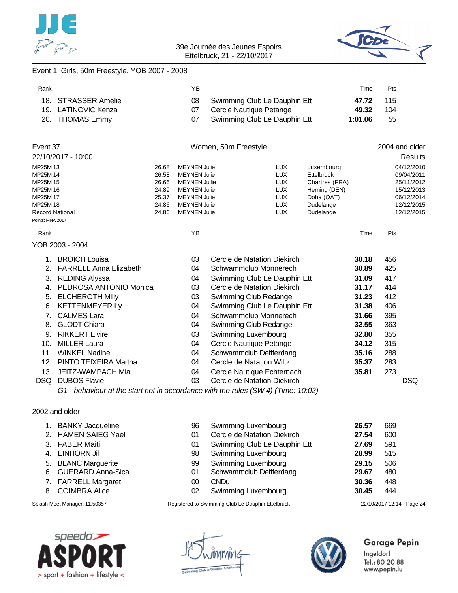



## Event 1, Girls, 50m Freestyle, YOB 2007 - 2008

| Rank |                     | ΥB |                                 | Time    | Pts |
|------|---------------------|----|---------------------------------|---------|-----|
|      | 18. STRASSER Amelie |    | 08 Swimming Club Le Dauphin Ett | 47.72   | 115 |
|      | 19. LATINOVIC Kenza |    | Cercle Nautique Petange         | 49.32   | 104 |
|      | 20. THOMAS Emmy     |    | Swimming Club Le Dauphin Ett    | 1:01.06 | 55  |

|                                    | Event 37                                                                          |                |                                            | Women, 50m Freestyle         |                          |                        |       |     | 2004 and older           |
|------------------------------------|-----------------------------------------------------------------------------------|----------------|--------------------------------------------|------------------------------|--------------------------|------------------------|-------|-----|--------------------------|
|                                    | 22/10/2017 - 10:00                                                                |                |                                            |                              |                          |                        |       |     | Results                  |
| MP25M 13                           |                                                                                   | 26.68          | <b>MEYNEN Julie</b>                        |                              | <b>LUX</b>               | Luxembourg             |       |     | 04/12/2010               |
| MP25M 14                           |                                                                                   | 26.58          | <b>MEYNEN Julie</b>                        |                              | <b>LUX</b>               | <b>Ettelbruck</b>      |       |     | 09/04/2011               |
| MP25M 15                           |                                                                                   | 26.66          | <b>MEYNEN Juilie</b>                       |                              | <b>LUX</b>               | Chartres (FRA)         |       |     | 25/11/2012               |
| MP25M 16                           |                                                                                   | 24.89          | <b>MEYNEN Julie</b>                        |                              | <b>LUX</b>               | Herning (DEN)          |       |     | 15/12/2013               |
| MP25M 17                           |                                                                                   | 25.37          | <b>MEYNEN Julie</b>                        |                              | <b>LUX</b>               | Doha (QAT)             |       |     | 06/12/2014               |
| MP25M 18<br><b>Record National</b> |                                                                                   | 24.86<br>24.86 | <b>MEYNEN Julie</b><br><b>MEYNEN Julie</b> |                              | <b>LUX</b><br><b>LUX</b> | Dudelange<br>Dudelange |       |     | 12/12/2015<br>12/12/2015 |
| Points: FINA 2017                  |                                                                                   |                |                                            |                              |                          |                        |       |     |                          |
| Rank                               |                                                                                   |                | YB                                         |                              |                          |                        | Time  | Pts |                          |
|                                    | YOB 2003 - 2004                                                                   |                |                                            |                              |                          |                        |       |     |                          |
|                                    | <b>BROICH Louisa</b>                                                              |                | 03                                         | Cercle de Natation Diekirch  |                          |                        | 30.18 | 456 |                          |
| 2.                                 | <b>FARRELL Anna Elizabeth</b>                                                     |                | 04                                         | Schwammclub Monnerech        |                          |                        | 30.89 | 425 |                          |
| 3.                                 | <b>REDING Alyssa</b>                                                              |                | 04                                         | Swimming Club Le Dauphin Ett |                          |                        | 31.09 | 417 |                          |
| 4.                                 | PEDROSA ANTONIO Monica                                                            |                | 03                                         | Cercle de Natation Diekirch  |                          |                        | 31.17 | 414 |                          |
| 5.                                 | <b>ELCHEROTH Milly</b>                                                            |                | 03                                         | Swimming Club Redange        |                          |                        | 31.23 | 412 |                          |
| 6.                                 | <b>KETTENMEYER Ly</b>                                                             |                | 04                                         | Swimming Club Le Dauphin Ett |                          |                        | 31.38 | 406 |                          |
| 7.                                 | <b>CALMES Lara</b>                                                                |                | 04                                         | Schwammclub Monnerech        |                          |                        | 31.66 | 395 |                          |
| 8.                                 | <b>GLODT Chiara</b>                                                               |                | 04                                         | Swimming Club Redange        |                          |                        | 32.55 | 363 |                          |
| 9.                                 | <b>RIKKERT Elvire</b>                                                             |                | 03                                         | Swimming Luxembourg          |                          |                        | 32.80 | 355 |                          |
| 10.                                | <b>MILLER Laura</b>                                                               |                | 04                                         | Cercle Nautique Petange      |                          |                        | 34.12 | 315 |                          |
| 11.                                | <b>WINKEL Nadine</b>                                                              |                | 04                                         | Schwammclub Deifferdang      |                          |                        | 35.16 | 288 |                          |
| 12.                                | PINTO TEIXEIRA Martha                                                             |                | 04                                         | Cercle de Natation Wiltz     |                          |                        | 35.37 | 283 |                          |
| 13.                                | <b>JEITZ-WAMPACH Mia</b>                                                          |                | 04                                         | Cercle Nautique Echternach   |                          |                        | 35.81 | 273 |                          |
| DSQ.                               | <b>DUBOS Flavie</b>                                                               |                | 03                                         | Cercle de Natation Diekirch  |                          |                        |       |     | <b>DSQ</b>               |
|                                    | G1 - behaviour at the start not in accordance with the rules (SW 4) (Time: 10:02) |                |                                            |                              |                          |                        |       |     |                          |

#### 2002 and older

| 1. BANKY Jacqueline  | 96 | Swimming Luxembourg          | 26.57 | 669 |
|----------------------|----|------------------------------|-------|-----|
| 2. HAMEN SAIEG Yael  | 01 | Cercle de Natation Diekirch  | 27.54 | 600 |
| 3. FABER Maiti       | 01 | Swimming Club Le Dauphin Ett | 27.69 | 591 |
| 4. EINHORN Jil       | 98 | Swimming Luxembourg          | 28.99 | 515 |
| 5. BLANC Marguerite  | 99 | <b>Swimming Luxembourg</b>   | 29.15 | 506 |
| 6. GUERARD Anna-Sica | 01 | Schwammclub Deifferdang      | 29.67 | 480 |
| 7. FARRELL Margaret  | 00 | <b>CNDu</b>                  | 30.36 | 448 |
| 8. COIMBRA Alice     | 02 | Swimming Luxembourg          | 30.45 | 444 |







## Garage Pepin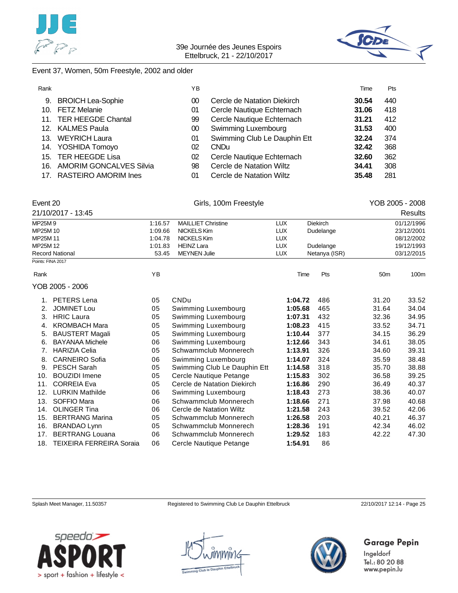



#### Event 37, Women, 50m Freestyle, 2002 and older

| Rank |                             | YΒ |                              | Time  | Pts |  |
|------|-----------------------------|----|------------------------------|-------|-----|--|
| 9.   | <b>BROICH Lea-Sophie</b>    | 00 | Cercle de Natation Diekirch  | 30.54 | 440 |  |
|      | 10. FETZ Melanie            | 01 | Cercle Nautique Echternach   | 31.06 | 418 |  |
|      | 11. TER HEEGDE Chantal      | 99 | Cercle Nautique Echternach   | 31.21 | 412 |  |
|      | 12. KALMES Paula            | 00 | Swimming Luxembourg          | 31.53 | 400 |  |
|      | 13. WEYRICH Laura           | 01 | Swimming Club Le Dauphin Ett | 32.24 | 374 |  |
|      | 14. YOSHIDA Tomoyo          | 02 | CND <sub>u</sub>             | 32.42 | 368 |  |
|      | 15. TER HEEGDE Lisa         | 02 | Cercle Nautique Echternach   | 32.60 | 362 |  |
|      | 16. AMORIM GONCALVES Silvia | 98 | Cercle de Natation Wiltz     | 34.41 | 308 |  |
|      | 17. RASTEIRO AMORIM Ines    | 01 | Cercle de Natation Wiltz     | 35.48 | 281 |  |

| 17. RASTEIRO AMORIM Ines |
|--------------------------|
|                          |

| MDOFAAO            | $\overline{A}$ . $\overline{A}$ $\overline{C}$ $\overline{C}$ $\overline{C}$ |                       | $\sqrt{1 + 1}$ | Dia Liask | 04/40/4000      |
|--------------------|------------------------------------------------------------------------------|-----------------------|----------------|-----------|-----------------|
| 21/10/2017 - 13:45 |                                                                              |                       |                |           | Results         |
| Event 20           |                                                                              | Girls, 100m Freestyle |                |           | YOB 2005 - 2008 |
|                    |                                                                              |                       |                |           |                 |

| MP25M9            |                                 | 1:16.57 | <b>MAILLIET Christine</b> | LUX        | <b>Diekirch</b> |                 | 01/12/1996 |
|-------------------|---------------------------------|---------|---------------------------|------------|-----------------|-----------------|------------|
| MP25M 10          |                                 | 1:09.66 | NICKELS Kim               | <b>LUX</b> | Dudelange       |                 | 23/12/2001 |
| MP25M 11          |                                 | 1:04.78 | NICKELS Kim               | <b>LUX</b> |                 |                 | 08/12/2002 |
| MP25M 12          |                                 | 1:01.83 | <b>HEINZ Lara</b>         | <b>LUX</b> | Dudelange       |                 | 19/12/1993 |
|                   | <b>Record National</b><br>53.45 |         | <b>MEYNEN Julie</b>       | <b>LUX</b> | Netanya (ISR)   | 03/12/2015      |            |
| Points: FINA 2017 |                                 |         |                           |            |                 |                 |            |
| Rank              |                                 | YB      |                           | Time       | Pts             | 50 <sub>m</sub> | 100m       |
|                   | YOB 2005 - 2006                 |         |                           |            |                 |                 |            |
|                   | PETERS Lena                     | 05      | <b>CNDu</b>               | 1:04.72    | 486             | 31.20           | 33.52      |
|                   | JOMINET Lou                     | 05      | Swimming Luxembourg       | 1:05.68    | 465             | 31.64           | 34.04      |
| 3.                | <b>HRIC Laura</b>               | 05      | Swimming Luxembourg       | 1:07.31    | 432             | 32.36           | 34.95      |

| 3.  | <b>HRIC Laura</b>            | 05 | Swimming Luxembourg          | 1:07.31 | 432 | 32.36 | 34.95 |
|-----|------------------------------|----|------------------------------|---------|-----|-------|-------|
| 4.  | <b>KROMBACH Mara</b>         | 05 | Swimming Luxembourg          | 1:08.23 | 415 | 33.52 | 34.71 |
| 5.  | BAUSTERT Magali              | 05 | Swimming Luxembourg          | 1:10.44 | 377 | 34.15 | 36.29 |
| 6.  | <b>BAYANAA Michele</b>       | 06 | Swimming Luxembourg          | 1:12.66 | 343 | 34.61 | 38.05 |
|     | <b>HARIZIA Celia</b>         | 05 | Schwammclub Monnerech        | 1:13.91 | 326 | 34.60 | 39.31 |
|     | 8. CARNEIRO Sofia            | 06 | Swimming Luxembourg          | 1:14.07 | 324 | 35.59 | 38.48 |
| 9.  | <b>PESCH Sarah</b>           | 05 | Swimming Club Le Dauphin Ett | 1:14.58 | 318 | 35.70 | 38.88 |
| 10. | <b>BOUZIDI</b> Imene         | 05 | Cercle Nautique Petange      | 1:15.83 | 302 | 36.58 | 39.25 |
| 11. | <b>CORREIA Eva</b>           | 05 | Cercle de Natation Diekirch  | 1:16.86 | 290 | 36.49 | 40.37 |
| 12. | <b>LURKIN Mathilde</b>       | 06 | Swimming Luxembourg          | 1:18.43 | 273 | 38.36 | 40.07 |
| 13. | SOFFIO Mara                  | 06 | Schwammclub Monnerech        | 1:18.66 | 271 | 37.98 | 40.68 |
| 14. | <b>OLINGER Tina</b>          | 06 | Cercle de Natation Wiltz     | 1:21.58 | 243 | 39.52 | 42.06 |
| 15. | <b>BERTRANG Marina</b>       | 05 | Schwammclub Monnerech        | 1:26.58 | 203 | 40.21 | 46.37 |
| 16. | <b>BRANDAO Lynn</b>          | 05 | Schwammclub Monnerech        | 1:28.36 | 191 | 42.34 | 46.02 |
| 17. | <b>BERTRANG Louana</b>       | 06 | Schwammclub Monnerech        | 1:29.52 | 183 | 42.22 | 47.30 |
|     | 18. TEIXEIRA FERREIRA Soraia | 06 | Cercle Nautique Petange      | 1:54.91 | 86  |       |       |

Splash Meet Manager, 11.50357 Registered to Swimming Club Le Dauphin Ettelbruck 22/10/2017 12:14 - Page 25





## **Garage Pepin**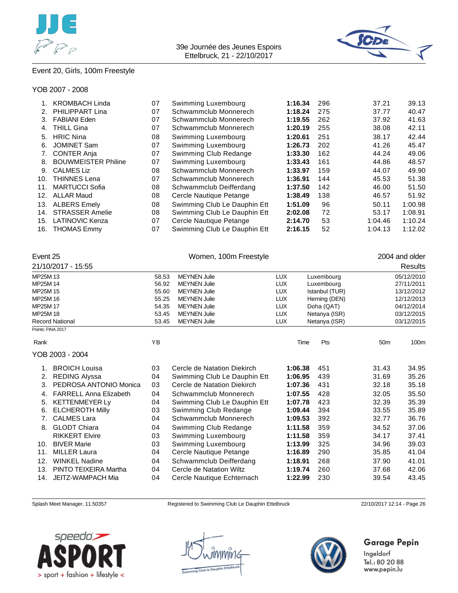



## Event 20, Girls, 100m Freestyle

#### YOB 2007 - 2008

|     | <b>KROMBACH Linda</b>      | 07 | Swimming Luxembourg          | 1:16.34 | 296 | 37.21   | 39.13   |
|-----|----------------------------|----|------------------------------|---------|-----|---------|---------|
| 2.  | PHILIPPART Lina            | 07 | Schwammclub Monnerech        | 1:18.24 | 275 | 37.77   | 40.47   |
| 3.  | <b>FABIANI Eden</b>        | 07 | Schwammclub Monnerech        | 1:19.55 | 262 | 37.92   | 41.63   |
| 4.  | <b>THILL Gina</b>          | 07 | Schwammclub Monnerech        | 1:20.19 | 255 | 38.08   | 42.11   |
| 5.  | <b>HRIC Nina</b>           | 08 | Swimming Luxembourg          | 1:20.61 | 251 | 38.17   | 42.44   |
| 6.  | <b>JOMINET Sam</b>         | 07 | Swimming Luxembourg          | 1:26.73 | 202 | 41.26   | 45.47   |
| 7.  | <b>CONTER Anja</b>         | 07 | Swimming Club Redange        | 1:33.30 | 162 | 44.24   | 49.06   |
| 8.  | <b>BOUWMEISTER Philine</b> | 07 | Swimming Luxembourg          | 1:33.43 | 161 | 44.86   | 48.57   |
| 9.  | <b>CALMES Liz</b>          | 08 | Schwammclub Monnerech        | 1:33.97 | 159 | 44.07   | 49.90   |
| 10. | <b>THINNES Lena</b>        | 07 | Schwammclub Monnerech        | 1:36.91 | 144 | 45.53   | 51.38   |
| 11. | <b>MARTUCCI Sofia</b>      | 08 | Schwammclub Deifferdang      | 1:37.50 | 142 | 46.00   | 51.50   |
| 12. | <b>ALLAR Maud</b>          | 08 | Cercle Nautique Petange      | 1:38.49 | 138 | 46.57   | 51.92   |
| 13. | <b>ALBERS Emely</b>        | 08 | Swimming Club Le Dauphin Ett | 1:51.09 | 96  | 50.11   | 1:00.98 |
| 14. | <b>STRASSER Amelie</b>     | 08 | Swimming Club Le Dauphin Ett | 2:02.08 | 72  | 53.17   | 1:08.91 |
| 15. | <b>LATINOVIC Kenza</b>     | 07 | Cercle Nautique Petange      | 2:14.70 | 53  | 1:04.46 | 1:10.24 |
| 16. | <b>THOMAS Emmy</b>         | 07 | Swimming Club Le Dauphin Ett | 2:16.15 | 52  | 1:04.13 | 1:12.02 |
|     |                            |    |                              |         |     |         |         |

|                   | Event 25                      |       | Women, 100m Freestyle        | 2004 and older |                |                 |            |
|-------------------|-------------------------------|-------|------------------------------|----------------|----------------|-----------------|------------|
|                   | 21/10/2017 - 15:55            |       |                              |                |                |                 | Results    |
| MP25M 13          |                               | 58.53 | <b>MEYNEN Julie</b>          | <b>LUX</b>     | Luxembourg     |                 | 05/12/2010 |
| MP25M 14          |                               | 56.92 | <b>MEYNEN Julie</b>          | <b>LUX</b>     | Luxembourg     |                 | 27/11/2011 |
| MP25M 15          |                               | 55.60 | <b>MEYNEN Julie</b>          | <b>LUX</b>     | Istanbul (TUR) |                 | 13/12/2012 |
| MP25M 16          |                               | 55.25 | <b>MEYNEN Julie</b>          | <b>LUX</b>     | Herning (DEN)  |                 | 12/12/2013 |
| MP25M 17          |                               | 54.35 | <b>MEYNEN Julie</b>          | <b>LUX</b>     | Doha (QAT)     |                 | 04/12/2014 |
| MP25M 18          |                               | 53.45 | <b>MEYNEN Julie</b>          | <b>LUX</b>     | Netanya (ISR)  |                 | 03/12/2015 |
|                   | <b>Record National</b>        | 53.45 | <b>MEYNEN Julie</b>          | <b>LUX</b>     | Netanya (ISR)  |                 | 03/12/2015 |
| Points: FINA 2017 |                               |       |                              |                |                |                 |            |
| Rank              |                               | YB    |                              | Time           | Pts            | 50 <sub>m</sub> | 100m       |
|                   | YOB 2003 - 2004               |       |                              |                |                |                 |            |
|                   | <b>BROICH Louisa</b>          | 03    | Cercle de Natation Diekirch  | 1:06.38        | 451            | 31.43           | 34.95      |
| 2.                | <b>REDING Alyssa</b>          | 04    | Swimming Club Le Dauphin Ett | 1:06.95        | 439            | 31.69           | 35.26      |
| 3.                | PEDROSA ANTONIO Monica        | 03    | Cercle de Natation Diekirch  | 1:07.36        | 431            | 32.18           | 35.18      |
| 4.                | <b>FARRELL Anna Elizabeth</b> | 04    | Schwammclub Monnerech        | 1:07.55        | 428            | 32.05           | 35.50      |
| 5.                | <b>KETTENMEYER Ly</b>         | 04    | Swimming Club Le Dauphin Ett | 1:07.78        | 423            | 32.39           | 35.39      |
| 6.                | <b>ELCHEROTH Milly</b>        | 03    | Swimming Club Redange        | 1:09.44        | 394            | 33.55           | 35.89      |
| 7.                | <b>CALMES Lara</b>            | 04    | Schwammclub Monnerech        | 1:09.53        | 392            | 32.77           | 36.76      |
| 8.                | <b>GLODT Chiara</b>           | 04    | Swimming Club Redange        | 1:11.58        | 359            | 34.52           | 37.06      |
|                   | <b>RIKKERT Elvire</b>         | 03    | Swimming Luxembourg          | 1:11.58        | 359            | 34.17           | 37.41      |
| 10.               | <b>BIVER Marie</b>            | 03    | Swimming Luxembourg          | 1:13.99        | 325            | 34.96           | 39.03      |
| 11.               | <b>MILLER Laura</b>           | 04    | Cercle Nautique Petange      | 1:16.89        | 290            | 35.85           | 41.04      |
| 12.               | <b>WINKEL Nadine</b>          | 04    | Schwammclub Deifferdang      | 1:18.91        | 268            | 37.90           | 41.01      |
| 13.               | PINTO TEIXEIRA Martha         | 04    | Cercle de Natation Wiltz     | 1:19.74        | 260            | 37.68           | 42.06      |
| 14.               | JEITZ-WAMPACH Mia             | 04    | Cercle Nautique Echternach   | 1:22.99        | 230            | 39.54           | 43.45      |

Splash Meet Manager, 11.50357 Registered to Swimming Club Le Dauphin Ettelbruck 22/10/2017 12:14 - Page 26





## Garage Pepin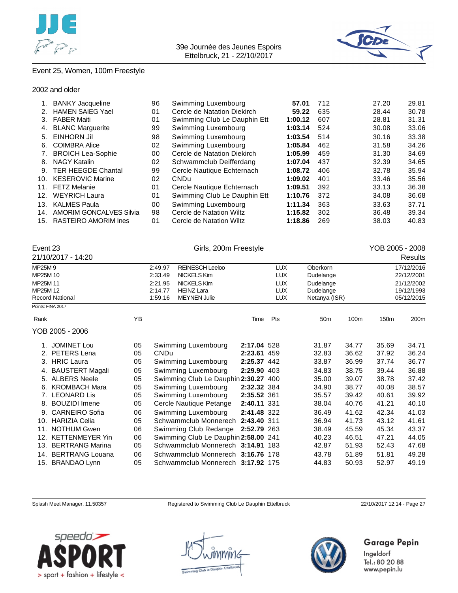



## Event 25, Women, 100m Freestyle

#### 2002 and older

| 1.  | <b>BANKY Jacqueline</b>        | 96 | Swimming Luxembourg          | 57.01   | 712 | 27.20 | 29.81 |
|-----|--------------------------------|----|------------------------------|---------|-----|-------|-------|
|     | <b>HAMEN SAIEG Yael</b>        | 01 | Cercle de Natation Diekirch  | 59.22   | 635 | 28.44 | 30.78 |
| 3.  | <b>FABER Maiti</b>             | 01 | Swimming Club Le Dauphin Ett | 1:00.12 | 607 | 28.81 | 31.31 |
| 4.  | <b>BLANC Marguerite</b>        | 99 | Swimming Luxembourg          | 1:03.14 | 524 | 30.08 | 33.06 |
| 5.  | <b>EINHORN Jil</b>             | 98 | Swimming Luxembourg          | 1:03.54 | 514 | 30.16 | 33.38 |
| 6.  | <b>COIMBRA Alice</b>           | 02 | Swimming Luxembourg          | 1:05.84 | 462 | 31.58 | 34.26 |
| 7.  | <b>BROICH Lea-Sophie</b>       | 00 | Cercle de Natation Diekirch  | 1:05.99 | 459 | 31.30 | 34.69 |
| 8.  | <b>NAGY Katalin</b>            | 02 | Schwammclub Deifferdang      | 1:07.04 | 437 | 32.39 | 34.65 |
| 9.  | <b>TER HEEGDE Chantal</b>      | 99 | Cercle Nautique Echternach   | 1:08.72 | 406 | 32.78 | 35.94 |
| 10. | <b>KESEROVIC Marine</b>        | 02 | <b>CNDu</b>                  | 1:09.02 | 401 | 33.46 | 35.56 |
| 11. | <b>FETZ Melanie</b>            | 01 | Cercle Nautique Echternach   | 1:09.51 | 392 | 33.13 | 36.38 |
| 12. | <b>WEYRICH Laura</b>           | 01 | Swimming Club Le Dauphin Ett | 1:10.76 | 372 | 34.08 | 36.68 |
| 13. | <b>KALMES Paula</b>            | 00 | Swimming Luxembourg          | 1:11.34 | 363 | 33.63 | 37.71 |
| 14. | <b>AMORIM GONCALVES Silvia</b> | 98 | Cercle de Natation Wiltz     | 1:15.82 | 302 | 36.48 | 39.34 |
| 15. | RASTEIRO AMORIM Ines           | 01 | Cercle de Natation Wiltz     | 1:18.86 | 269 | 38.03 | 40.83 |
|     |                                |    |                              |         |     |       |       |

| Event 23             | 21/10/2017 - 14:20     |    |                               |                                                                | YOB 2005 - 2008<br>Results |                                        |                                         |       |       |                                        |
|----------------------|------------------------|----|-------------------------------|----------------------------------------------------------------|----------------------------|----------------------------------------|-----------------------------------------|-------|-------|----------------------------------------|
| MP25M9<br>MP25M 10   |                        |    | 2:49.97<br>2:33.49            | <b>REINESCH Leeloo</b><br>NICKELS Kim                          |                            | <b>LUX</b><br><b>LUX</b>               | Oberkorn<br>Dudelange                   |       |       | 17/12/2016<br>22/12/2001               |
| MP25M 11<br>MP25M 12 | <b>Record National</b> |    | 2:21.95<br>2:14.77<br>1:59.16 | <b>NICKELS Kim</b><br><b>HEINZ Lara</b><br><b>MEYNEN Julie</b> |                            | <b>LUX</b><br><b>LUX</b><br><b>LUX</b> | Dudelange<br>Dudelange<br>Netanya (ISR) |       |       | 21/12/2002<br>19/12/1993<br>05/12/2015 |
|                      | Points: FINA 2017      |    |                               |                                                                |                            |                                        |                                         |       |       |                                        |
| Rank                 |                        | YB |                               |                                                                | Time                       | Pts                                    | 50 <sub>m</sub>                         | 100m  | 150m  | 200m                                   |
|                      | YOB 2005 - 2006        |    |                               |                                                                |                            |                                        |                                         |       |       |                                        |
|                      | <b>JOMINET Lou</b>     | 05 |                               | Swimming Luxembourg                                            | 2:17.04 528                |                                        | 31.87                                   | 34.77 | 35.69 | 34.71                                  |
| 2.                   | <b>PETERS</b> Lena     | 05 | <b>CNDu</b>                   |                                                                | 2:23.61 459                |                                        | 32.83                                   | 36.62 | 37.92 | 36.24                                  |
| 3.                   | <b>HRIC</b> Laura      | 05 |                               | Swimming Luxembourg                                            | 2:25.37 442                |                                        | 33.87                                   | 36.99 | 37.74 | 36.77                                  |
| 4.                   | <b>BAUSTERT Magali</b> | 05 |                               | Swimming Luxembourg                                            | 2:29.90 403                |                                        | 34.83                                   | 38.75 | 39.44 | 36.88                                  |
| 5.                   | <b>ALBERS Neele</b>    | 05 |                               | Swimming Club Le Dauphin 2:30.27 400                           |                            |                                        | 35.00                                   | 39.07 | 38.78 | 37.42                                  |
| 6.                   | <b>KROMBACH Mara</b>   | 05 |                               | Swimming Luxembourg                                            | 2:32.32 384                |                                        | 34.90                                   | 38.77 | 40.08 | 38.57                                  |
|                      | <b>LEONARD Lis</b>     | 05 |                               | Swimming Luxembourg                                            | 2:35.52 361                |                                        | 35.57                                   | 39.42 | 40.61 | 39.92                                  |
| 8.                   | <b>BOUZIDI Imene</b>   | 05 |                               | Cercle Nautique Petange                                        | 2:40.11 331                |                                        | 38.04                                   | 40.76 | 41.21 | 40.10                                  |
| 9.                   | <b>CARNEIRO</b> Sofia  | 06 |                               | Swimming Luxembourg                                            | 2:41.48 322                |                                        | 36.49                                   | 41.62 | 42.34 | 41.03                                  |
| 10.                  | <b>HARIZIA Celia</b>   | 05 |                               | Schwammclub Monnerech                                          | 2:43.40 311                |                                        | 36.94                                   | 41.73 | 43.12 | 41.61                                  |
| 11.                  | <b>NOTHUM Gwen</b>     | 06 |                               | Swimming Club Redange                                          | 2:52.79 263                |                                        | 38.49                                   | 45.59 | 45.34 | 43.37                                  |
| 12.                  | <b>KETTENMEYER Yin</b> | 06 |                               | Swimming Club Le Dauphin 2:58.00 241                           |                            |                                        | 40.23                                   | 46.51 | 47.21 | 44.05                                  |
| 13.                  | <b>BERTRANG Marina</b> | 05 |                               | Schwammclub Monnerech 3:14.91 183                              |                            |                                        | 42.87                                   | 51.93 | 52.43 | 47.68                                  |
| 14.                  | <b>BERTRANG Louana</b> | 06 |                               | Schwammclub Monnerech 3:16.76 178                              |                            |                                        | 43.78                                   | 51.89 | 51.81 | 49.28                                  |
| 15.                  | <b>BRANDAO Lynn</b>    | 05 |                               | Schwammclub Monnerech 3:17.92 175                              |                            |                                        | 44.83                                   | 50.93 | 52.97 | 49.19                                  |

Splash Meet Manager, 11.50357 Registered to Swimming Club Le Dauphin Ettelbruck 22/10/2017 12:14 - Page 27







## Garage Pepin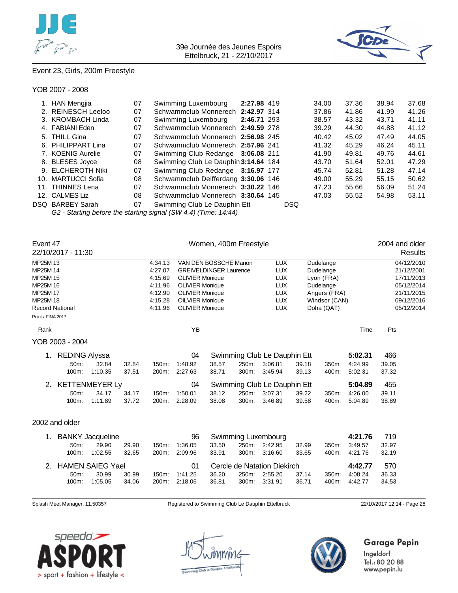



## Event 23, Girls, 200m Freestyle

#### YOB 2007 - 2008

| 1. HAN Mengjia     | 07 | Swimming Luxembourg                                                                                                                     | 2:27.98 419 |            | 34.00 | 37.36 | 38.94 | 37.68 |
|--------------------|----|-----------------------------------------------------------------------------------------------------------------------------------------|-------------|------------|-------|-------|-------|-------|
| 2. REINESCH Leeloo | 07 | Schwammclub Monnerech 2:42.97 314                                                                                                       |             |            | 37.86 | 41.86 | 41.99 | 41.26 |
| 3. KROMBACH Linda  | 07 | Swimming Luxembourg                                                                                                                     | 2:46.71 293 |            | 38.57 | 43.32 | 43.71 | 41.11 |
| 4. FABIANI Eden    | 07 | Schwammclub Monnerech 2:49.59 278                                                                                                       |             |            | 39.29 | 44.30 | 44.88 | 41.12 |
| 5. THILL Gina      | 07 | Schwammclub Monnerech 2:56.98 245                                                                                                       |             |            | 40.42 | 45.02 | 47.49 | 44.05 |
| 6. PHILIPPART Lina | 07 | Schwammclub Monnerech 2:57.96 241                                                                                                       |             |            | 41.32 | 45.29 | 46.24 | 45.11 |
| 7. KOENIG Aurelie  | 07 | Swimming Club Redange 3:06.08 211                                                                                                       |             |            | 41.90 | 49.81 | 49.76 | 44.61 |
| 8. BLESES Joyce    | 08 | Swimming Club Le Dauphin 3:14.64 184                                                                                                    |             |            | 43.70 | 51.64 | 52.01 | 47.29 |
| 9. ELCHEROTH Niki  | 07 | Swimming Club Redange 3:16.97 177                                                                                                       |             |            | 45.74 | 52.81 | 51.28 | 47.14 |
| 10. MARTUCCI Sofia | 08 | Schwammclub Deifferdang 3:30.06 146                                                                                                     |             |            | 49.00 | 55.29 | 55.15 | 50.62 |
| 11. THINNES Lena   | 07 | Schwammclub Monnerech 3:30.22 146                                                                                                       |             |            | 47.23 | 55.66 | 56.09 | 51.24 |
| 12. CALMES Liz     | 08 | Schwammclub Monnerech 3:30.64 145                                                                                                       |             |            | 47.03 | 55.52 | 54.98 | 53.11 |
| DSQ BARBEY Sarah   | 07 | Swimming Club Le Dauphin Ett                                                                                                            |             | <b>DSQ</b> |       |       |       |       |
|                    |    | $\bigcap \bigcap \bigcap \{i\}$ is a set of $\bigcap \{i\}$ if $\bigcap \{i\}$ if $\bigcap \{i\}$ if $\bigcap \{i\}$ if $\bigcap \{i\}$ |             |            |       |       |       |       |

*G2 - Starting before the starting signal (SW 4.4) (Time: 14:44)*

| Event 47               | 22/10/2017 - 11:30      |         |       |         |                        |                                                       | Women, 400m Freestyle |                              |       |            |            | 2004 and older | Results    |
|------------------------|-------------------------|---------|-------|---------|------------------------|-------------------------------------------------------|-----------------------|------------------------------|-------|------------|------------|----------------|------------|
| MP25M 13               |                         |         |       | 4:34.13 |                        | VAN DEN BOSSCHE Manon                                 |                       | <b>LUX</b>                   |       | Dudelange  |            |                | 04/12/2010 |
| MP25M 14               |                         |         |       | 4:27.07 |                        | <b>GREIVELDINGER Laurence</b>                         |                       | <b>LUX</b>                   |       | Dudelange  |            |                | 21/12/2001 |
| MP25M 15               |                         |         |       | 4:15.69 | <b>OLIVIER Monique</b> |                                                       |                       | <b>LUX</b>                   |       | Lyon (FRA) |            |                | 17/11/2013 |
| MP25M 16               |                         |         |       | 4:11.96 | <b>OLIVIER Monique</b> |                                                       |                       | <b>LUX</b>                   |       | Dudelange  |            |                | 05/12/2014 |
| MP25M 17               |                         |         |       | 4:12.90 |                        | <b>LUX</b><br><b>OLIVIER Monique</b><br>Angers (FRA)  |                       |                              |       |            | 21/11/2015 |                |            |
| MP25M 18               |                         |         |       | 4:15.28 |                        | <b>OILVIER Monique</b><br><b>LUX</b><br>Windsor (CAN) |                       |                              |       | 09/12/2016 |            |                |            |
| <b>Record National</b> |                         |         |       | 4:11.96 | <b>OLIVIER Monique</b> |                                                       |                       | <b>LUX</b>                   |       | Doha (QAT) |            |                | 05/12/2014 |
| Points: FINA 2017      |                         |         |       |         |                        |                                                       |                       |                              |       |            |            |                |            |
| Rank                   |                         |         |       |         | YB                     |                                                       |                       |                              |       |            | Time       | Pts            |            |
|                        | YOB 2003 - 2004         |         |       |         |                        |                                                       |                       |                              |       |            |            |                |            |
|                        | 1. REDING Alyssa        |         |       |         | 04                     |                                                       |                       | Swimming Club Le Dauphin Ett |       |            | 5:02.31    | 466            |            |
|                        | 50m:                    | 32.84   | 32.84 | 150m:   | 1:48.92                | 38.57                                                 | 250m:                 | 3:06.81                      | 39.18 | 350m:      | 4:24.99    | 39.05          |            |
|                        | 100m:                   | 1:10.35 | 37.51 | 200m:   | 2:27.63                | 38.71                                                 | 300m:                 | 3:45.94                      | 39.13 | 400m:      | 5:02.31    | 37.32          |            |
|                        | 2. KETTENMEYER Ly       |         |       |         | 04                     |                                                       |                       | Swimming Club Le Dauphin Ett |       |            | 5:04.89    | 455            |            |
|                        | 50m:                    | 34.17   | 34.17 | 150m:   | 1:50.01                | 38.12                                                 | 250m:                 | 3:07.31                      | 39.22 | 350m:      | 4:26.00    | 39.11          |            |
|                        | 100m:                   | 1:11.89 | 37.72 | 200m:   | 2:28.09                | 38.08                                                 | 300m:                 | 3:46.89                      | 39.58 | 400m:      | 5:04.89    | 38.89          |            |
|                        | 2002 and older          |         |       |         |                        |                                                       |                       |                              |       |            |            |                |            |
|                        | 1. BANKY Jacqueline     |         |       |         | 96                     |                                                       |                       | Swimming Luxembourg          |       |            | 4:21.76    | 719            |            |
|                        | 50m:                    | 29.90   | 29.90 | 150m:   | 1:36.05                | 33.50                                                 | 250m:                 | 2:42.95                      | 32.99 | 350m:      | 3:49.57    | 32.97          |            |
|                        | 100m:                   | 1:02.55 | 32.65 | 200m:   | 2:09.96                | 33.91                                                 | 300m:                 | 3:16.60                      | 33.65 | 400m:      | 4:21.76    | 32.19          |            |
| 2.                     | <b>HAMEN SAIEG Yael</b> |         |       |         | 01                     |                                                       |                       | Cercle de Natation Diekirch  |       |            | 4:42.77    | 570            |            |
|                        | 50m:                    | 30.99   | 30.99 | 150m:   | 1:41.25                | 36.20                                                 | 250m:                 | 2:55.20                      | 37.14 | 350m:      | 4:08.24    | 36.33          |            |
|                        | 100m:                   | 1:05.05 | 34.06 | 200m:   | 2:18.06                | 36.81                                                 | 300m:                 | 3:31.91                      | 36.71 | 400m:      | 4:42.77    | 34.53          |            |
|                        |                         |         |       |         |                        |                                                       |                       |                              |       |            |            |                |            |

Splash Meet Manager, 11.50357 Registered to Swimming Club Le Dauphin Ettelbruck 22/10/2017 12:14 - Page 28





## Garage Pepin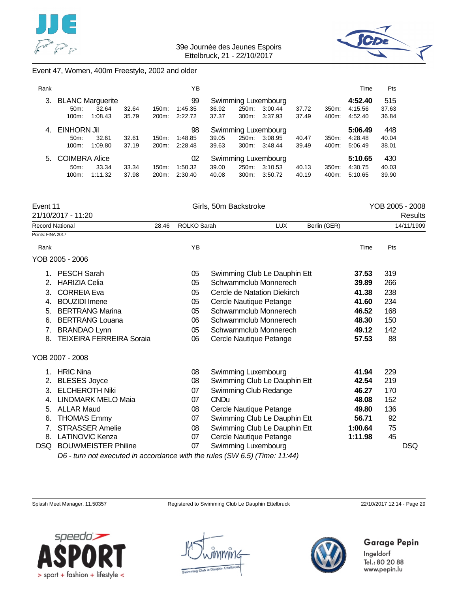



## Event 47, Women, 400m Freestyle, 2002 and older

| Rank |                         |         |       |          | YΒ      |                     |          |                     |       |       | Time    | Pts   |
|------|-------------------------|---------|-------|----------|---------|---------------------|----------|---------------------|-------|-------|---------|-------|
| 3.   | <b>BLANC Marguerite</b> |         |       |          | 99      | Swimming Luxembourg |          |                     |       |       | 4:52.40 | 515   |
|      | $50m$ :                 | 32.64   | 32.64 | $150m$ : | 1:45.35 | 36.92               | 250m:    | 3:00.44             | 37.72 | 350m: | 4:15.56 | 37.63 |
|      | 100m:                   | 1:08.43 | 35.79 | 200m:    | 2:22.72 | 37.37               | 300m:    | 3:37.93             | 37.49 | 400m: | 4:52.40 | 36.84 |
| 4    | EINHORN Jil<br>98       |         |       |          |         |                     |          | Swimming Luxembourg |       |       | 5:06.49 | 448   |
|      | 50 <sub>m</sub> :       | 32.61   | 32.61 | $150m$ : | 1:48.85 | 39.05               | 250m:    | 3:08.95             | 40.47 | 350m: | 4:28.48 | 40.04 |
|      | 100m:                   | 1:09.80 | 37.19 | 200m:    | 2:28.48 | 39.63               | 300m:    | 3:48.44             | 39.49 | 400m: | 5:06.49 | 38.01 |
| 5.   | <b>COIMBRA Alice</b>    |         |       |          | 02      |                     |          | Swimming Luxembourg |       |       | 5:10.65 | 430   |
|      | $50m$ :                 | 33.34   | 33.34 | $150m$ : | 1:50.32 | 39.00               | 250m:    | 3:10.53             | 40.13 | 350m: | 4:30.75 | 40.03 |
|      | 100m:                   | 1:11.32 | 37.98 | 200m:    | 2:30.40 | 40.08               | $300m$ : | 3:50.72             | 40.19 | 400m: | 5:10.65 | 39.90 |

| Event 11                              |       |             | Girls, 50m Backstroke                                                                                                                                                                                                                                                                                             |              |         |     | YOB 2005 - 2008 |
|---------------------------------------|-------|-------------|-------------------------------------------------------------------------------------------------------------------------------------------------------------------------------------------------------------------------------------------------------------------------------------------------------------------|--------------|---------|-----|-----------------|
| 21/10/2017 - 11:20                    |       |             |                                                                                                                                                                                                                                                                                                                   |              |         |     | Results         |
| <b>Record National</b>                | 28.46 | ROLKO Sarah | <b>LUX</b>                                                                                                                                                                                                                                                                                                        | Berlin (GER) |         |     | 14/11/1909      |
| Points: FINA 2017                     |       |             |                                                                                                                                                                                                                                                                                                                   |              |         |     |                 |
| Rank                                  |       | YB          |                                                                                                                                                                                                                                                                                                                   |              | Time    | Pts |                 |
| YOB 2005 - 2006                       |       |             |                                                                                                                                                                                                                                                                                                                   |              |         |     |                 |
| <b>PESCH Sarah</b>                    |       | 05          | Swimming Club Le Dauphin Ett                                                                                                                                                                                                                                                                                      |              | 37.53   | 319 |                 |
| <b>HARIZIA Celia</b><br>2.            |       | 05          | Schwammclub Monnerech                                                                                                                                                                                                                                                                                             |              | 39.89   | 266 |                 |
| <b>CORREIA Eva</b><br>3.              |       | 05          | Cercle de Natation Diekirch                                                                                                                                                                                                                                                                                       |              | 41.38   | 238 |                 |
| <b>BOUZIDI</b> Imene<br>4.            |       | 05          | Cercle Nautique Petange                                                                                                                                                                                                                                                                                           |              | 41.60   | 234 |                 |
| <b>BERTRANG Marina</b><br>5.          |       | 05          | Schwammclub Monnerech                                                                                                                                                                                                                                                                                             |              | 46.52   | 168 |                 |
| <b>BERTRANG Louana</b><br>6.          |       | 06          | Schwammclub Monnerech                                                                                                                                                                                                                                                                                             |              | 48.30   | 150 |                 |
| <b>BRANDAO Lynn</b><br>7.             |       | 05          | Schwammclub Monnerech                                                                                                                                                                                                                                                                                             |              | 49.12   | 142 |                 |
| <b>TEIXEIRA FERREIRA Soraia</b><br>8. |       | 06          | Cercle Nautique Petange                                                                                                                                                                                                                                                                                           |              | 57.53   | 88  |                 |
| YOB 2007 - 2008                       |       |             |                                                                                                                                                                                                                                                                                                                   |              |         |     |                 |
| <b>HRIC Nina</b><br>1.                |       | 08          | Swimming Luxembourg                                                                                                                                                                                                                                                                                               |              | 41.94   | 229 |                 |
| <b>BLESES Joyce</b><br>2.             |       | 08          | Swimming Club Le Dauphin Ett                                                                                                                                                                                                                                                                                      |              | 42.54   | 219 |                 |
| <b>ELCHEROTH Niki</b><br>3.           |       | 07          | Swimming Club Redange                                                                                                                                                                                                                                                                                             |              | 46.27   | 170 |                 |
| <b>LINDMARK MELO Maia</b><br>4.       |       | 07          | <b>CNDu</b>                                                                                                                                                                                                                                                                                                       |              | 48.08   | 152 |                 |
| <b>ALLAR Maud</b><br>5.               |       | 08          | Cercle Nautique Petange                                                                                                                                                                                                                                                                                           |              | 49.80   | 136 |                 |
| <b>THOMAS Emmy</b><br>6.              |       | 07          | Swimming Club Le Dauphin Ett                                                                                                                                                                                                                                                                                      |              | 56.71   | 92  |                 |
| <b>STRASSER Amelie</b><br>7.          |       | 08          | Swimming Club Le Dauphin Ett                                                                                                                                                                                                                                                                                      |              | 1:00.64 | 75  |                 |
| <b>LATINOVIC Kenza</b><br>8.          |       | 07          | Cercle Nautique Petange                                                                                                                                                                                                                                                                                           |              | 1:11.98 | 45  |                 |
| <b>BOUWMEISTER Philine</b><br>DSQ     |       | 07          | Swimming Luxembourg                                                                                                                                                                                                                                                                                               |              |         |     | <b>DSQ</b>      |
|                                       |       |             | $\mathcal{L}$ and $\mathcal{L}$ and $\mathcal{L}$ and $\mathcal{L}$ and $\mathcal{L}$ and $\mathcal{L}$ and $\mathcal{L}$ and $\mathcal{L}$ and $\mathcal{L}$ and $\mathcal{L}$ and $\mathcal{L}$ and $\mathcal{L}$ and $\mathcal{L}$ and $\mathcal{L}$ and $\mathcal{L}$ and $\mathcal{L}$ and $\mathcal{L}$ and |              |         |     |                 |

*D6 - turn not executed in accordance with the rules (SW 6.5) (Time: 11:44)*

Splash Meet Manager, 11.50357 Registered to Swimming Club Le Dauphin Ettelbruck 22/10/2017 12:14 - Page 29





## **Garage Pepin**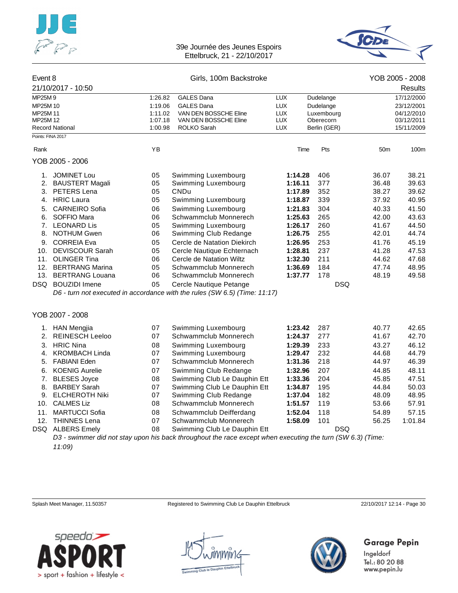



| Event 8              | 21/10/2017 - 10:50     |                    | Girls, 100m Backstroke                                                                                     |                          |                         |                 | YOB 2005 - 2008<br><b>Results</b> |
|----------------------|------------------------|--------------------|------------------------------------------------------------------------------------------------------------|--------------------------|-------------------------|-----------------|-----------------------------------|
|                      |                        |                    |                                                                                                            |                          |                         |                 |                                   |
| MP25M9               |                        | 1:26.82            | <b>GALES Dana</b>                                                                                          | <b>LUX</b>               | Dudelange               |                 | 17/12/2000                        |
| MP25M 10<br>MP25M 11 |                        | 1:19.06<br>1:11.02 | <b>GALES Dana</b><br>VAN DEN BOSSCHE Eline                                                                 | <b>LUX</b><br><b>LUX</b> | Dudelange<br>Luxembourg |                 | 23/12/2001<br>04/12/2010          |
| MP25M 12             |                        | 1:07.18            | VAN DEN BOSSCHE Eline                                                                                      | <b>LUX</b>               | Oberecorn               |                 | 03/12/2011                        |
|                      | <b>Record National</b> | 1:00.98            | ROLKO Sarah                                                                                                | <b>LUX</b>               | Berlin (GER)            |                 | 15/11/2009                        |
| Points: FINA 2017    |                        |                    |                                                                                                            |                          |                         |                 |                                   |
| Rank                 |                        | YB                 |                                                                                                            | Time                     | Pts                     | 50 <sub>m</sub> | 100m                              |
|                      | YOB 2005 - 2006        |                    |                                                                                                            |                          |                         |                 |                                   |
| 1.                   | <b>JOMINET Lou</b>     | 05                 | Swimming Luxembourg                                                                                        | 1:14.28                  | 406                     | 36.07           | 38.21                             |
| 2.                   | <b>BAUSTERT Magali</b> | 05                 | Swimming Luxembourg                                                                                        | 1:16.11                  | 377                     | 36.48           | 39.63                             |
| 3.                   | PETERS Lena            | 05                 | <b>CNDu</b>                                                                                                | 1:17.89                  | 352                     | 38.27           | 39.62                             |
| 4.                   | <b>HRIC Laura</b>      | 05                 | Swimming Luxembourg                                                                                        | 1:18.87                  | 339                     | 37.92           | 40.95                             |
| 5.                   | <b>CARNEIRO</b> Sofia  | 06                 | Swimming Luxembourg                                                                                        | 1:21.83                  | 304                     | 40.33           | 41.50                             |
| 6.                   | SOFFIO Mara            | 06                 | Schwammclub Monnerech                                                                                      | 1:25.63                  | 265                     | 42.00           | 43.63                             |
| 7.                   | <b>LEONARD Lis</b>     | 05                 | Swimming Luxembourg                                                                                        | 1:26.17                  | 260                     | 41.67           | 44.50                             |
| 8.                   | <b>NOTHUM Gwen</b>     | 06                 | Swimming Club Redange                                                                                      | 1:26.75                  | 255                     | 42.01           | 44.74                             |
|                      | 9. CORREIA Eva         | 05                 | Cercle de Natation Diekirch                                                                                | 1:26.95                  | 253                     | 41.76           | 45.19                             |
| 10.                  | <b>DEVISCOUR Sarah</b> | 05                 | Cercle Nautique Echternach                                                                                 | 1:28.81                  | 237                     | 41.28           | 47.53                             |
|                      | 11. OLINGER Tina       | 06                 | Cercle de Natation Wiltz                                                                                   | 1:32.30                  | 211                     | 44.62           | 47.68                             |
| 12.                  | <b>BERTRANG Marina</b> | 05                 | Schwammclub Monnerech                                                                                      | 1:36.69                  | 184                     | 47.74           | 48.95                             |
| 13.                  | <b>BERTRANG Louana</b> | 06                 | Schwammclub Monnerech                                                                                      | 1:37.77                  | 178                     | 48.19           | 49.58                             |
| DSQ                  | <b>BOUZIDI</b> Imene   | 05                 | Cercle Nautique Petange                                                                                    |                          |                         | <b>DSQ</b>      |                                   |
|                      |                        |                    | D6 - turn not executed in accordance with the rules (SW 6.5) (Time: 11:17)                                 |                          |                         |                 |                                   |
|                      | YOB 2007 - 2008        |                    |                                                                                                            |                          |                         |                 |                                   |
| 1.                   | <b>HAN Mengjia</b>     | 07                 | Swimming Luxembourg                                                                                        | 1:23.42                  | 287                     | 40.77           | 42.65                             |
| 2.                   | <b>REINESCH Leeloo</b> | 07                 | Schwammclub Monnerech                                                                                      | 1:24.37                  | 277                     | 41.67           | 42.70                             |
| 3.                   | <b>HRIC Nina</b>       | 08                 | Swimming Luxembourg                                                                                        | 1:29.39                  | 233                     | 43.27           | 46.12                             |
| 4.                   | <b>KROMBACH Linda</b>  | 07                 | Swimming Luxembourg                                                                                        | 1:29.47                  | 232                     | 44.68           | 44.79                             |
| 5.                   | <b>FABIANI Eden</b>    | 07                 | Schwammclub Monnerech                                                                                      | 1:31.36                  | 218                     | 44.97           | 46.39                             |
| 6.                   | <b>KOENIG Aurelie</b>  | 07                 | Swimming Club Redange                                                                                      | 1:32.96                  | 207                     | 44.85           | 48.11                             |
| 7.                   | <b>BLESES Joyce</b>    | 08                 | Swimming Club Le Dauphin Ett                                                                               | 1:33.36                  | 204                     | 45.85           | 47.51                             |
| 8.                   | <b>BARBEY Sarah</b>    | 07                 | Swimming Club Le Dauphin Ett                                                                               | 1:34.87                  | 195                     | 44.84           | 50.03                             |
| 9.                   | <b>ELCHEROTH Niki</b>  | 07                 | Swimming Club Redange                                                                                      | 1:37.04                  | 182                     | 48.09           | 48.95                             |
|                      | 10. CALMES Liz         | 08                 | Schwammclub Monnerech                                                                                      | 1:51.57                  | 119                     | 53.66           | 57.91                             |
| 11.                  | <b>MARTUCCI Sofia</b>  | 08                 | Schwammclub Deifferdang                                                                                    | 1:52.04                  | 118                     | 54.89           | 57.15                             |
|                      | 12. THINNES Lena       | 07                 | Schwammclub Monnerech                                                                                      | 1:58.09                  | 101                     | 56.25           | 1:01.84                           |
|                      | DSQ ALBERS Emely       | 08                 | Swimming Club Le Dauphin Ett                                                                               |                          |                         | <b>DSQ</b>      |                                   |
|                      |                        |                    | D3 - swimmer did not stay upon his back throughout the race except when executing the turn (SW 6.3) (Time: |                          |                         |                 |                                   |

*11:09)*

Splash Meet Manager, 11.50357 Registered to Swimming Club Le Dauphin Ettelbruck 22/10/2017 12:14 - Page 30





## Garage Pepin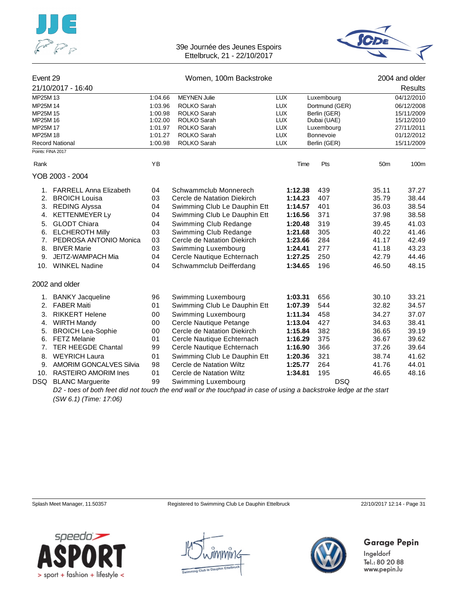



| Event 29 |                                             |         | Women, 100m Backstroke                                                                                            |            | 2004 and older |                 |            |
|----------|---------------------------------------------|---------|-------------------------------------------------------------------------------------------------------------------|------------|----------------|-----------------|------------|
|          | 21/10/2017 - 16:40                          |         |                                                                                                                   |            |                |                 | Results    |
| MP25M 13 |                                             | 1:04.66 | <b>MEYNEN Julie</b>                                                                                               | <b>LUX</b> | Luxembourg     |                 | 04/12/2010 |
| MP25M 14 |                                             | 1:03.96 | ROLKO Sarah                                                                                                       | <b>LUX</b> | Dortmund (GER) |                 | 06/12/2008 |
| MP25M 15 |                                             | 1:00.98 | ROLKO Sarah                                                                                                       | <b>LUX</b> | Berlin (GER)   |                 | 15/11/2009 |
| MP25M 16 |                                             | 1:02.00 | ROLKO Sarah                                                                                                       | <b>LUX</b> | Dubai (UAE)    |                 | 15/12/2010 |
| MP25M 17 |                                             | 1:01.97 | ROLKO Sarah<br><b>LUX</b><br><b>LUX</b>                                                                           |            | Luxembourg     |                 | 27/11/2011 |
| MP25M 18 |                                             | 1:01.27 | ROLKO Sarah                                                                                                       |            | Bonnevoie      |                 | 01/12/2012 |
|          | <b>Record National</b><br>Points: FINA 2017 | 1:00.98 | <b>ROLKO Sarah</b>                                                                                                | <b>LUX</b> | Berlin (GER)   |                 | 15/11/2009 |
|          |                                             |         |                                                                                                                   |            |                |                 |            |
| Rank     |                                             | ΥB      |                                                                                                                   |            | Pts<br>Time    | 50 <sub>m</sub> | 100m       |
|          | YOB 2003 - 2004                             |         |                                                                                                                   |            |                |                 |            |
|          | 1. FARRELL Anna Elizabeth                   | 04      | Schwammclub Monnerech                                                                                             | 1:12.38    | 439            | 35.11           | 37.27      |
| 2.       | <b>BROICH Louisa</b>                        | 03      | Cercle de Natation Diekirch                                                                                       | 1:14.23    | 407            | 35.79           | 38.44      |
| 3.       | <b>REDING Alyssa</b>                        | 04      | Swimming Club Le Dauphin Ett                                                                                      | 1:14.57    | 401            | 36.03           | 38.54      |
| 4.       | <b>KETTENMEYER Ly</b>                       | 04      | Swimming Club Le Dauphin Ett                                                                                      | 1:16.56    | 371            | 37.98           | 38.58      |
| 5.       | <b>GLODT Chiara</b>                         | 04      | Swimming Club Redange                                                                                             | 1:20.48    | 319            | 39.45           | 41.03      |
| 6.       | <b>ELCHEROTH Milly</b>                      | 03      | Swimming Club Redange                                                                                             | 1:21.68    | 305            | 40.22           | 41.46      |
| 7.       | PEDROSA ANTONIO Monica                      | 03      | Cercle de Natation Diekirch                                                                                       | 1:23.66    | 284            | 41.17           | 42.49      |
| 8.       | <b>BIVER Marie</b>                          | 03      | Swimming Luxembourg                                                                                               | 1:24.41    | 277            | 41.18           | 43.23      |
| 9.       | JEITZ-WAMPACH Mia                           | 04      | Cercle Nautique Echternach                                                                                        | 1:27.25    | 250            | 42.79           | 44.46      |
| 10.      | <b>WINKEL Nadine</b>                        | 04      | Schwammclub Deifferdang                                                                                           | 1:34.65    | 196            | 46.50           | 48.15      |
|          | 2002 and older                              |         |                                                                                                                   |            |                |                 |            |
| 1.       | <b>BANKY Jacqueline</b>                     | 96      | Swimming Luxembourg                                                                                               | 1:03.31    | 656            | 30.10           | 33.21      |
| 2.       | <b>FABER Maiti</b>                          | 01      | Swimming Club Le Dauphin Ett                                                                                      | 1:07.39    | 544            | 32.82           | 34.57      |
| 3.       | <b>RIKKERT Helene</b>                       | 00      | Swimming Luxembourg                                                                                               | 1:11.34    | 458            | 34.27           | 37.07      |
| 4.       | <b>WIRTH Mandy</b>                          | 00      | Cercle Nautique Petange                                                                                           | 1:13.04    | 427            | 34.63           | 38.41      |
| 5.       | <b>BROICH Lea-Sophie</b>                    | 00      | Cercle de Natation Diekirch                                                                                       | 1:15.84    | 382            | 36.65           | 39.19      |
| 6.       | <b>FETZ Melanie</b>                         | 01      | Cercle Nautique Echternach                                                                                        | 1:16.29    | 375            | 36.67           | 39.62      |
| 7.       | <b>TER HEEGDE Chantal</b>                   | 99      | Cercle Nautique Echternach                                                                                        | 1:16.90    | 366            | 37.26           | 39.64      |
| 8.       | <b>WEYRICH Laura</b>                        | 01      | Swimming Club Le Dauphin Ett                                                                                      | 1:20.36    | 321            | 38.74           | 41.62      |
| 9.       | <b>AMORIM GONCALVES Silvia</b>              | 98      | Cercle de Natation Wiltz                                                                                          | 1:25.77    | 264            | 41.76           | 44.01      |
|          | 10. RASTEIRO AMORIM Ines                    | 01      | Cercle de Natation Wiltz                                                                                          | 1:34.81    | 195            | 46.65           | 48.16      |
|          | DSQ BLANC Marguerite                        |         | Swimming Luxembourg                                                                                               |            |                | <b>DSQ</b>      |            |
|          |                                             | 99      | DO, topo of both foot did not tough the end upling the toughned in case of using a boolestic leaders of the start |            |                |                 |            |

*D2 - toes of both feet did not touch the end wall or the touchpad in case of using a backstroke ledge at the start (SW 6.1) (Time: 17:06)*

Splash Meet Manager, 11.50357 Registered to Swimming Club Le Dauphin Ettelbruck 22/10/2017 12:14 - Page 31





## Garage Pepin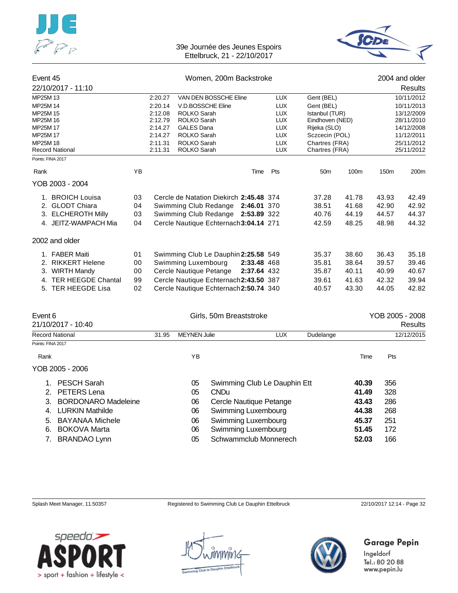



| Event 45               |                       |    | Women, 200m Backstroke        |                                         |             |            |                 |       |                  | 2004 and older |
|------------------------|-----------------------|----|-------------------------------|-----------------------------------------|-------------|------------|-----------------|-------|------------------|----------------|
|                        | 22/10/2017 - 11:10    |    |                               |                                         |             |            |                 |       |                  | Results        |
| MP25M 13               |                       |    | 2:20.27                       | VAN DEN BOSSCHE Eline                   |             | <b>LUX</b> | Gent (BEL)      |       |                  | 10/11/2012     |
| MP25M 14               |                       |    | 2:20.14                       | V.D.BOSSCHE Eline                       |             | <b>LUX</b> | Gent (BEL)      |       |                  | 10/11/2013     |
| MP25M 15               |                       |    | 2:12.08                       | <b>ROLKO Sarah</b>                      |             | <b>LUX</b> | Istanbul (TUR)  |       |                  | 13/12/2009     |
| MP25M 16               |                       |    | 2:12.79<br><b>ROLKO Sarah</b> |                                         |             | <b>LUX</b> | Eindhoven (NED) |       |                  | 28/11/2010     |
| MP25M 17               |                       |    | 2:14.27                       | <b>GALES Dana</b>                       |             | <b>LUX</b> | Rijeka (SLO)    |       |                  | 14/12/2008     |
| MP25M 17               |                       |    | 2:14.27                       | ROLKO Sarah                             |             | <b>LUX</b> | Sczcecin (POL)  |       |                  | 11/12/2011     |
| MP25M 18               |                       |    | 2:11.31                       | <b>ROLKO Sarah</b>                      |             | <b>LUX</b> | Chartres (FRA)  |       |                  | 25/11/2012     |
| <b>Record National</b> |                       |    | 2:11.31                       | ROLKO Sarah                             |             | <b>LUX</b> | Chartres (FRA)  |       |                  | 25/11/2012     |
|                        | Points: FINA 2017     |    |                               |                                         |             |            |                 |       |                  |                |
| Rank                   |                       | YB |                               |                                         | Time        | Pts        | 50 <sub>m</sub> | 100m  | 150 <sub>m</sub> | 200m           |
|                        | YOB 2003 - 2004       |    |                               |                                         |             |            |                 |       |                  |                |
|                        | 1. BROICH Louisa      | 03 |                               | Cercle de Natation Diekirch 2:45.48 374 |             |            | 37.28           | 41.78 | 43.93            | 42.49          |
| 2.                     | <b>GLODT Chiara</b>   | 04 |                               | Swimming Club Redange                   | 2:46.01 370 |            | 38.51           | 41.68 | 42.90            | 42.92          |
|                        | 3. ELCHEROTH Milly    | 03 |                               | Swimming Club Redange 2:53.89 322       |             |            | 40.76           | 44.19 | 44.57            | 44.37          |
|                        | 4. JEITZ-WAMPACH Mia  | 04 |                               | Cercle Nautique Echternach 3:04.14 271  |             |            | 42.59           | 48.25 | 48.98            | 44.32          |
|                        | 2002 and older        |    |                               |                                         |             |            |                 |       |                  |                |
|                        | 1. FABER Maiti        | 01 |                               | Swimming Club Le Dauphin 2:25.58 549    |             |            | 35.37           | 38.60 | 36.43            | 35.18          |
| 2.                     | <b>RIKKERT Helene</b> | 00 |                               | Swimming Luxembourg                     | 2:33.48 468 |            | 35.81           | 38.64 | 39.57            | 39.46          |
| 3.                     | <b>WIRTH Mandy</b>    | 00 |                               | Cercle Nautique Petange                 | 2:37.64 432 |            | 35.87           | 40.11 | 40.99            | 40.67          |
|                        | 4. TER HEEGDE Chantal | 99 |                               | Cercle Nautique Echternach 2:43.50 387  |             |            | 39.61           | 41.63 | 42.32            | 39.94          |
|                        | 5. TER HEEGDE Lisa    | 02 |                               | Cercle Nautique Echternach 2:50.74 340  |             |            | 40.57           | 43.30 | 44.05            | 42.82          |
|                        |                       |    |                               |                                         |             |            |                 |       |                  |                |
|                        |                       |    |                               |                                         |             |            |                 |       |                  |                |

| Event 6<br>21/10/2017 - 10:40    | Girls, 50m Breaststroke |                     |                              |            | YOB 2005 - 2008<br>Results |       |            |
|----------------------------------|-------------------------|---------------------|------------------------------|------------|----------------------------|-------|------------|
| <b>Record National</b>           | 31.95                   | <b>MEYNEN Julie</b> |                              | <b>LUX</b> | Dudelange                  |       | 12/12/2015 |
| Points: FINA 2017                |                         |                     |                              |            |                            |       |            |
| Rank                             |                         | ΥB                  |                              |            |                            | Time  | Pts        |
| YOB 2005 - 2006                  |                         |                     |                              |            |                            |       |            |
| PESCH Sarah                      |                         | 05                  | Swimming Club Le Dauphin Ett |            |                            | 40.39 | 356        |
| <b>PETERS Lena</b><br>2.         |                         | 05                  | <b>CNDu</b>                  |            |                            | 41.49 | 328        |
| <b>BORDONARO Madeleine</b><br>3. |                         | 06                  | Cercle Nautique Petange      |            |                            | 43.43 | 286        |
| <b>LURKIN Mathilde</b><br>4.     |                         | 06                  | Swimming Luxembourg          |            |                            | 44.38 | 268        |
| <b>BAYANAA Michele</b><br>5.     |                         | 06                  | Swimming Luxembourg          |            |                            | 45.37 | 251        |
| <b>BOKOVA Marta</b><br>6.        |                         | 06                  | Swimming Luxembourg          |            |                            | 51.45 | 172        |
| <b>BRANDAO Lynn</b>              |                         | 05                  | Schwammclub Monnerech        |            |                            | 52.03 | 166        |

Splash Meet Manager, 11.50357 Registered to Swimming Club Le Dauphin Ettelbruck 22/10/2017 12:14 - Page 32



nmir1c



## Garage Pepin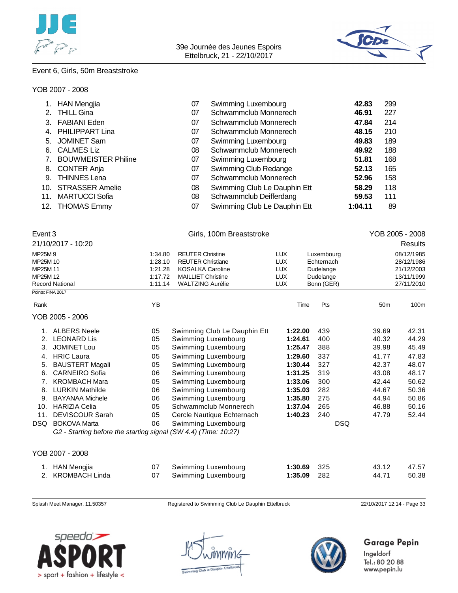



## Event 6, Girls, 50m Breaststroke

#### YOB 2007 - 2008

|     | <b>HAN Mengjia</b>         | 07 | Swimming Luxembourg          | 42.83   | 299 |
|-----|----------------------------|----|------------------------------|---------|-----|
| 2.  | <b>THILL Gina</b>          | 07 | Schwammclub Monnerech        | 46.91   | 227 |
| 3.  | <b>FABIANI Eden</b>        | 07 | Schwammclub Monnerech        | 47.84   | 214 |
| 4.  | <b>PHILIPPART Lina</b>     | 07 | Schwammclub Monnerech        | 48.15   | 210 |
|     | 5. JOMINET Sam             | 07 | Swimming Luxembourg          | 49.83   | 189 |
| 6.  | <b>CALMES Liz</b>          | 08 | Schwammclub Monnerech        | 49.92   | 188 |
|     | <b>BOUWMEISTER Philine</b> | 07 | Swimming Luxembourg          | 51.81   | 168 |
| 8.  | <b>CONTER Anja</b>         | 07 | Swimming Club Redange        | 52.13   | 165 |
| 9.  | <b>THINNES Lena</b>        | 07 | Schwammclub Monnerech        | 52.96   | 158 |
| 10. | <b>STRASSER Amelie</b>     | 08 | Swimming Club Le Dauphin Ett | 58.29   | 118 |
| 11. | <b>MARTUCCI Sofia</b>      | 08 | Schwammclub Deifferdang      | 59.53   | 111 |
|     | 12. THOMAS Emmy            | 07 | Swimming Club Le Dauphin Ett | 1:04.11 | 89  |

| Event 3<br>21/10/2017 - 10:20 |         | Girls, 100m Breaststroke  |     |            |            |  |  |
|-------------------------------|---------|---------------------------|-----|------------|------------|--|--|
| MP25M 9                       | 1:34.80 | <b>REUTER Christine</b>   | LUX | Luxembourg | 08/12/1985 |  |  |
| MP25M 10                      | 1:28.10 | <b>REUTER Christiane</b>  | LUX | Echternach | 28/12/1986 |  |  |
| MP25M 11                      | 1:21.28 | <b>KOSALKA Caroline</b>   | LUX | Dudelange  | 21/12/2003 |  |  |
| MP25M 12                      | 1:17.72 | <b>MAILLIET Christine</b> | LUX | Dudelange  | 13/11/1999 |  |  |
| <b>Record National</b>        | 1:11.14 | <b>WALTZING Aurélie</b>   | LUX | Bonn (GER) | 27/11/2010 |  |  |

| Rank       |                                                                 | YB |                              | Time    | Pts | 50 <sub>m</sub> | 100m  |
|------------|-----------------------------------------------------------------|----|------------------------------|---------|-----|-----------------|-------|
|            | YOB 2005 - 2006                                                 |    |                              |         |     |                 |       |
|            | <b>ALBERS Neele</b>                                             | 05 | Swimming Club Le Dauphin Ett | 1:22.00 | 439 | 39.69           | 42.31 |
| 2.         | <b>LEONARD Lis</b>                                              | 05 | Swimming Luxembourg          | 1:24.61 | 400 | 40.32           | 44.29 |
| 3.         | <b>JOMINET Lou</b>                                              | 05 | Swimming Luxembourg          | 1:25.47 | 388 | 39.98           | 45.49 |
| 4.         | <b>HRIC Laura</b>                                               | 05 | Swimming Luxembourg          | 1:29.60 | 337 | 41.77           | 47.83 |
| 5.         | <b>BAUSTERT Magali</b>                                          | 05 | Swimming Luxembourg          | 1:30.44 | 327 | 42.37           | 48.07 |
| 6.         | <b>CARNEIRO Sofia</b>                                           | 06 | Swimming Luxembourg          | 1:31.25 | 319 | 43.08           | 48.17 |
|            | <b>KROMBACH Mara</b>                                            | 05 | Swimming Luxembourg          | 1:33.06 | 300 | 42.44           | 50.62 |
| 8.         | <b>LURKIN Mathilde</b>                                          | 06 | Swimming Luxembourg          | 1:35.03 | 282 | 44.67           | 50.36 |
| 9.         | <b>BAYANAA Michele</b>                                          | 06 | Swimming Luxembourg          | 1:35.80 | 275 | 44.94           | 50.86 |
| 10.        | <b>HARIZIA Celia</b>                                            | 05 | Schwammclub Monnerech        | 1:37.04 | 265 | 46.88           | 50.16 |
| 11.        | <b>DEVISCOUR Sarah</b>                                          | 05 | Cercle Nautique Echternach   | 1:40.23 | 240 | 47.79           | 52.44 |
| <b>DSQ</b> | <b>BOKOVA Marta</b>                                             | 06 | Swimming Luxembourg          |         |     | <b>DSQ</b>      |       |
|            | G2 - Starting before the starting signal (SW 4.4) (Time: 10:27) |    |                              |         |     |                 |       |
|            |                                                                 |    |                              |         |     |                 |       |
|            | YOB 2007 - 2008                                                 |    |                              |         |     |                 |       |

| 1. HAN Mengjia    | 07 Swimming Luxembourg | <b>1:30.69</b> 325 | 43.12 | 47.57 |
|-------------------|------------------------|--------------------|-------|-------|
| 2. KROMBACH Linda | 07 Swimming Luxembourg | <b>1:35.09</b> 282 | 44.71 | 50.38 |

Splash Meet Manager, 11.50357 Registered to Swimming Club Le Dauphin Ettelbruck 22/10/2017 12:14 - Page 33





## Garage Pepin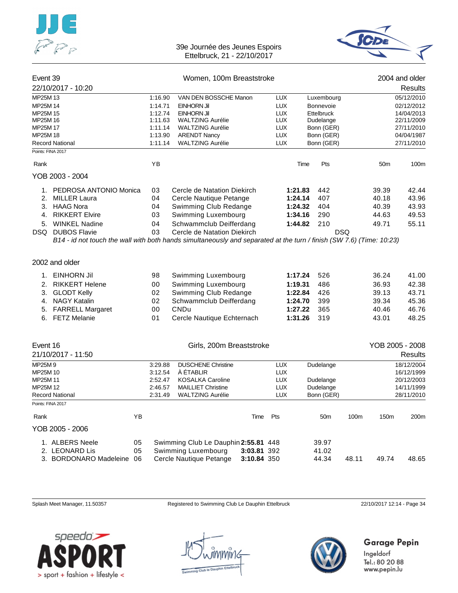



| Event 39             |                                             |                    | Women, 100m Breaststroke                                                                                             |                   | 2004 and older |            |                 |                          |
|----------------------|---------------------------------------------|--------------------|----------------------------------------------------------------------------------------------------------------------|-------------------|----------------|------------|-----------------|--------------------------|
|                      | 22/10/2017 - 10:20                          |                    |                                                                                                                      |                   |                |            |                 | <b>Results</b>           |
| MP25M 13             |                                             | 1:16.90            | VAN DEN BOSSCHE Manon                                                                                                | <b>LUX</b>        | Luxembourg     |            |                 | 05/12/2010               |
| MP25M 14             |                                             | 1:14.71            | EINHORN Jil                                                                                                          | <b>LUX</b>        | Bonnevoie      |            |                 | 02/12/2012               |
| MP25M 15             |                                             | 1:12.74            | EINHORN Jil                                                                                                          | <b>LUX</b>        | Ettelbruck     |            |                 | 14/04/2013               |
| MP25M 16             |                                             | 1:11.63            | <b>WALTZING Aurélie</b>                                                                                              | <b>LUX</b>        | Dudelange      |            |                 | 22/11/2009               |
| MP25M 17             |                                             | 1:11.14            | <b>WALTZING Aurélie</b>                                                                                              | <b>LUX</b>        | Bonn (GER)     |            |                 | 27/11/2010               |
| MP25M 18             |                                             | 1:13.90            | <b>ARENDT Nancy</b>                                                                                                  | <b>LUX</b>        | Bonn (GER)     |            |                 | 04/04/1987               |
|                      | <b>Record National</b><br>Points: FINA 2017 | 1:11.14            | <b>WALTZING Aurélie</b>                                                                                              | <b>LUX</b>        | Bonn (GER)     |            |                 | 27/11/2010               |
| Rank                 |                                             | YB                 |                                                                                                                      |                   | Pts<br>Time    |            | 50 <sub>m</sub> | 100m                     |
|                      | YOB 2003 - 2004                             |                    |                                                                                                                      |                   |                |            |                 |                          |
|                      | 1. PEDROSA ANTONIO Monica                   | 03                 | Cercle de Natation Diekirch                                                                                          |                   | 1:21.83<br>442 |            | 39.39           | 42.44                    |
| 2.                   | MILLER Laura                                | 04                 | Cercle Nautique Petange                                                                                              |                   | 1:24.14<br>407 |            | 40.18           | 43.96                    |
|                      | 3. HAAG Nora                                | 04                 | Swimming Club Redange                                                                                                |                   | 1:24.32<br>404 |            | 40.39           | 43.93                    |
| 4.                   | <b>RIKKERT Elvire</b>                       | 03                 | Swimming Luxembourg                                                                                                  |                   | 290<br>1:34.16 |            | 44.63           | 49.53                    |
|                      | 5. WINKEL Nadine                            | 04                 | Schwammclub Deifferdang                                                                                              |                   | 1:44.82<br>210 |            | 49.71           | 55.11                    |
|                      | DSQ DUBOS Flavie                            | 03                 | Cercle de Natation Diekirch                                                                                          |                   |                | <b>DSQ</b> |                 |                          |
|                      |                                             |                    | B14 - id not touch the wall with both hands simultaneously and separated at the turn / finish (SW 7.6) (Time: 10:23) |                   |                |            |                 |                          |
|                      |                                             |                    |                                                                                                                      |                   |                |            |                 |                          |
|                      | 2002 and older                              |                    |                                                                                                                      |                   |                |            |                 |                          |
| 1.                   | <b>EINHORN Jil</b>                          | 98                 | Swimming Luxembourg                                                                                                  |                   | 1:17.24<br>526 |            | 36.24           | 41.00                    |
| 2.                   | RIKKERT Helene                              | 00                 | Swimming Luxembourg                                                                                                  |                   | 1:19.31<br>486 |            | 36.93           | 42.38                    |
| 3.                   | GLODT Kelly                                 | 02                 | Swimming Club Redange                                                                                                |                   | 1:22.84<br>426 |            | 39.13           | 43.71                    |
|                      | 4. NAGY Katalin                             | 02                 | Schwammclub Deifferdang                                                                                              |                   | 1:24.70<br>399 |            | 39.34           | 45.36                    |
|                      | 5. FARRELL Margaret                         | 00                 | <b>CNDu</b>                                                                                                          |                   | 1:27.22<br>365 |            | 40.46           | 46.76                    |
|                      | 6. FETZ Melanie                             | 01                 | Cercle Nautique Echternach                                                                                           |                   | 1:31.26<br>319 |            | 43.01           | 48.25                    |
|                      |                                             |                    |                                                                                                                      |                   |                |            |                 |                          |
| Event 16             |                                             |                    | Girls, 200m Breaststroke                                                                                             |                   |                |            | YOB 2005 - 2008 |                          |
|                      | 21/10/2017 - 11:50                          |                    |                                                                                                                      |                   |                |            |                 | Results                  |
|                      |                                             |                    |                                                                                                                      |                   |                |            |                 |                          |
| MP25M9               |                                             | 3:29.88            | <b>DUSCHENE Christine</b>                                                                                            | <b>LUX</b>        | Dudelange      |            |                 | 18/12/2004               |
| MP25M 10<br>MP25M 11 |                                             | 3:12.54<br>2:52.47 | À ÉTABLIR<br><b>KOSALKA Caroline</b>                                                                                 | LUX<br><b>LUX</b> | Dudelange      |            |                 | 16/12/1999<br>20/12/2003 |
| MP25M 12             |                                             | 2:46.57            | <b>MAILLIET Christine</b>                                                                                            | <b>LUX</b>        | Dudelange      |            |                 | 14/11/1999               |
|                      | <b>Record National</b>                      | 2:31.49            | <b>WALTZING Aurélie</b>                                                                                              | LUX               | Bonn (GER)     |            |                 | 28/11/2010               |
|                      | Points: FINA 2017                           |                    |                                                                                                                      |                   |                |            |                 |                          |
| Rank                 |                                             | YB                 | Time                                                                                                                 | Pts               | 50m            | 100m       | 150m            | 200m                     |
|                      | YOB 2005 - 2006                             |                    |                                                                                                                      |                   |                |            |                 |                          |
|                      | 1. ALBERS Neele                             | 05                 | Swimming Club Le Dauphin 2:55.81 448                                                                                 |                   | 39.97          |            |                 |                          |
|                      | 2. LEONARD Lis                              | 05                 | Swimming Luxembourg                                                                                                  | 3:03.81 392       | 41.02          |            |                 |                          |
|                      | 3. BORDONARO Madeleine                      | 06                 | Cercle Nautique Petange                                                                                              | 3:10.84 350       | 44.34          | 48.11      | 49.74           | 48.65                    |

Splash Meet Manager, 11.50357 Registered to Swimming Club Le Dauphin Ettelbruck 22/10/2017 12:14 - Page 34



nmir1c



## Garage Pepin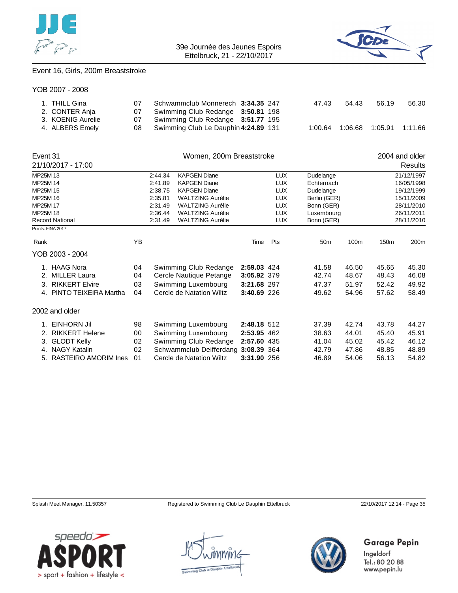



## Event 16, Girls, 200m Breaststroke

|  | YOB 2007 - 2008 |  |
|--|-----------------|--|
|--|-----------------|--|

| 1. THILL Gina     | 07 | Schwammclub Monnerech 3:34.35 247       |  | 47.43   | 54.43   | 56.19 | 56.30 |
|-------------------|----|-----------------------------------------|--|---------|---------|-------|-------|
| 2. CONTER Anja    |    | 07 Swimming Club Redange 3:50.81 198    |  |         |         |       |       |
| 3. KOENIG Aurelie |    | 07 Swimming Club Redange 3:51.77 195    |  |         |         |       |       |
| 4. ALBERS Emely   |    | 08 Swimming Club Le Dauphin 4:24.89 131 |  | 1:00.64 | 1:06.68 |       |       |

|                                                                            | Event 31<br>Women, 200m Breaststroke |                                                                |         |                          |             |            |                 |            |                  | 2004 and older |
|----------------------------------------------------------------------------|--------------------------------------|----------------------------------------------------------------|---------|--------------------------|-------------|------------|-----------------|------------|------------------|----------------|
|                                                                            | 21/10/2017 - 17:00                   |                                                                |         |                          |             |            |                 |            |                  | Results        |
| MP25M 13                                                                   |                                      |                                                                | 2:44.34 | <b>KAPGEN Diane</b>      |             | <b>LUX</b> | Dudelange       |            |                  | 21/12/1997     |
| MP25M 14                                                                   |                                      |                                                                | 2:41.89 | <b>KAPGEN Diane</b>      |             | <b>LUX</b> | Echternach      | 16/05/1998 |                  |                |
| MP25M 15                                                                   |                                      |                                                                | 2:38.75 | <b>KAPGEN Diane</b>      |             | <b>LUX</b> | Dudelange       |            |                  | 19/12/1999     |
| MP25M 16                                                                   |                                      |                                                                | 2:35.81 | <b>WALTZING Aurélie</b>  |             | <b>LUX</b> | Berlin (GER)    | 15/11/2009 |                  |                |
| MP25M 17                                                                   |                                      | <b>WALTZING Aurélie</b><br><b>LUX</b><br>2:31.49<br>Bonn (GER) |         |                          |             |            | 28/11/2010      |            |                  |                |
| <b>LUX</b><br>MP25M 18<br>2:36.44<br><b>WALTZING Aurélie</b><br>Luxembourg |                                      |                                                                |         |                          |             | 26/11/2011 |                 |            |                  |                |
|                                                                            | <b>Record National</b>               |                                                                | 2:31.49 | <b>WALTZING Aurélie</b>  |             | <b>LUX</b> | Bonn (GER)      |            |                  | 28/11/2010     |
|                                                                            | Points: FINA 2017                    |                                                                |         |                          |             |            |                 |            |                  |                |
| Rank                                                                       |                                      | YB                                                             |         |                          | Time        | Pts        | 50 <sub>m</sub> | 100m       | 150 <sub>m</sub> | 200m           |
| YOB 2003 - 2004                                                            |                                      |                                                                |         |                          |             |            |                 |            |                  |                |
|                                                                            | 1. HAAG Nora                         | 04                                                             |         | Swimming Club Redange    | 2:59.03 424 |            | 41.58           | 46.50      | 45.65            | 45.30          |
| 2.                                                                         | <b>MILLER Laura</b>                  | 04                                                             |         | Cercle Nautique Petange  | 3:05.92 379 |            | 42.74           | 48.67      | 48.43            | 46.08          |
| 3.                                                                         | <b>RIKKERT Elvire</b>                | 03                                                             |         | Swimming Luxembourg      | 3:21.68 297 |            | 47.37           | 51.97      | 52.42            | 49.92          |
| 4.                                                                         | PINTO TEIXEIRA Martha                | 04                                                             |         | Cercle de Natation Wiltz | 3:40.69 226 |            | 49.62           | 54.96      | 57.62            | 58.49          |
|                                                                            | 2002 and older                       |                                                                |         |                          |             |            |                 |            |                  |                |
| 1.                                                                         | <b>EINHORN Jil</b>                   | 98                                                             |         | Swimming Luxembourg      | 2:48.18 512 |            | 37.39           | 42.74      | 43.78            | 44.27          |
|                                                                            | 2. RIKKERT Helene                    | 00                                                             |         | Swimming Luxembourg      | 2:53.95 462 |            | 38.63           | 44.01      | 45.40            | 45.91          |
| 3.                                                                         | <b>GLODT Kelly</b>                   | 02                                                             |         | Swimming Club Redange    | 2:57.60 435 |            | 41.04           | 45.02      | 45.42            | 46.12          |
|                                                                            | 4. NAGY Katalin                      | 02                                                             |         | Schwammclub Deifferdang  | 3:08.39 364 |            | 42.79           | 47.86      | 48.85            | 48.89          |
| 5.                                                                         | RASTEIRO AMORIM Ines                 | 01                                                             |         | Cercle de Natation Wiltz | 3:31.90 256 |            | 46.89           | 54.06      | 56.13            | 54.82          |

Splash Meet Manager, 11.50357 Registered to Swimming Club Le Dauphin Ettelbruck 22/10/2017 12:14 - Page 35

Garage Pepin



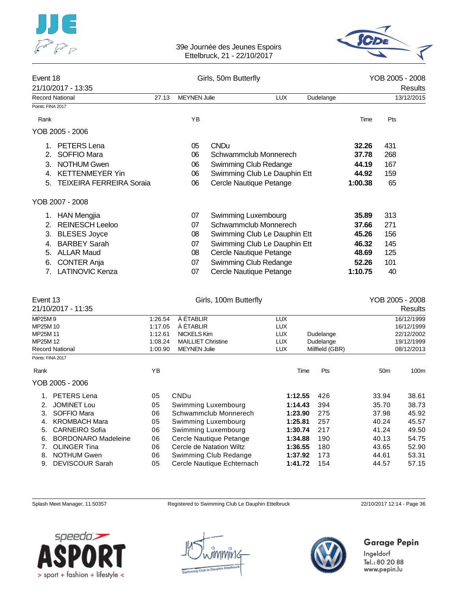



| Event 18<br>21/10/2017 - 13:35        |         |                           | Girls, 50m Butterfly         |            |                 |         | YOB 2005 - 2008<br>Results |                 |  |
|---------------------------------------|---------|---------------------------|------------------------------|------------|-----------------|---------|----------------------------|-----------------|--|
| <b>Record National</b>                | 27.13   | <b>MEYNEN Julie</b>       |                              | <b>LUX</b> | Dudelange       |         |                            | 13/12/2015      |  |
| Points: FINA 2017                     |         |                           |                              |            |                 |         |                            |                 |  |
| Rank                                  |         | YB                        |                              |            |                 |         | Time                       | Pts             |  |
| YOB 2005 - 2006                       |         |                           |                              |            |                 |         |                            |                 |  |
| PETERS Lena<br>1.                     |         | 05                        | <b>CNDu</b>                  |            |                 |         | 32.26                      | 431             |  |
| <b>SOFFIO Mara</b><br>2.              |         | 06                        | Schwammclub Monnerech        |            |                 |         | 37.78                      | 268             |  |
| <b>NOTHUM Gwen</b><br>3.              |         | 06                        | Swimming Club Redange        |            |                 |         | 44.19                      | 167             |  |
| <b>KETTENMEYER Yin</b><br>4.          |         | 06                        | Swimming Club Le Dauphin Ett |            |                 |         | 44.92                      | 159             |  |
| <b>TEIXEIRA FERREIRA Soraia</b><br>5. |         | 06                        | Cercle Nautique Petange      |            |                 | 1:00.38 |                            | 65              |  |
| YOB 2007 - 2008                       |         |                           |                              |            |                 |         |                            |                 |  |
| <b>HAN Mengjia</b><br>1.              |         | 07                        | Swimming Luxembourg          |            |                 |         | 35.89                      | 313             |  |
| <b>REINESCH Leeloo</b><br>2.          |         | 07                        | Schwammclub Monnerech        |            |                 |         | 37.66                      | 271             |  |
| 3. BLESES Joyce                       |         | 08                        | Swimming Club Le Dauphin Ett |            |                 |         | 45.26                      | 156             |  |
| <b>BARBEY Sarah</b><br>4.             |         | 07                        | Swimming Club Le Dauphin Ett |            |                 |         | 46.32                      | 145             |  |
| <b>ALLAR Maud</b><br>5.               |         | 08                        | Cercle Nautique Petange      |            |                 |         | 48.69                      | 125             |  |
| <b>CONTER Anja</b><br>6.              |         | 07                        | Swimming Club Redange        |            |                 |         | 52.26                      | 101             |  |
| <b>LATINOVIC Kenza</b><br>7.          |         | 07                        | Cercle Nautique Petange      |            |                 | 1:10.75 |                            | 40              |  |
|                                       |         |                           |                              |            |                 |         |                            |                 |  |
| Event 13                              |         |                           | Girls, 100m Butterfly        |            |                 |         |                            | YOB 2005 - 2008 |  |
| 21/10/2017 - 11:35                    |         |                           |                              |            |                 |         |                            | Results         |  |
| MP25M9                                | 1:26.54 | À ÉTABLIR                 |                              | <b>LUX</b> |                 |         |                            | 16/12/1999      |  |
| MP25M 10                              | 1:17.05 | À ÉTABLIR                 |                              | <b>LUX</b> |                 |         |                            | 16/12/1999      |  |
| MP25M 11                              | 1:12.61 | NICKELS Kim               |                              | <b>LUX</b> | Dudelange       |         |                            | 22/12/2002      |  |
| MP25M 12                              | 1:08.24 | <b>MAILLIET Christine</b> |                              | <b>LUX</b> | Dudelange       |         |                            | 19/12/1999      |  |
| <b>Record National</b>                | 1:00.90 | <b>MEYNEN Julie</b>       |                              | <b>LUX</b> | Millfield (GBR) |         |                            | 08/12/2013      |  |
| Points: FINA 2017                     |         |                           |                              |            |                 |         |                            |                 |  |
| Rank                                  | ΥB      |                           |                              | Time       | Pts             |         | 50 <sub>m</sub>            | 100m            |  |
| YOB 2005 - 2006                       |         |                           |                              |            |                 |         |                            |                 |  |
| 1. PETERS Lena                        | 05      | <b>CNDu</b>               |                              | 1:12.55    | 426             |         | 33.94                      | 38.61           |  |
| JOMINET Lou<br>2.                     | 05      |                           | Swimming Luxembourg          | 1:14.43    | 394             |         | 35.70                      | 38.73           |  |
| SOFFIO Mara<br>3.                     | 06      |                           | Schwammclub Monnerech        | 1:23.90    | 275             |         | 37.98                      | 45.92           |  |
| <b>KROMBACH Mara</b><br>4.            | 05      |                           | Swimming Luxembourg          | 1:25.81    | 257             |         | 40.24                      | 45.57           |  |
| <b>CARNEIRO Sofia</b><br>5.           | 06      |                           | Swimming Luxembourg          | 1:30.74    | 217             |         | 41.24                      | 49.50           |  |
| <b>BORDONARO Madeleine</b><br>6.      | 06      |                           | Cercle Nautique Petange      | 1:34.88    | 190             |         | 40.13                      | 54.75           |  |
| <b>OLINGER Tina</b><br>7.             | 06      |                           | Cercle de Natation Wiltz     | 1:36.55    | 180             |         | 43.65                      | 52.90           |  |
| 8.<br><b>NOTHUM Gwen</b>              | 06      |                           | Swimming Club Redange        | 1:37.92    | 173             |         | 44.61                      | 53.31           |  |
| <b>DEVISCOUR Sarah</b><br>9.          | 05      |                           | Cercle Nautique Echternach   | 1:41.72    | 154             |         | 44.57                      | 57.15           |  |

Splash Meet Manager, 11.50357 Registered to Swimming Club Le Dauphin Ettelbruck 22/10/2017 12:14 - Page 36





## Garage Pepin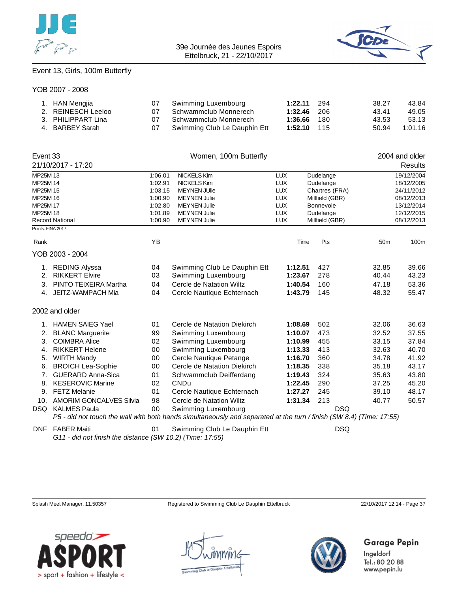



## Event 13, Girls, 100m Butterfly

#### YOB 2007 - 2008

| 1. HAN Mengjia     | Swimming Luxembourg          | $1:22.11$ 294 | 38.27 | 43.84   |
|--------------------|------------------------------|---------------|-------|---------|
| 2. REINESCH Leeloo | Schwammclub Monnerech        | $1:32.46$ 206 | 43.41 | 49.05   |
| 3. PHILIPPART Lina | Schwammclub Monnerech        | 1:36.66 180   | 43.53 | 53.13   |
| 4. BARBEY Sarah    | Swimming Club Le Dauphin Ett | 1:52.10 115   | 50.94 | 1:01.16 |

| Event 33          |                                |                                | Women, 100m Butterfly                                                                                                |                               |                  |                 | 2004 and older |
|-------------------|--------------------------------|--------------------------------|----------------------------------------------------------------------------------------------------------------------|-------------------------------|------------------|-----------------|----------------|
|                   | 21/10/2017 - 17:20             |                                |                                                                                                                      |                               |                  |                 | <b>Results</b> |
| MP25M 13          |                                | 1:06.01                        | <b>NICKELS Kim</b>                                                                                                   | <b>LUX</b>                    | Dudelange        |                 | 19/12/2004     |
| MP25M 14          |                                | 1:02.91                        | <b>NICKELS Kim</b>                                                                                                   | <b>LUX</b>                    | Dudelange        |                 | 18/12/2005     |
| MP25M 15          |                                | 1:03.15                        | <b>MEYNEN JUlie</b>                                                                                                  | <b>LUX</b>                    | Chartres (FRA)   |                 | 24/11/2012     |
| MP25M 16          |                                | 1:00.90<br><b>MEYNEN Julie</b> |                                                                                                                      | <b>LUX</b>                    | Millfield (GBR)  |                 | 08/12/2013     |
| MP25M 17          |                                | 1:02.80<br><b>MEYNEN Julie</b> |                                                                                                                      | <b>LUX</b>                    | <b>Bonnevoie</b> |                 | 13/12/2014     |
| MP25M 18          |                                | 1:01.89                        | <b>MEYNEN Julie</b>                                                                                                  | <b>LUX</b>                    | Dudelange        |                 | 12/12/2015     |
|                   | <b>Record National</b>         | 1:00.90                        | <b>MEYNEN Julie</b>                                                                                                  | <b>LUX</b><br>Millfield (GBR) |                  | 08/12/2013      |                |
| Points: FINA 2017 |                                |                                |                                                                                                                      |                               |                  |                 |                |
| Rank              |                                | YB                             |                                                                                                                      | Time                          | Pts              | 50 <sub>m</sub> | 100m           |
|                   | YOB 2003 - 2004                |                                |                                                                                                                      |                               |                  |                 |                |
|                   | <b>REDING Alyssa</b>           | 04                             | Swimming Club Le Dauphin Ett                                                                                         | 1:12.51                       | 427              | 32.85           | 39.66          |
| 2.                | <b>RIKKERT Elvire</b>          | 03                             | Swimming Luxembourg                                                                                                  | 1:23.67                       | 278              | 40.44           | 43.23          |
| 3.                | PINTO TEIXEIRA Martha          | 04                             | Cercle de Natation Wiltz                                                                                             | 1:40.54                       | 160              | 47.18           | 53.36          |
| 4.                | JEITZ-WAMPACH Mia              | 04                             | Cercle Nautique Echternach                                                                                           | 1:43.79                       | 145              | 48.32           | 55.47          |
|                   | 2002 and older                 |                                |                                                                                                                      |                               |                  |                 |                |
| 1.                | <b>HAMEN SAIEG Yael</b>        | 01                             | Cercle de Natation Diekirch                                                                                          | 1:08.69                       | 502              | 32.06           | 36.63          |
| 2.                | <b>BLANC Marguerite</b>        | 99                             | Swimming Luxembourg                                                                                                  | 1:10.07                       | 473              | 32.52           | 37.55          |
| 3.                | <b>COIMBRA Alice</b>           | 02                             | Swimming Luxembourg                                                                                                  | 1:10.99                       | 455              | 33.15           | 37.84          |
| 4.                | <b>RIKKERT Helene</b>          | 00                             | Swimming Luxembourg                                                                                                  | 1:13.33                       | 413              | 32.63           | 40.70          |
| 5.                | <b>WIRTH Mandy</b>             | 00                             | Cercle Nautique Petange                                                                                              | 1:16.70                       | 360              | 34.78           | 41.92          |
| 6.                | <b>BROICH Lea-Sophie</b>       | 00                             | Cercle de Natation Diekirch                                                                                          | 1:18.35                       | 338              | 35.18           | 43.17          |
| 7.                | <b>GUERARD Anna-Sica</b>       | 01                             | Schwammclub Deifferdang                                                                                              | 1:19.43                       | 324              | 35.63           | 43.80          |
| 8.                | <b>KESEROVIC Marine</b>        | 02                             | CNDu                                                                                                                 | 1:22.45                       | 290              | 37.25           | 45.20          |
| 9.                | <b>FETZ Melanie</b>            | 01                             | Cercle Nautique Echternach                                                                                           | 1:27.27                       | 245              | 39.10           | 48.17          |
| 10.               | <b>AMORIM GONCALVES Silvia</b> | 98                             | Cercle de Natation Wiltz                                                                                             | 1:31.34                       | 213              | 40.77           | 50.57          |
| DSQ               | <b>KALMES Paula</b>            | 00                             | Swimming Luxembourg                                                                                                  |                               |                  | <b>DSQ</b>      |                |
|                   |                                |                                | P5 - did not touch the wall with both hands simultaneously and separated at the turn / finish (SW 8.4) (Time: 17:55) |                               |                  |                 |                |
|                   | <b>DNF</b> FABER Maiti         | 01                             | Swimming Club Le Dauphin Ett                                                                                         |                               |                  | <b>DSQ</b>      |                |

*G11 - did not finish the distance (SW 10.2) (Time: 17:55)*

Splash Meet Manager, 11.50357 Registered to Swimming Club Le Dauphin Ettelbruck 22/10/2017 12:14 - Page 37





## Garage Pepin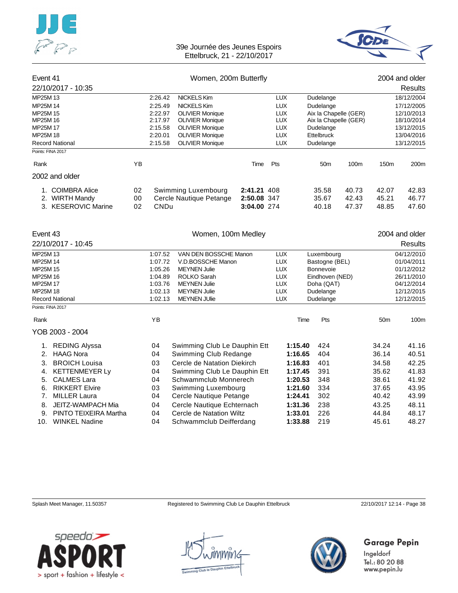



| Event 41<br>Women, 200m Butterfly |                        |    |                    |                                                  |             |                          |                                | 2004 and older        |                 |                          |
|-----------------------------------|------------------------|----|--------------------|--------------------------------------------------|-------------|--------------------------|--------------------------------|-----------------------|-----------------|--------------------------|
|                                   | 22/10/2017 - 10:35     |    |                    |                                                  |             |                          |                                |                       |                 | <b>Results</b>           |
| MP25M 13                          |                        |    | 2:26.42            | <b>NICKELS Kim</b>                               |             | LUX                      | Dudelange                      |                       |                 | 18/12/2004               |
| MP25M 14                          |                        |    | 2:25.49            | <b>NICKELS Kim</b>                               |             | <b>LUX</b>               | Dudelange                      |                       | 17/12/2005      |                          |
| MP25M 15                          |                        |    | 2:22.97            | <b>OLIVIER Monique</b>                           |             | <b>LUX</b>               |                                | Aix la Chapelle (GER) |                 | 12/10/2013               |
| MP25M 16                          |                        |    | 2:17.97            | <b>OLIVIER Monique</b>                           |             | <b>LUX</b>               |                                | Aix la Chapelle (GER) |                 | 18/10/2014               |
| MP25M 17<br>MP25M 18              |                        |    | 2:15.58<br>2:20.01 | <b>OLIVIER Monique</b><br><b>OLIVIER Monique</b> |             | <b>LUX</b><br><b>LUX</b> | Dudelange<br><b>Ettelbruck</b> |                       |                 | 13/12/2015<br>13/04/2016 |
|                                   | <b>Record National</b> |    | 2:15.58            | <b>OLIVIER Monique</b>                           |             | <b>LUX</b>               | Dudelange                      |                       | 13/12/2015      |                          |
|                                   | Points: FINA 2017      |    |                    |                                                  |             |                          |                                |                       |                 |                          |
| Rank                              |                        | YB |                    |                                                  | Time        | Pts                      | 50 <sub>m</sub>                | 100m                  | 150m            | 200m                     |
|                                   | 2002 and older         |    |                    |                                                  |             |                          |                                |                       |                 |                          |
|                                   | 1. COIMBRA Alice       | 02 |                    | Swimming Luxembourg                              | 2:41.21 408 |                          | 35.58                          | 40.73                 | 42.07           | 42.83                    |
|                                   | 2. WIRTH Mandy         | 00 |                    | Cercle Nautique Petange                          | 2:50.08 347 |                          | 35.67                          | 42.43                 | 45.21           | 46.77                    |
|                                   | 3. KESEROVIC Marine    | 02 | <b>CNDu</b>        |                                                  | 3:04.00 274 |                          | 40.18                          | 47.37                 | 48.85           | 47.60                    |
| Event 43                          |                        |    |                    | Women, 100m Medley                               |             |                          |                                |                       |                 | 2004 and older           |
|                                   | 22/10/2017 - 10:45     |    |                    |                                                  |             |                          |                                |                       |                 | Results                  |
| MP25M 13                          |                        |    | 1:07.52            | VAN DEN BOSSCHE Manon                            |             | <b>LUX</b>               | Luxembourg                     |                       |                 | 04/12/2010               |
| MP25M 14                          |                        |    | 1:07.72            | V.D.BOSSCHE Manon                                |             | <b>LUX</b>               | Bastogne (BEL)                 |                       |                 | 01/04/2011               |
| MP25M 15                          |                        |    | 1:05.26            | <b>MEYNEN Julie</b>                              |             | <b>LUX</b>               | Bonnevoie                      |                       |                 | 01/12/2012               |
| MP25M 16<br>MP25M 17              |                        |    | 1:04.89<br>1:03.76 | ROLKO Sarah<br><b>MEYNEN Julie</b>               |             | <b>LUX</b><br><b>LUX</b> | Eindhoven (NED)                |                       |                 | 26/11/2010<br>04/12/2014 |
| MP25M 18                          |                        |    | 1:02.13            | <b>MEYNEN Julie</b>                              |             | <b>LUX</b>               | Doha (QAT)<br>Dudelange        |                       |                 | 12/12/2015               |
|                                   | <b>Record National</b> |    | 1:02.13            | <b>MEYNEN JUlie</b>                              |             | <b>LUX</b>               | Dudelange                      |                       |                 | 12/12/2015               |
|                                   | Points: FINA 2017      |    |                    |                                                  |             |                          |                                |                       |                 |                          |
| Rank                              |                        |    | YB                 |                                                  |             |                          | Time<br>Pts                    |                       | 50 <sub>m</sub> | 100m                     |
|                                   | YOB 2003 - 2004        |    |                    |                                                  |             |                          |                                |                       |                 |                          |
| 1.                                | <b>REDING Alyssa</b>   |    | 04                 | Swimming Club Le Dauphin Ett                     |             | 1:15.40                  | 424                            |                       | 34.24           | 41.16                    |
| 2.                                | <b>HAAG Nora</b>       |    | 04                 | Swimming Club Redange                            |             | 1:16.65                  | 404                            |                       | 36.14           | 40.51                    |
| 3.                                | <b>BROICH Louisa</b>   |    | 03                 | Cercle de Natation Diekirch                      |             | 1:16.83                  | 401                            |                       | 34.58           | 42.25                    |
| 4.                                | <b>KETTENMEYER Ly</b>  |    | 04                 | Swimming Club Le Dauphin Ett                     |             | 1:17.45                  | 391                            |                       | 35.62           | 41.83                    |
| 5.                                | <b>CALMES Lara</b>     |    | 04                 | Schwammclub Monnerech                            |             | 1:20.53                  | 348                            |                       | 38.61           | 41.92                    |
| 6.                                | <b>RIKKERT Elvire</b>  |    | 03                 | Swimming Luxembourg                              |             | 1:21.60                  | 334                            |                       | 37.65           | 43.95                    |
| 7.                                | <b>MILLER Laura</b>    |    | 04                 | Cercle Nautique Petange                          |             | 1:24.41                  | 302                            |                       | 40.42           | 43.99                    |
| 8.                                | JEITZ-WAMPACH Mia      |    | 04                 | Cercle Nautique Echternach                       |             | 1:31.36                  | 238                            |                       | 43.25           | 48.11                    |

9. PINTO TEIXEIRA Martha 04 Cercle de Natation Wiltz **1:33.01** 226 44.84 48.17 10. WINKEL Nadine 04 Schwammclub Deifferdang **1:33.88** 219 45.61 48.27

Splash Meet Manager, 11.50357 Registered to Swimming Club Le Dauphin Ettelbruck 22/10/2017 12:14 - Page 38





## **Garage Pepin**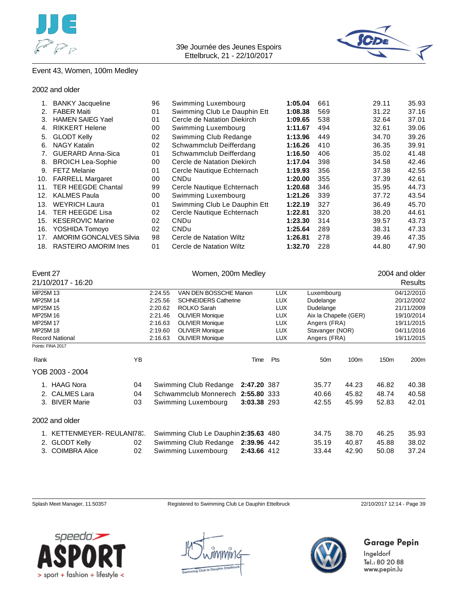



## Event 43, Women, 100m Medley

#### 2002 and older

|     | <b>BANKY Jacqueline</b>        | 96 | Swimming Luxembourg          | 1:05.04 | 661 | 29.11 | 35.93 |
|-----|--------------------------------|----|------------------------------|---------|-----|-------|-------|
| 2.  | <b>FABER Maiti</b>             | 01 | Swimming Club Le Dauphin Ett | 1:08.38 | 569 | 31.22 | 37.16 |
| 3.  | <b>HAMEN SAIEG Yael</b>        | 01 | Cercle de Natation Diekirch  | 1:09.65 | 538 | 32.64 | 37.01 |
|     | <b>RIKKERT Helene</b>          | 00 | Swimming Luxembourg          | 1:11.67 | 494 | 32.61 | 39.06 |
| 5.  | <b>GLODT Kelly</b>             | 02 | Swimming Club Redange        | 1:13.96 | 449 | 34.70 | 39.26 |
| 6.  | <b>NAGY Katalin</b>            | 02 | Schwammclub Deifferdang      | 1:16.26 | 410 | 36.35 | 39.91 |
| 7.  | <b>GUERARD Anna-Sica</b>       | 01 | Schwammclub Deifferdang      | 1:16.50 | 406 | 35.02 | 41.48 |
| 8.  | <b>BROICH Lea-Sophie</b>       | 00 | Cercle de Natation Diekirch  | 1:17.04 | 398 | 34.58 | 42.46 |
| 9.  | <b>FETZ Melanie</b>            | 01 | Cercle Nautique Echternach   | 1:19.93 | 356 | 37.38 | 42.55 |
| 10. | <b>FARRELL Margaret</b>        | 00 | <b>CNDu</b>                  | 1:20.00 | 355 | 37.39 | 42.61 |
| 11. | <b>TER HEEGDE Chantal</b>      | 99 | Cercle Nautique Echternach   | 1:20.68 | 346 | 35.95 | 44.73 |
| 12. | <b>KALMES Paula</b>            | 00 | Swimming Luxembourg          | 1:21.26 | 339 | 37.72 | 43.54 |
| 13. | <b>WEYRICH Laura</b>           | 01 | Swimming Club Le Dauphin Ett | 1:22.19 | 327 | 36.49 | 45.70 |
| 14. | <b>TER HEEGDE Lisa</b>         | 02 | Cercle Nautique Echternach   | 1:22.81 | 320 | 38.20 | 44.61 |
| 15. | <b>KESEROVIC Marine</b>        | 02 | <b>CNDu</b>                  | 1:23.30 | 314 | 39.57 | 43.73 |
| 16. | YOSHIDA Tomoyo                 | 02 | <b>CNDu</b>                  | 1:25.64 | 289 | 38.31 | 47.33 |
| 17. | <b>AMORIM GONCALVES Silvia</b> | 98 | Cercle de Natation Wiltz     | 1:26.81 | 278 | 39.46 | 47.35 |
|     | 18. RASTEIRO AMORIM Ines       | 01 | Cercle de Natation Wiltz     | 1:32.70 | 228 | 44.80 | 47.90 |
|     |                                |    |                              |         |     |       |       |

| Event 27 |                           |    | Women, 200m Medley |                                      |             |            |                       |                  | 2004 and older   |            |
|----------|---------------------------|----|--------------------|--------------------------------------|-------------|------------|-----------------------|------------------|------------------|------------|
|          | 21/10/2017 - 16:20        |    |                    |                                      |             |            |                       |                  |                  | Results    |
| MP25M 13 |                           |    | 2:24.55            | VAN DEN BOSSCHE Manon                |             | <b>LUX</b> | Luxembourg            |                  | 04/12/2010       |            |
| MP25M 14 |                           |    | 2:25.56            | <b>SCHNEIDERS Catherine</b>          |             | <b>LUX</b> | Dudelange             |                  |                  | 20/12/2002 |
| MP25M 15 |                           |    | 2:20.62            | ROLKO Sarah                          |             | <b>LUX</b> | Dudelange             |                  |                  | 21/11/2009 |
| MP25M 16 |                           |    | 2:21.46            | <b>OLIVIER Monique</b>               |             | <b>LUX</b> | Aix la Chapelle (GER) |                  |                  | 19/10/2014 |
| MP25M 17 |                           |    | 2:16.63            | <b>OLIVIER Monique</b>               |             | <b>LUX</b> | Angers (FRA)          |                  |                  | 19/11/2015 |
| MP25M 18 |                           |    | 2:19.60            | <b>OLIVIER Monique</b>               |             | <b>LUX</b> | Stavanger (NOR)       |                  |                  | 04/11/2016 |
|          | <b>Record National</b>    |    | 2:16.63            | <b>OLIVIER Monique</b>               |             | <b>LUX</b> | Angers (FRA)          |                  | 19/11/2015       |            |
|          | Points: FINA 2017         |    |                    |                                      |             |            |                       |                  |                  |            |
| Rank     |                           | YB |                    |                                      | Time        | Pts        | 50 <sub>m</sub>       | 100 <sub>m</sub> | 150 <sub>m</sub> | 200m       |
|          | YOB 2003 - 2004           |    |                    |                                      |             |            |                       |                  |                  |            |
|          | 1. HAAG Nora              | 04 |                    | Swimming Club Redange                | 2:47.20 387 |            | 35.77                 | 44.23            | 46.82            | 40.38      |
| 2.       | <b>CALMES Lara</b>        | 04 |                    | Schwammclub Monnerech                | 2:55.80 333 |            | 40.66                 | 45.82            | 48.74            | 40.58      |
|          | 3. BIVER Marie            | 03 |                    | Swimming Luxembourg                  | 3:03.38 293 |            | 42.55                 | 45.99            | 52.83            | 42.01      |
|          | 2002 and older            |    |                    |                                      |             |            |                       |                  |                  |            |
|          | 1. KETTENMEYER-REULANI78. |    |                    | Swimming Club Le Dauphin 2:35.63 480 |             |            | 34.75                 | 38.70            | 46.25            | 35.93      |
|          | 2. GLODT Kelly            | 02 |                    | Swimming Club Redange                | 2:39.96 442 |            | 35.19                 | 40.87            | 45.88            | 38.02      |
| 3.       | <b>COIMBRA Alice</b>      | 02 |                    | Swimming Luxembourg                  | 2:43.66 412 |            | 33.44                 | 42.90            | 50.08            | 37.24      |

Splash Meet Manager, 11.50357 Registered to Swimming Club Le Dauphin Ettelbruck 22/10/2017 12:14 - Page 39





## Garage Pepin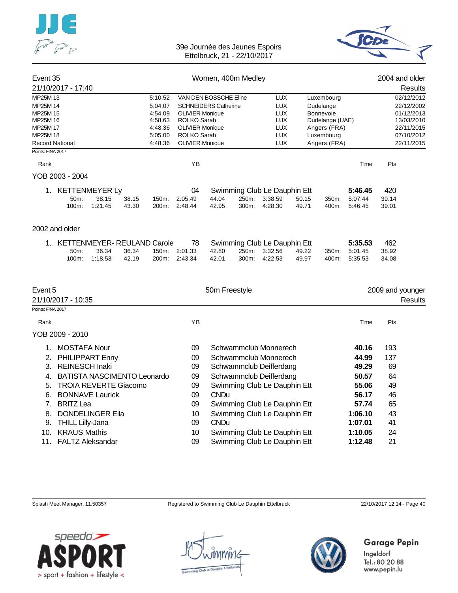



| Event 35               |                                    |       |                    |                                       | Women, 400m Medley          |       |                              |       |                                 |         |       | 2004 and older           |
|------------------------|------------------------------------|-------|--------------------|---------------------------------------|-----------------------------|-------|------------------------------|-------|---------------------------------|---------|-------|--------------------------|
|                        | 21/10/2017 - 17:40                 |       |                    |                                       |                             |       |                              |       |                                 |         |       | Results                  |
| MP25M 13               |                                    |       | 5:10.52            |                                       | VAN DEN BOSSCHE Eline       |       | <b>LUX</b>                   |       | Luxembourg                      |         |       | 02/12/2012               |
| MP25M 14               |                                    |       | 5:04.07            |                                       | <b>SCHNEIDERS Catherine</b> |       | <b>LUX</b>                   |       | Dudelange                       |         |       | 22/12/2002               |
| MP25M 15               |                                    |       | 4:54.09            | <b>OLIVIER Monique</b>                |                             |       | <b>LUX</b><br><b>LUX</b>     |       | Bonnevoie                       |         |       | 01/12/2013               |
| MP25M 16<br>MP25M 17   |                                    |       | 4:58.63<br>4:48.36 | ROLKO Sarah<br><b>OLIVIER Monique</b> |                             |       | <b>LUX</b>                   |       | Dudelange (UAE)<br>Angers (FRA) |         |       | 13/03/2010<br>22/11/2015 |
| MP25M 18               |                                    |       | 5:05.00            | ROLKO Sarah                           |                             |       | <b>LUX</b>                   |       | Luxembourg                      |         |       | 07/10/2012               |
| <b>Record National</b> |                                    |       | 4:48.36            | <b>OLIVIER Monique</b>                |                             |       | <b>LUX</b>                   |       | Angers (FRA)                    |         |       | 22/11/2015               |
| Points: FINA 2017      |                                    |       |                    |                                       |                             |       |                              |       |                                 |         |       |                          |
| Rank                   |                                    |       |                    | YB                                    |                             |       |                              |       |                                 | Time    | Pts   |                          |
|                        | YOB 2003 - 2004                    |       |                    |                                       |                             |       |                              |       |                                 |         |       |                          |
|                        | 1. KETTENMEYER Ly                  |       |                    | 04                                    |                             |       | Swimming Club Le Dauphin Ett |       |                                 | 5:46.45 | 420   |                          |
|                        | 50m:<br>38.15                      | 38.15 | 150m:              | 2:05.49                               | 44.04                       | 250m: | 3:38.59                      | 50.15 | 350m:                           | 5:07.44 | 39.14 |                          |
|                        | 100m:<br>1:21.45                   | 43.30 | 200m:              | 2:48.44                               | 42.95                       | 300m: | 4:28.30                      | 49.71 | 400m:                           | 5:46.45 | 39.01 |                          |
|                        | 2002 and older                     |       |                    |                                       |                             |       |                              |       |                                 |         |       |                          |
|                        | 1. KETTENMEYER-REULAND Carole      |       |                    | 78                                    |                             |       | Swimming Club Le Dauphin Ett |       |                                 | 5:35.53 | 462   |                          |
|                        | 36.34<br>50 <sub>m</sub> :         | 36.34 | 150m:              | 2:01.33                               | 42.80                       | 250m: | 3:32.56                      | 49.22 | 350m:                           | 5:01.45 | 38.92 |                          |
|                        | 100m:<br>1:18.53                   | 42.19 | 200m:              | 2:43.34                               | 42.01                       | 300m: | 4:22.53                      | 49.97 | 400m:                           | 5:35.53 | 34.08 |                          |
|                        |                                    |       |                    |                                       |                             |       |                              |       |                                 |         |       |                          |
| Event 5                |                                    |       |                    |                                       | 50m Freestyle               |       |                              |       |                                 |         |       | 2009 and younger         |
|                        | 21/10/2017 - 10:35                 |       |                    |                                       |                             |       |                              |       |                                 |         |       | Results                  |
| Points: FINA 2017      |                                    |       |                    |                                       |                             |       |                              |       |                                 |         |       |                          |
| Rank                   |                                    |       |                    | ΥB                                    |                             |       |                              |       |                                 | Time    | Pts   |                          |
|                        | YOB 2009 - 2010                    |       |                    |                                       |                             |       |                              |       |                                 |         |       |                          |
| 1.                     | <b>MOSTAFA Nour</b>                |       |                    | 09                                    |                             |       | Schwammclub Monnerech        |       |                                 | 40.16   | 193   |                          |
| 2.                     | PHILIPPART Enny                    |       |                    | 09                                    |                             |       | Schwammclub Monnerech        |       |                                 | 44.99   | 137   |                          |
| 3.                     | <b>REINESCH Inaki</b>              |       |                    | 09                                    |                             |       | Schwammclub Deifferdang      |       |                                 | 49.29   | 69    |                          |
| 4.                     | <b>BATISTA NASCIMENTO Leonardo</b> |       |                    | 09                                    |                             |       | Schwammclub Deifferdang      |       |                                 | 50.57   | 64    |                          |
| 5.                     | <b>TROIA REVERTE Giacomo</b>       |       |                    | 09                                    |                             |       | Swimming Club Le Dauphin Ett |       |                                 | 55.06   | 49    |                          |
| 6.                     | <b>BONNAVE Laurick</b>             |       |                    | 09                                    | <b>CNDu</b>                 |       |                              |       |                                 | 56.17   | 46    |                          |
| 7.                     | <b>BRITZ Lea</b>                   |       |                    | 09                                    |                             |       | Swimming Club Le Dauphin Ett |       |                                 | 57.74   | 65    |                          |
|                        |                                    |       |                    |                                       |                             |       |                              |       |                                 |         |       |                          |
| 8.                     | <b>DONDELINGER Eila</b>            |       |                    | 10                                    |                             |       | Swimming Club Le Dauphin Ett |       |                                 | 1:06.10 | 43    |                          |
| 9.                     | <b>THILL Lilly-Jana</b>            |       |                    | 09                                    | <b>CNDu</b>                 |       |                              |       |                                 | 1:07.01 | 41    |                          |
| 10.                    | <b>KRAUS Mathis</b>                |       |                    | 10                                    |                             |       | Swimming Club Le Dauphin Ett |       |                                 | 1:10.05 | 24    |                          |
|                        | 11. FALTZ Aleksandar               |       |                    | 09                                    |                             |       | Swimming Club Le Dauphin Ett |       |                                 | 1:12.48 | 21    |                          |

Splash Meet Manager, 11.50357 Registered to Swimming Club Le Dauphin Ettelbruck 22/10/2017 12:14 - Page 40



nmir1c



## Garage Pepin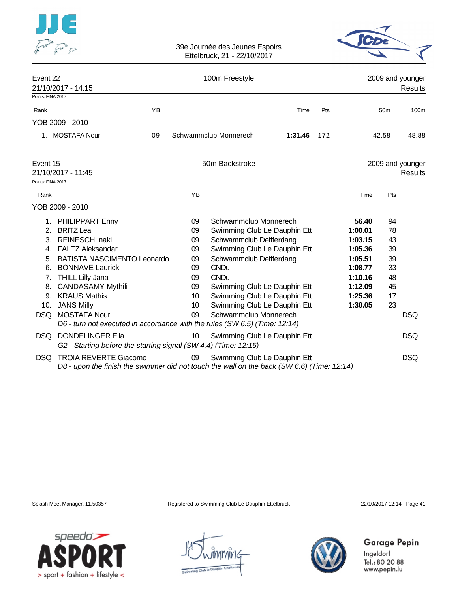



| Event 22          | 21/10/2017 - 14:15                                                                                                         |    |    | 100m Freestyle               |         |     |         |                 | 2009 and younger<br>Results |
|-------------------|----------------------------------------------------------------------------------------------------------------------------|----|----|------------------------------|---------|-----|---------|-----------------|-----------------------------|
| Points: FINA 2017 |                                                                                                                            |    |    |                              |         |     |         |                 |                             |
| Rank              |                                                                                                                            | YB |    |                              | Time    | Pts |         | 50 <sub>m</sub> | 100m                        |
|                   | YOB 2009 - 2010                                                                                                            |    |    |                              |         |     |         |                 |                             |
|                   | 1. MOSTAFA Nour                                                                                                            | 09 |    | Schwammclub Monnerech        | 1:31.46 | 172 |         | 42.58           | 48.88                       |
| Event 15          | 21/10/2017 - 11:45                                                                                                         |    |    | 50m Backstroke               |         |     |         |                 | 2009 and younger<br>Results |
| Points: FINA 2017 |                                                                                                                            |    |    |                              |         |     |         |                 |                             |
| Rank              |                                                                                                                            |    | YB |                              |         |     | Time    | Pts             |                             |
|                   | YOB 2009 - 2010                                                                                                            |    |    |                              |         |     |         |                 |                             |
|                   | 1. PHILIPPART Enny                                                                                                         |    | 09 | Schwammclub Monnerech        |         |     | 56.40   | 94              |                             |
| 2.                | <b>BRITZ Lea</b>                                                                                                           |    | 09 | Swimming Club Le Dauphin Ett |         |     | 1:00.01 | 78              |                             |
| 3 <sub>l</sub>    | <b>REINESCH Inaki</b>                                                                                                      |    | 09 | Schwammclub Deifferdang      |         |     | 1:03.15 | 43              |                             |
|                   | 4. FALTZ Aleksandar                                                                                                        |    | 09 | Swimming Club Le Dauphin Ett |         |     | 1:05.36 | 39              |                             |
| 5.                | <b>BATISTA NASCIMENTO Leonardo</b>                                                                                         |    | 09 | Schwammclub Deifferdang      |         |     | 1:05.51 | 39              |                             |
| 6.                | <b>BONNAVE Laurick</b>                                                                                                     |    | 09 | <b>CNDu</b>                  |         |     | 1:08.77 | 33              |                             |
| 7.                | <b>THILL Lilly-Jana</b>                                                                                                    |    | 09 | <b>CNDu</b>                  |         |     | 1:10.16 | 48              |                             |
| 8.                | <b>CANDASAMY Mythili</b>                                                                                                   |    | 09 | Swimming Club Le Dauphin Ett |         |     | 1:12.09 | 45              |                             |
| 9.                | <b>KRAUS Mathis</b>                                                                                                        |    | 10 | Swimming Club Le Dauphin Ett |         |     | 1:25.36 | 17              |                             |
| 10.               | <b>JANS Milly</b>                                                                                                          |    | 10 | Swimming Club Le Dauphin Ett |         |     | 1:30.05 | 23              |                             |
| <b>DSQ</b>        | <b>MOSTAFA Nour</b>                                                                                                        |    | 09 | Schwammclub Monnerech        |         |     |         |                 | <b>DSQ</b>                  |
|                   | D6 - turn not executed in accordance with the rules (SW 6.5) (Time: 12:14)                                                 |    |    |                              |         |     |         |                 |                             |
|                   | <b>DSQ DONDELINGER Eila</b>                                                                                                |    | 10 | Swimming Club Le Dauphin Ett |         |     |         |                 | <b>DSQ</b>                  |
|                   | G2 - Starting before the starting signal (SW 4.4) (Time: 12:15)                                                            |    |    |                              |         |     |         |                 |                             |
| DSQ.              | <b>TROIA REVERTE Giacomo</b><br>D8 - upon the finish the swimmer did not touch the wall on the back (SW 6.6) (Time: 12:14) |    | 09 | Swimming Club Le Dauphin Ett |         |     |         |                 | <b>DSQ</b>                  |

Splash Meet Manager, 11.50357 Registered to Swimming Club Le Dauphin Ettelbruck 22/10/2017 12:14 - Page 41

Garage Pepin